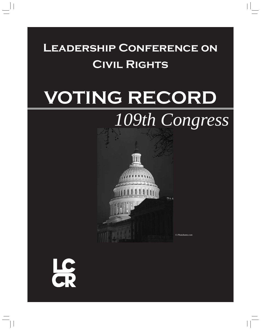# **Leadership Conference on Civil Rights**

# **VOTING RECORD**

# *109th Congress*



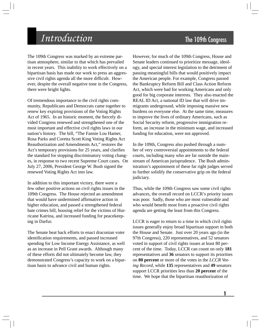# **Introduction** The 109th Congress

The 109th Congress was marked by an extreme partisan atmosphere, similar to that which has prevailed in recent years. This inability to work effectively on a bipartisan basis has made our work to press an aggressive civil rights agenda all the more difficult. However, despite the overall negative tone in the Congress, there were bright lights.

Of tremendous importance to the civil rights community, Republicans and Democrats came together to renew key expiring provisions of the Voting Rights Act of 1965. In an historic moment, the fiercely divided Congress renewed and strengthened one of the most important and effective civil rights laws in our nation's history. The bill, "The Fannie Lou Hamer, Rosa Parks and Coretta Scott King Voting Rights Act Reauthorization and Amendments Act," restores the Act's temporary provisions for 25 years, and clarifies the standard for stopping discriminatory voting changes, in response to two recent Supreme Court cases. On July 27, 2006, President George W. Bush signed the renewed Voting Rights Act into law.

In addition to this important victory, there were a few other positive actions on civil rights issues in the 109th Congress. The House rejected an amendment that would have undermined affirmative action in higher education, and passed a strengthened federal hate crimes bill, housing relief for the victims of Hurricane Katrina, and increased funding for peacekeeping in Darfur.

The Senate beat back efforts to enact draconian voter identification requirements, and passed increased spending for Low Income Energy Assistance, as well as an increase in Pell Grant awards. Although many of these efforts did not ultimately become law, they demonstrated Congress's capacity to work on a bipartisan basis to advance civil and human rights.

However, for much of the 109th Congress, House and Senate leaders continued to prioritize message, ideology, and special interest legislation to the detriment of passing meaningful bills that would positively impact the American people. For example, Congress passed the Bankruptcy Reform Bill and Class Action Reform Act, which were bad for working Americans and only good for big corporate interests. They also enacted the REAL ID Act, a national ID law that will drive immigrants underground, while imposing massive new burdens on everyone else. At the same time, measures to improve the lives of ordinary Americans, such as Social Security reform, progressive immigration reform, an increase in the minimum wage, and increased funding for education, were not approved.

In the 109th, Congress also pushed through a number of very controversial appointments to the federal courts, including many who are far outside the mainstream of American jurisprudence. The Bush administration's appointment of these far right judges served to further solidify the conservative grip on the federal judiciary.

Thus, while the 109th Congress saw some civil rights advances, the overall record on LCCR's priority issues was poor. Sadly, those who are most vulnerable and who would benefit most from a proactive civil rights agenda are getting the least from this Congress.

LCCR is eager to return to a time in which civil rights issues generally enjoy broad bipartisan support in both the House and Senate. Just over 20 years ago (in the 97th Congress), 220 representatives, and 52 senators voted in support of civil rights issues at least 80 percent of the time. Today, LCCR can count on only **181**  representatives and **36** senators to support its priorities on **80 percent** or more of the votes in the *LCCR Voting Record*, while **135** representatives and **49** senators support LCCR priorities less than **20 percent** of the time. We hope that the bipartisan reauthorization of

**1**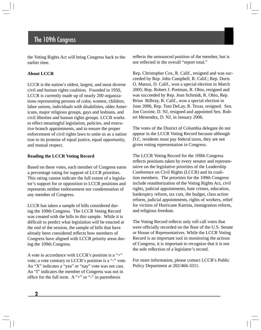the Voting Rights Act will bring Congress back to the earlier time.

## **About LCCR**

LCCR is the nation's oldest, largest, and most diverse civil and human rights coalition. Founded in 1950, LCCR is currently made up of nearly 200 organizations representing persons of color, women, children, labor unions, individuals with disabilities, older Americans, major religious groups, gays and lesbians, and civil liberties and human rights groups. LCCR works to effect meaningful legislation, policies, and executive branch appointments, and to ensure the proper enforcement of civil rights laws to unite us as a nation true to its promise of equal justice, equal opportunity, and mutual respect.

## **Reading the LCCR Voting Record**

Based on these votes, each member of Congress earns a percentage rating for support of LCCR priorities. This rating cannot indicate the full extent of a legislator's support for or opposition to LCCR positions and represents neither endorsement nor condemnation of any member of Congress.

LCCR has taken a sample of bills considered during the 109th Congress. The LCCR Voting Record was created with the bills in this sample. While it is difficult to predict what legislation will be enacted at the end of the session, the sample of bills that have already been considered reflects how members of Congress have aligned with LCCR priority areas during the 109th Congress.

A vote in accordance with LCCR's position is a "+" vote; a vote contrary to LCCR's position is a "-" vote. An "X" indicates a "yea" or "nay" vote was not cast. An "I" indicates the member of Congress was not in office for the full term. A "+" or "-" in parenthesis

reflects the announced position of the member, but is not reflected in the overall "report total."

Rep. Christopher Cox, R. Calif., resigned and was succeeded by Rep. John Campbell, R. Calif.; Rep. Doris O. Matsui, D. Calif., won a special election in March 2005; Rep. Robert J. Portman, R. Ohio, resigned and was succeeded by Rep. Jean Schmidt, R. Ohio, Rep. Brian Bilbray, R. Calif., won a special election in June 2006, Rep. Tom DeLay, R. Texas, resigned. Sen. Jon Corzine, D. NJ, resigned and appointed Sen. Robert Menendez, D. NJ, in January 2006.

The votes of the District of Columbia delegate do not appear in the LCCR Voting Record because although D.C. residents must pay federal taxes, they are not given voting representation in Congress.

The LCCR Voting Record for the 109th Congress reflects positions taken by every senator and representative on the legislative priorities of the Leadership Conference on Civil Rights (LCCR) and its coalition members. The priorities for the 109th Congress include reauthorization of the Voting Rights Act, civil rights, judicial appointments, hate crimes, education, bankruptcy reform, tax cuts, the budget, class action reform, judicial appointments, rights of workers, relief for victims of Hurricane Katrina, immigration reform, and religious freedom.

The Voting Record reflects only roll call votes that were officially recorded on the floor of the U.S. Senate or House of Representatives. While the LCCR Voting Record is an important tool in monitoring the actions of Congress, it is important to recognize that it is not the sole reflection of a legislator's record.

For more information, please contact LCCR's Public Policy Department at 202/466-3311.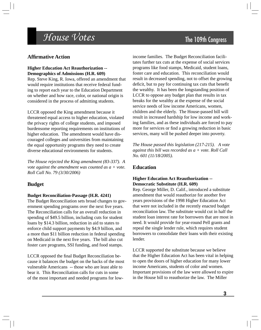# $House \ Votes$  The 109th Congress

# **Affi rmative Action**

## **Higher Education Act Reauthorization -- Demographics of Admissions (H.R. 609)**

Rep. Steve King, R. Iowa, offered an amendment that would require institutions that receive federal funding to report each year to the Education Department on whether and how race, color, or national origin is considered in the process of admitting students.

LCCR opposed the King amendment because it threatened equal access to higher education, violated the privacy rights of college students, and imposed burdensome reporting requirements on institutions of higher education. The amendment would have discouraged colleges and universities from maintaining the equal opportunity programs they need to create diverse educational environments for students.

*The House rejected the King amendment (83-337). A vote against the amendment was counted as a + vote. Roll Call No. 79 (3/30/2006)* 

# **Budget**

## **Budget Reconciliation-Passage (H.R. 4241)**

The Budget Reconciliation sets broad changes to government spending programs over the next five years. The Reconciliation calls for an overall reduction in spending of \$49.5 billion, including cuts for student loans by \$14.3 billion, reduction in aid to states to enforce child support payments by \$4.9 billion, and a more than \$11 billion reduction in federal spending on Medicaid in the next five years. The bill also cut foster care programs, SSI funding, and food stamps.

LCCR opposed the final Budget Reconciliation because it balances the budget on the backs of the most vulnerable Americans -- those who are least able to bear it. This Reconciliation calls for cuts in some of the most important and needed programs for low-

income families. The Budget Reconciliation facilitates further tax cuts at the expense of social services programs like food stamps, Medicaid, student loans, foster care and education. This reconciliation would result in decreased spending, not to offset the growing deficit, but to pay for continuing tax cuts that benefit the wealthy. It has been the longstanding position of LCCR to oppose any budget plan that results in tax breaks for the wealthy at the expense of the social service needs of low income Americans, women, children and the elderly. The House-passed bill will result in increased hardship for low income and working families, and as these individuals are forced to pay more for services or find a growing reduction in basic services, many will be pushed deeper into poverty.

*The House passed this legislation (217-215). A vote against this bill was recorded as a + vote. Roll Call No. 601 (11/18/2005).* 

# **Education**

## **Higher Education Act Reauthorization -- Democratic Substitute (H.R. 609)**

Rep. George Miller, D. Calif., introduced a substitute amendment that would reauthorize for another five years provisions of the 1998 Higher Education Act that were not included in the recently enacted budget reconciliation law. The substitute would cut in half the student loan interest rate for borrowers that are most in need. It would provide for year-round Pell grants and repeal the single lender rule, which requires student borrowers to consolidate their loans with their existing lender.

LCCR supported the substitute because we believe that the Higher Education Act has been vital in helping to open the doors of higher education for many lower income Americans, students of color and women. Important provisions of the law were allowed to expire in the House bill to reauthorize the law. The Miller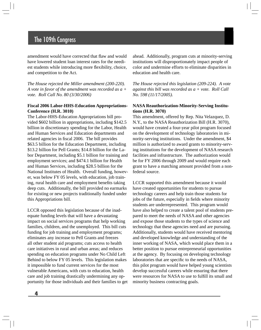amendment would have corrected that flaw and would have lowered student loan interest rates for the neediest students while introducing more flexibility, choice, and competition to the Act.

*The House rejected the Miller amendment (200-220). A vote in favor of the amendment was recorded as a + vote. Roll Call No. 80 (3/30/2006)* 

## **Fiscal 2006 Labor-HHS-Education Appropriations-Conference (H.R. 3010)**

The Labor-HHS-Education Appropriations bill provided \$602 billion in appropriations, including \$142.5 billion in discretionary spending for the Labor, Health and Human Services and Education departments and related agencies in fiscal 2006. The bill provides \$63.5 billion for the Education Department, including \$13.2 billion for Pell Grants; \$14.8 billion for the Labor Department, including \$5.1 billion for training and employment services; and \$474.1 billion for Health and Human Services, including \$28.5 billion for the National Institutes of Health. Overall funding, however, was below FY 05 levels, with education, job training, rural health care and employment benefits taking deep cuts. Additionally, the bill provided no earmarks for existing or new projects traditionally funded under this Appropriations bill.

LCCR opposed this legislation because of the inadequate funding levels that will have a devastating impact on social services programs that help working families, children, and the unemployed. This bill cuts funding for job training and employment programs; eliminates any increase to Pell Grants and freezes all other student aid programs; cuts access to health care initiatives in rural and urban areas; and reduces spending on education programs under No Child Left Behind to below FY 05 levels. This legislation makes it impossible to fund current services for the most vulnerable Americans, with cuts to education, health care and job training drastically undermining any opportunity for those individuals and their families to get ahead. Additionally, program cuts at minority-serving institutions will disproportionately impact people of color and undermine efforts to eliminate disparities in education and health care.

*The House rejected this legislation (209-224). A vote against this bill was recorded as a + vote. Roll Call No. 598 (11/17/2005).* 

#### **NASA Reauthorization-Minority-Serving Institutions (H.R. 3070)**

This amendment, offered by Rep. Nita Velazquez, D. N.Y., to the NASA Reauthorization Bill (H.R. 3070), would have created a four-year pilot program focused on the development of technology laboratories in minority-serving institutions. Under the amendment, \$4 million is authorized to award grants to minority-serving institutions for the development of NASA research facilities and infrastructure. The authorization would be for FY 2006 through 2009 and would require each grant to have a matching amount provided from a nonfederal source.

LCCR supported this amendment because it would have created opportunities for students to pursue technology careers and help train those students for jobs of the future, especially in fields where minority students are underrepresented. This program would have also helped to create a talent pool of students prepared to meet the needs of NASA and other agencies and expose those students to the types of science and technology that these agencies need and are pursuing. Additionally, students would have received mentoring and developed knowledge and understanding of the inner working of NASA, which would place them in a better position to pursue entrepreneurial opportunities at the agency. By focusing on developing technology laboratories that are specific to the needs of NASA, this pilot program would have helped young scientists develop successful careers while ensuring that there were resources for NASA to use to fulfill its small and minority business contracting goals.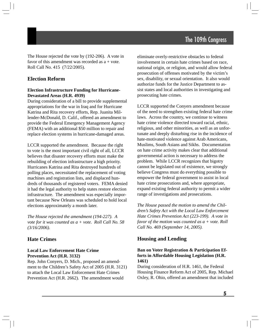The House rejected the vote by (192-206). A vote in favor of this amendment was recorded as  $a + v$ ote. Roll Call No. 415 (7/22/2005).

# **Election Reform**

## **Election Infrastructure Funding for Hurricane-Devastated Areas (H.R. 4939)**

During consideration of a bill to provide supplemental appropriations for the war in Iraq and for Hurricane Katrina and Rita recovery efforts, Rep. Juanita Millender-McDonald, D. Calif., offered an amendment to provide the Federal Emergency Management Agency (FEMA) with an additional \$50 million to repair and replace election systems in hurricane-damaged areas.

LCCR supported the amendment. Because the right to vote is the most important civil right of all, LCCR believes that disaster recovery efforts must make the rebuilding of election infrastructure a high priority. Hurricanes Katrina and Rita destroyed hundreds of polling places, necessitated the replacement of voting machines and registration lists, and displaced hundreds of thousands of registered voters. FEMA denied it had the legal authority to help states restore election infrastructure. The amendment was especially important because New Orleans was scheduled to hold local elections approximately a month later.

*The House rejected the amendment (194-227). A vote for it was counted as a + vote. Roll Call No. 58 (3/16/2006).* 

# **Hate Crimes**

## **Local Law Enforcement Hate Crime Prevention Act (H.R. 3132)**

Rep. John Conyers, D. Mich., proposed an amendment to the Children's Safety Act of 2005 (H.R. 3121) to attach the Local Law Enforcement Hate Crimes Prevention Act (H.R. 2662). The amendment would

eliminate overly-restrictive obstacles to federal involvement in certain hate crimes based on race, national origin, or religion, and would allow federal prosecution of offenses motivated by the victim's sex, disability, or sexual orientation. It also would authorize funds for the Justice Department to assist states and local authorities in investigating and prosecuting hate crimes.

LCCR supported the Conyers amendment because of the need to strengthen existing federal hate crime laws. Across the country, we continue to witness hate crime violence directed toward racial, ethnic, religious, and other minorities, as well as an unfortunate and deeply disturbing rise in the incidence of hate-motivated violence against Arab Americans, Muslims, South Asians and Sikhs. Documentation on hate crime activity makes clear that additional governmental action is necessary to address the problem. While LCCR recognizes that bigotry cannot be legislated out of existence, we strongly believe Congress must do everything possible to empower the federal government to assist in local hate crime prosecutions and, where appropriate, expand existing federal authority to permit a wider range of investigations and prosecutions.

*The House passed the motion to amend the Children's Safety Act with the Local Law Enforcement Hate Crimes Prevention Act (223-199). A vote in favor of the motion was counted as a + vote. Roll Call No. 469 (September 14, 2005).* 

# **Housing and Lending**

## **Ban on Voter Registration & Participation Efforts in Affordable Housing Legislation (H.R. 1461)**

During consideration of H.R. 1461, the Federal Housing Finance Reform Act of 2005, Rep. Michael Oxley, R. Ohio, offered an amendment that included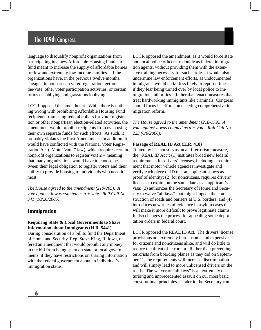language to disqualify nonprofit organizations from participating in a new Affordable Housing Fund – a fund meant to increase the supply of affordable homes for low and extremely low-income families – if the organizations have, in the previous twelve months, engaged in nonpartisan voter registration, get-outthe-vote, other voter participation activities, or certain forms of lobbying and grassroots lobbying.

LCCR opposed the amendment. While there is nothing wrong with prohibiting Affordable Housing Fund recipients from using federal dollars for voter registration or other nonpartisan election-related activities, the amendment would prohibit recipients from even using their own separate funds for such efforts. As such, it probably violates the First Amendment. In addition, it would have conflicted with the National Voter Registration Act ("Motor Voter" law), which requires certain nonprofit organizations to register voters – meaning that many organizations would have to choose between their legal obligation to register voters and their ability to provide housing to individuals who need it most.

*The House agreed to the amendment (210-205). A vote against it was counted as a + vote. Roll Call No. 541 (10/26/2005).* 

## **Immigration**

## **Requiring State & Local Governments to Share Information about Immigrants (H.R. 5441)**

During consideration of a bill to fund the Department of Homeland Security, Rep. Steve King, R. Iowa, offered an amendment that would prohibit any money in the bill from being spent on state or local governments, if they have restrictions on sharing information with the federal government about an individual's immigration status.

LCCR opposed the amendment, as it would force state and local police officers to double as federal immigration agents, without providing them with the extensive training necessary for such a role. It would also undermine law enforcement efforts, as undocumented immigrants would be far less likely to report crimes, if they fear being turned over by local police to immigration authorities. Rather than enact measures that treat hardworking immigrants like criminals, Congress should focus its efforts on enacting comprehensive immigration reform.

*The House agreed to the amendment (218-179). A vote against it was counted as a + vote. Roll Call No. 223 (6/6/2006).* 

#### **Passage of REAL ID Act (H.R. 418)**

Touted by its sponsors as an anti-terrorism measure, the "REAL ID Act": (1) institutes broad new federal requirements for drivers' licenses, including a requirement that motor vehicle agencies investigate and verify each piece of ID that an applicant shows as proof of identity; (2) for noncitizens, requires drivers' licenses to expire on the same date as an applicant's visa; (3) authorizes the Secretary of Homeland Security to waive "all laws" that might impede the construction of roads and barriers at U.S. borders; and (4) introduces new rules of evidence in asylum cases that will make it more difficult to prove legitimate claims. It also changes the process for appealing some deportation orders in federal court.

LCCR opposed the REAL ID Act. The drivers' license provisions are extremely burdensome and expensive, for citizens and noncitizens alike, and will do little to reduce the threat of terrorism. Rather than preventing terrorists from boarding planes as they did on September 11, the requirements will increase discrimination and will simply lead to more unlicensed drivers on the roads. The waiver of "all laws" is an extremely disturbing and unprecedented assault on our most basic constitutional principles. Under it, the Secretary can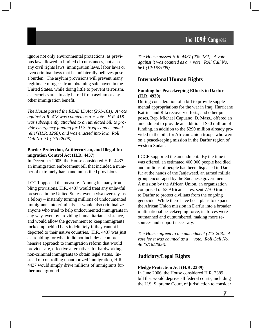ignore not only environmental protections, as previous law allowed in limited circumstances, but also any civil rights laws, immigration laws, labor laws or even criminal laws that he unilaterally believes pose a burden. The asylum provisions will prevent many legitimate refugees from obtaining safe haven in the United States, while doing little to prevent terrorism, as terrorists are already barred from asylum or any other immigration benefit.

*The House passed the REAL ID Act (261-161). A vote against H.R. 418 was counted as a + vote. H.R. 418 was subsequently attached to an unrelated bill to provide emergency funding for U.S. troops and tsunami relief (H.R. 1268), and was enacted into law. Roll Call No. 31 (2/10/2005).* 

#### **Border Protection, Antiterrorism, and Illegal Immigration Control Act (H.R. 4437)**

In December 2005, the House considered H.R. 4437, an immigration enforcement bill that included a number of extremely harsh and unjustified provisions.

LCCR opposed the measure. Among its many troubling provisions, H.R. 4437 would treat any unlawful presence in the United States, even a visa overstay, as a felony – instantly turning millions of undocumented immigrants into criminals. It would also criminalize anyone who tried to help undocumented immigrants in any way, even by providing humanitarian assistance, and would allow the government to keep immigrants locked up behind bars indefinitely if they cannot be deported to their native countries. H.R. 4437 was just as troubling for what it did not include: a comprehensive approach to immigration reform that would provide safe, effective alternatives for hardworking, non-criminal immigrants to obtain legal status. Instead of controlling unauthorized immigration, H.R. 4437 would simply drive millions of immigrants further underground.

*The House passed H.R. 4437 (239-182). A vote against it was counted as a + vote. Roll Call No. 661 (12/16/2005).* 

## **International Human Rights**

## **Funding for Peacekeeping Efforts in Darfur (H.R. 4939)**

During consideration of a bill to provide supplemental appropriations for the war in Iraq, Hurricane Katrina and Rita recovery efforts, and other purposes, Rep. Michael Capuano, D. Mass., offered an amendment to provide an additional \$50 million of funding, in addition to the \$290 million already provided in the bill, for African Union troops who were on a peacekeeping mission in the Darfur region of western Sudan.

LCCR supported the amendment. By the time it was offered, an estimated 400,000 people had died and millions of people had been displaced in Darfur at the hands of the Janjaweed, an armed militia group encouraged by the Sudanese government. A mission by the African Union, an organization comprised of 53 African states, sent 7,700 troops to Darfur to protect civilians from the ongoing genocide. While there have been plans to expand the African Union mission in Darfur into a broader multinational peacekeeping force, its forces were outmanned and outnumbered, making more resources and support necessary.

*The House agreed to the amendment (213-208). A vote for it was counted as a + vote. Roll Call No. 46 (3/16/2006).* 

## **Judiciary/Legal Rights**

#### **Pledge Protection Act (H.R. 2389)**

In June 2006, the House considered H.R. 2389, a bill that would deprive all federal courts, including the U.S. Supreme Court, of jurisdiction to consider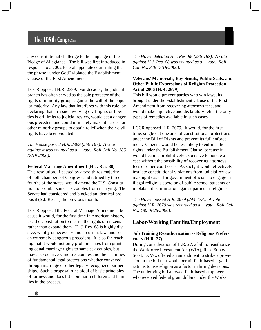any constitutional challenge to the language of the Pledge of Allegiance. The bill was first introduced in response to a 2002 federal appellate court ruling that the phrase "under God" violated the Establishment Clause of the First Amendment.

LCCR opposed H.R. 2389. For decades, the judicial branch has often served as the sole protector of the rights of minority groups against the will of the popular majority. Any law that interferes with this role, by declaring that an issue involving civil rights or liberties is off limits to judicial review, would set a dangerous precedent and could ultimately make it harder for other minority groups to obtain relief when their civil rights have been violated.

*The House passed H.R. 2389 (260-167). A vote against it was counted as a + vote. Roll Call No. 385 (7/19/2006).* 

#### **Federal Marriage Amendment (H.J. Res. 88)**

This resolution, if passed by a two-thirds majority of both chambers of Congress and ratified by threefourths of the states, would amend the U.S. Constitution to prohibit same sex couples from marrying. The Senate had considered and blocked an identical proposal (S.J. Res. 1) the previous month.

LCCR opposed the Federal Marriage Amendment because it would, for the first time in American history, use the Constitution to restrict the rights of citizens rather than expand them. H. J. Res. 88 is highly divisive, wholly unnecessary under current law, and sets an extremely dangerous precedent. It is so far-reaching that it would not only prohibit states from granting equal marriage rights to same sex couples, but may also deprive same sex couples and their families of fundamental legal protections whether conveyed through marriage or other legally recognized partnerships. Such a proposal runs afoul of basic principles of fairness and does little but harm children and families in the process.

*The House defeated H.J. Res. 88 (236-187). A vote against H.J. Res. 88 was counted as a + vote. Roll Call No. 378 (7/18/2006).* 

## **Veterans' Memorials, Boy Scouts, Public Seals, and Other Public Expressions of Religion Protection Act of 2006 (H.R. 2679)**

This bill would prevent parties who win lawsuits brought under the Establishment Clause of the First Amendment from recovering attorneys fees, and would make injunctive and declaratory relief the only types of remedies available in such cases.

LCCR opposed H.R. 2679. It would, for the first time, single out one area of constitutional protections under the Bill of Rights and prevent its full enforcement. Citizens would be less likely to enforce their rights under the Establishment Clause, because it would become prohibitively expensive to pursue a case without the possibility of recovering attorneys fees or other court costs. As such, it would effectively insulate constitutional violations from judicial review, making it easier for government officials to engage in illegal religious coercion of public school students or in blatant discrimination against particular religions.

*The House passed H.R. 2679 (244-173). A vote against H.R. 2679 was recorded as a + vote. Roll Call No. 480 (9/26/2006).* 

## **Labor/Working Families/Employment**

## **Job Training Reauthorization -- Religious Preferences (H.R. 27)**

During consideration of H.R. 27, a bill to reauthorize the Workforce Investment Act (WIA), Rep. Bobby Scott, D. Va., offered an amendment to strike a provision in the bill that would permit faith-based organizations to use religion as a factor in hiring decisions. The underlying bill allowed faith-based employers who received federal grant dollars under the Work-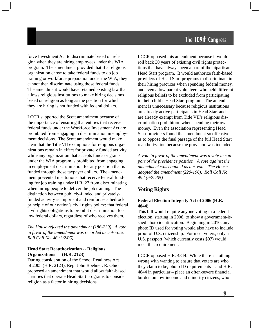force Investment Act to discriminate based on religion when they are hiring employees under the WIA program. The amendment provided that if a religious organization chose to take federal funds to do job training or workforce preparation under the WIA, they cannot then discriminate using those federal funds. The amendment would have retained existing law that allows religious institutions to make hiring decisions based on religion as long as the position for which they are hiring is not funded with federal dollars.

LCCR supported the Scott amendment because of the importance of ensuring that entities that receive federal funds under the Workforce Investment Act are prohibited from engaging in discrimination in employment decisions. The Scott amendment would make clear that the Title VII exemptions for religious organizations remain in effect for privately funded activity, while any organization that accepts funds or grants under the WIA program is prohibited from engaging in employment discrimination for any position that is funded through those taxpayer dollars. The amendment prevented institutions that receive federal funding for job training under H.R. 27 from discriminating when hiring people to deliver the job training. The distinction between publicly-funded and privatelyfunded activity is important and reinforces a bedrock principle of our nation's civil rights policy: that federal civil rights obligations to prohibit discrimination follow federal dollars, regardless of who receives them.

*The House rejected the amendment (186-239). A vote in favor of the amendment was recorded as a + vote. Roll Call No. 46 (3/2/05).* 

## **Head Start Reauthorization -- Religious Organizations (H.R. 2123)**

During consideration of the School Readiness Act of 2005 (H.R. 2123), Rep. John Boehner, R. Ohio, proposed an amendment that would allow faith-based charities that operate Head Start programs to consider religion as a factor in hiring decisions.

LCCR opposed this amendment because it would roll back 30 years of existing civil rights protections that have always been a part of the bipartisan Head Start program. It would authorize faith-based providers of Head Start programs to discriminate in their hiring practices when spending federal money, and even allow parent volunteers who held different religious beliefs to be excluded from participating in their child's Head Start program. The amendment is unnecessary because religious institutions are already active participants in Head Start and are already exempt from Title VII's religious discrimination prohibition when spending their own money. Even the association representing Head Start providers found the amendment so offensive as to oppose the final passage of the full Head Start reauthorization because the provision was included.

*A vote in favor of the amendment was a vote in support of the president's position. A vote against the amendment was counted as a + vote. The House adopted the amendment (220-196). Roll Call No. 492 (9/22/05).* 

# **Voting Rights**

## **Federal Election Integrity Act of 2006 (H.R. 4844)**

This bill would require anyone voting in a federal election, starting in 2008, to show a government-issued photo identification. Beginning in 2010, any photo ID used for voting would also have to include proof of U.S. citizenship. For most voters, only a U.S. passport (which currently costs \$97) would meet this requirement.

LCCR opposed H.R. 4844. While there is nothing wrong with wanting to ensure that voters are who they claim to be, photo ID requirements – and H.R. 4844 in particular – place an often-severe financial burden on low-income and minority citizens, who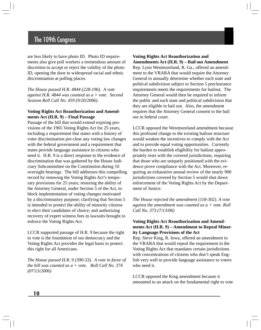are less likely to have photo ID. Photo ID requirements also give poll workers a tremendous amount of discretion to accept or reject the validity of the photo ID, opening the door to widespread racial and ethnic discrimination at polling places.

*The House passed H.R. 4844 (228-196). A vote against H.R. 4844 was counted as a + vote. Second Session Roll Call No. 459 (9/20/2006).* 

#### **Voting Rights Act Reauthorization and Amendments Act (H.R. 9) – Final Passage**

Passage of the bill that would extend expiring provisions of the 1965 Voting Rights Act for 25 years, including a requirement that states with a history of voter discrimination pre-clear any voting law changes with the federal government and a requirement that states provide language assistance to citizens who need it. H.R. 9 is a direct response to the evidence of discrimination that was gathered by the House Judiciary Subcommittee on the Constitution during 10 oversight hearings. The bill addresses this compelling record by renewing the Voting Rights Act's temporary provisions for 25 years; restoring the ability of the Attorney General, under Section 5 of the Act, to block implementation of voting changes motivated by a discriminatory purpose; clarifying that Section 5 is intended to protect the ability of minority citizens to elect their candidates of choice; and authorizing recovery of expert witness fees in lawsuits brought to enforce the Voting Rights Act.

LCCR supported passage of H.R. 9 because the right to vote is the foundation of our democracy and the Voting Rights Act provides the legal basis to protect this right for all Americans.

*The House passed H.R. 9 (390-33). A vote in favor of the bill was counted as a + vote. Roll Call No. 374 (07/13/2006)* 

# **Voting Rights Act Reauthorization and**

**Amendments Act (H.R. 9) – Bail out Amendment**  Rep. Lynn Westmoreland, R. Ga., offered an amendment to the VRARA that would require the Attorney General to annually determine whether each state and political subdivision subject to Section 5 preclearance requirements meets the requirements for bailout. The Attorney General would then be required to inform the public and each state and political subdivision that they are eligible to bail out. Also, the amendment requires that the Attorney General consent to the bail out in federal court.

LCCR opposed the Westmoreland amendment because this profound change to the existing bailout structure would weaken the incentives to comply with the Act and to provide equal voting opportunities. Currently the burden to establish eligibility for bailout appropriately rests with the covered jurisdictions, requiring that those who are uniquely positioned with the evidence prove compliance with the Act. Moreover, requiring an exhaustive annual review of the nearly 900 jurisdictions covered by Section 5 would shut down enforcement of the Voting Rights Act by the Department of Justice.

*The House rejected the amendment (118-302). A vote against the amendment was counted as a + vote. Roll Call No. 373 (7/13/06)* 

## **Voting Rights Act Reauthorization and Amendments Act (H.R. 9) – Amendment to Repeal Minority Language Provisions of the Act**

Rep. Steve King, R. Iowa, offered an amendment to the VRARA that would repeal the requirement in the Voting Rights Act that mandates certain jurisdictions with concentrations of citizens who don't speak English very well to provide language assistance to voters who need it.

LCCR opposed the King amendment because it amounted to an attack on the fundamental right to vote

**10**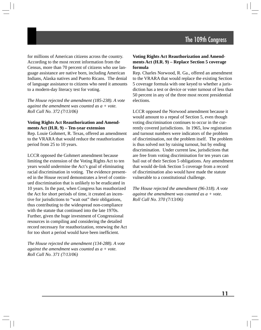for millions of American citizens across the country. According to the most recent information from the Census, more than 70 percent of citizens who use language assistance are native born, including American Indians, Alaska natives and Puerto Ricans. The denial of language assistance to citizens who need it amounts to a modern-day literacy test for voting.

*The House rejected the amendment (185-238). A vote against the amendment was counted as a + vote. Roll Call No. 372 (7/13/06)* 

#### **Voting Rights Act Reauthorization and Amendments Act (H.R. 9) – Ten-year extension**

Rep. Louie Gohmert, R. Texas, offered an amendment to the VRARA that would reduce the reauthorization period from 25 to 10 years.

LCCR opposed the Gohmert amendment because limiting the extension of the Voting Rights Act to ten years would undermine the Act's goal of eliminating racial discrimination in voting. The evidence presented in the House record demonstrates a level of continued discrimination that is unlikely to be eradicated in 10 years. In the past, when Congress has reauthorized the Act for short periods of time, it created an incentive for jurisdictions to "wait out" their obligations, thus contributing to the widespread non-compliance with the statute that continued into the late 1970s. Further, given the huge investment of Congressional resources in compiling and considering the detailed record necessary for reauthorization, renewing the Act for too short a period would have been inefficient.

*The House rejected the amendment (134-288). A vote against the amendment was counted as a + vote. Roll Call No. 371 (7/13/06)* 

## **Voting Rights Act Reauthorization and Amendments Act (H.R. 9) – Replace Section 5 coverage formula**

Rep. Charles Norwood, R. Ga., offered an amendment to the VRARA that would replace the existing Section 5 coverage formula with one keyed to whether a jurisdiction has a test or device or voter turnout of less than 50 percent in any of the three most recent presidential elections.

LCCR opposed the Norwood amendment because it would amount to a repeal of Section 5, even though voting discrimination continues to occur in the currently covered jurisdictions. In 1965, low registration and turnout numbers were indicators of the problem of discrimination, not the problem itself. The problem is thus solved not by raising turnout, but by ending discrimination. Under current law, jurisdictions that are free from voting discrimination for ten years can bail out of their Section 5 obligations. Any amendment that would de-link Section 5 coverage from a record of discrimination also would have made the statute vulnerable to a constitutional challenge.

*The House rejected the amendment (96-318). A vote against the amendment was counted as a + vote. Roll Call No. 370 (7/13/06)*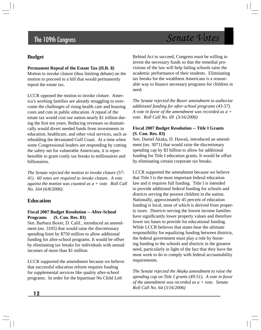# **Budget**

## **Permanent Repeal of the Estate Tax (H.R. 8)**

Motion to invoke cloture (thus limiting debate) on the motion to proceed to a bill that would permanently repeal the estate tax.

LCCR opposed the motion to invoke cloture. America's working families are already struggling to overcome the challenges of rising health care and housing costs and cuts in public education. A repeal of the estate tax would cost our nation nearly \$1 trillion during the first ten years. Reducing revenues so dramatically would divert needed funds from investments in education, healthcare, and other vital services, such as rebuilding the devastated Gulf Coast. At a time when some Congressional leaders are responding by cutting the safety net for vulnerable Americans, it is reprehensible to grant costly tax breaks to millionaires and billionaires.

*The Senate rejected the motion to invoke cloture (57- 41). 60 votes are required to invoke cloture. A vote against the motion was counted as a + vote. Roll Call No. 164 (6/8/2006).* 

# **Education**

## **Fiscal 2007 Budget Resolution -- After-School Programs (S. Con. Res. 83)**

Sen. Barbara Boxer, D. Calif., introduced an amendment (no. 3105) that would raise the discretionary spending limit by \$750 million to allow additional funding for after-school programs. It would be offset by eliminating tax breaks for individuals with annual incomes of more than \$1 million.

LCCR supported the amendment because we believe that successful education reform requires funding for supplemental services like quality after-school programs. In order for the bipartisan No Child Left

Behind Act to succeed, Congress must be willing to invest the necessary funds so that the remedial provisions of the law will help failing schools raise the academic performance of their students. Eliminating tax breaks for the wealthiest Americans is a reasonable way to finance necessary programs for children in need.

*The Senate rejected the Boxer amendment to authorize additional funding for after-school programs (43-57). A vote in favor of the amendment was recorded as a + vote. Roll Call No. 69 (3/16/2006)* 

## **Fiscal 2007 Budget Resolution -- Title I Grants (S. Con. Res. 83)**

Sen. Daniel Akaka, D. Hawaii, introduced an amendment (no. 3071) that would raise the discretionary spending cap by \$3 billion to allow for additional funding for Title I education grants. It would be offset by eliminating certain corporate tax breaks.

LCCR supported the amendment because we believe that Title I is the most important federal education law and it requires full funding. Title I is intended to provide additional federal funding for schools and districts serving the poorest children in the nation. Nationally, approximately 45 percent of education funding is local, most of which is derived from property taxes. Districts serving the lowest income families have significantly lower property values and therefore lower tax bases to provide for educational funding. While LCCR believes that states bear the ultimate responsibility for equalizing funding between districts, the federal government must play a role by boosting funding to the schools and districts in the greatest need, particularly in light of the fact that they have the most work to do to comply with federal accountability requirements.

*The Senate rejected the Akaka amendment to raise the spending cap on Title I grants (49-51). A vote in favor of the amendment was recorded as a + vote. Senate Roll Call No. 64 (3/16/2006)*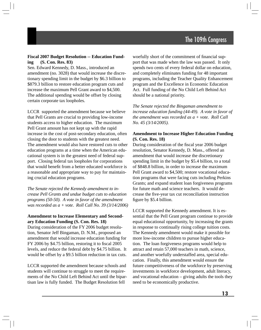#### **Fiscal 2007 Budget Resolution -- Education Funding (S. Con. Res. 83)**

Sen. Edward Kennedy, D. Mass., introduced an amendment (no. 3028) that would increase the discretionary spending limit in the budget by \$6.3 billion to \$879.3 billion to restore education program cuts and increase the maximum Pell Grant award to \$4,500. The additional spending would be offset by closing certain corporate tax loopholes.

LCCR supported the amendment because we believe that Pell Grants are crucial to providing low-income students access to higher education. The maximum Pell Grant amount has not kept up with the rapid increase in the cost of post-secondary education, often closing the door to students with the greatest need. The amendment would also have restored cuts to other education programs at a time when the American educational system is in the greatest need of federal support. Closing federal tax loopholes for corporations that would benefit from a better educated workforce is a reasonable and appropriate way to pay for maintaining crucial education programs.

*The Senate rejected the Kennedy amendment to increase Pell Grants and undue budget cuts to education programs (50-50). A vote in favor of the amendment was recorded as a + vote. Roll Call No. 39 (3/14/2006)* 

## **Amendment to Increase Elementary and Secondary Education Funding (S. Con. Res. 18)**

During consideration of the FY 2006 budget resolution, Senator Jeff Bingaman, D. N.M., proposed an amendment that would increase education funding for FY 2006 by \$4.75 billion, restoring it to fiscal 2005 levels, and reduce the federal debt by \$4.75 billion. It would be offset by a \$9.5 billion reduction in tax cuts.

LCCR supported the amendment because schools and students will continue to struggle to meet the requirements of the No Child Left Behind Act until the bipartisan law is fully funded. The Budget Resolution fell

woefully short of the commitment of financial support that was made when the law was passed. It only spends two cents of every federal dollar on education, and completely eliminates funding for 48 important programs, including the Teacher Quality Enhancement program and the Excellence in Economic Education Act. Full funding of the No Child Left Behind Act should be a national priority.

*The Senate rejected the Bingaman amendment to increase education funding (44-49). A vote in favor of the amendment was recorded as a + vote. Roll Call No. 45 (3/14/2005).* 

## **Amendment to Increase Higher Education Funding (S. Con. Res. 18)**

During consideration of the fiscal year 2006 budget resolution, Senator Kennedy, D. Mass., offered an amendment that would increase the discretionary spending limit in the budget by \$5.4 billion, to a total of \$848.8 billion, in order to increase the maximum Pell Grant award to \$4,500; restore vocational education programs that were facing cuts including Perkins Grants; and expand student loan forgiveness programs for future math and science teachers. It would decrease the five-year tax cut reconciliation instruction figure by \$5.4 billion.

LCCR supported the Kennedy amendment. It is essential that the Pell Grant program continue to provide equal educational opportunity, by increasing the grants in response to continually rising college tuition costs. The Kennedy amendment would make it possible for more low-income children to pursue higher education. The loan forgiveness programs would help to attract and retain 57,000 teachers in math, science, and another woefully understaffed area, special education. Finally, this amendment would ensure the future competitiveness of the workforce by preserving investments in workforce development, adult literacy, and vocational education – giving adults the tools they need to be economically productive.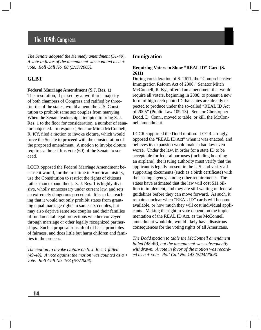*The Senate adopted the Kennedy amendment (51-49). A vote in favor of the amendment was counted as a + vote. Roll Call No. 68 (3/17/2005).* 

## **GLBT**

#### **Federal Marriage Amendment (S.J. Res. 1)**

This resolution, if passed by a two-thirds majority of both chambers of Congress and ratified by threefourths of the states, would amend the U.S. Constitution to prohibit same sex couples from marrying. When the Senate leadership attempted to bring S. J. Res. 1 to the floor for consideration, a number of senators objected. In response, Senator Mitch McConnell, R. KY, filed a motion to invoke cloture, which would force the Senate to proceed with the consideration of the proposed amendment. A motion to invoke cloture requires a three-fifths vote (60) of the Senate to succeed.

LCCR opposed the Federal Marriage Amendment because it would, for the first time in American history, use the Constitution to restrict the rights of citizens rather than expand them. S. J. Res. 1 is highly divisive, wholly unnecessary under current law, and sets an extremely dangerous precedent. It is so far-reaching that it would not only prohibit states from granting equal marriage rights to same sex couples, but may also deprive same sex couples and their families of fundamental legal protections whether conveyed through marriage or other legally recognized partnerships. Such a proposal runs afoul of basic principles of fairness, and does little but harm children and families in the process.

*The motion to invoke cloture on S. J. Res. 1 failed (49-48). A vote against the motion was counted as a + vote. Roll Call No. 163 (6/7/2006).* 

## **Immigration**

#### **Requiring Voters to Show "REAL ID" Card (S. 2611)**

During consideration of S. 2611, the "Comprehensive Immigration Reform Act of 2006," Senator Mitch McConnell, R. Ky., offered an amendment that would require all voters, beginning in 2008, to present a new form of high-tech photo ID that states are already expected to produce under the so-called "REAL ID Act of 2005" (Public Law 109-13). Senator Christopher Dodd, D. Conn., moved to table, or kill, the McConnell amendment.

LCCR supported the Dodd motion. LCCR strongly opposed the "REAL ID Act" when it was enacted, and believes its expansion would make a bad law even worse. Under the law, in order for a state ID to be acceptable for federal purposes (including boarding an airplane), the issuing authority must verify that the applicant is legally present in the U.S. and verify all supporting documents (such as a birth certificate) with the issuing agency, among other requirements. The states have estimated that the law will cost \$11 billion to implement, and they are still waiting on federal guidelines before they can move forward. As such, it remains unclear when "REAL ID" cards will become available, or how much they will cost individual applicants. Making the right to vote depend on the implementation of the REAL ID Act, as the McConnell amendment would do, would likely have disastrous consequences for the voting rights of all Americans.

*The Dodd motion to table the McConnell amendment failed (48-49), but the amendment was subsequently withdrawn. A vote in favor of the motion was recorded as a + vote. Roll Call No. 143 (5/24/2006).*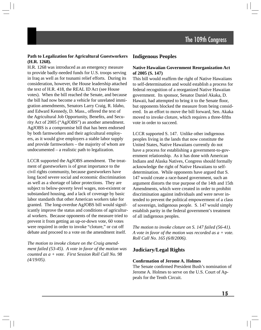## **Path to Legalization for Agricultural Guestworkers (H.R. 1268).**

H.R. 1268 was introduced as an emergency measure to provide badly-needed funds for U.S. troops serving in Iraq as well as for tsunami relief efforts. During its consideration, however, the House leadership attached the text of H.R. 418, the REAL ID Act (see House votes). When the bill reached the Senate, and because the bill had now become a vehicle for unrelated immigration amendments, Senators Larry Craig, R. Idaho, and Edward Kennedy, D. Mass., offered the text of the Agricultural Job Opportunity, Benefits, and Security Act of 2005 ("AgJOBS") as another amendment. AgJOBS is a compromise bill that has been endorsed by both farmworkers and their agricultural employers, as it would give employers a stable labor supply and provide farmworkers – the majority of whom are undocumented – a realistic path to legalization.

LCCR supported the AgJOBS amendment. The treatment of guestworkers is of great importance to the civil rights community, because guestworkers have long faced severe social and economic discrimination as well as a shortage of labor protections. They are subject to below-poverty level wages, non-existent or substandard housing, and a lack of coverage by basic labor standards that other American workers take for granted. The long-overdue AgJOBS bill would significantly improve the status and conditions of agricultural workers. Because opponents of the measure tried to prevent it from getting an up-or-down vote, 60 votes were required in order to invoke "cloture," or cut off debate and proceed to a vote on the amendment itself.

*The motion to invoke cloture on the Craig amendment failed (53-45). A vote in favor of the motion was counted as a + vote. First Session Roll Call No. 98 (4/19/05).* 

# **Indigenous Peoples**

## **Native Hawaiian Government Reorganization Act of 2005 (S. 147)**

This bill would reaffirm the right of Native Hawaiians to self-determination and would establish a process for federal recognition of a reorganized Native Hawaiian government. Its sponsor, Senator Daniel Akaka, D. Hawaii, had attempted to bring it to the Senate floor, but opponents blocked the measure from being considered. In an effort to move the bill forward, Sen. Akaka moved to invoke cloture, which requires a three-fifths vote in order to succeed.

LCCR supported S. 147. Unlike other indigenous peoples living in the lands that now constitute the United States, Native Hawaiians currently do not have a process for establishing a government-to-government relationship. As it has done with American Indians and Alaska Natives, Congress should formally acknowledge the right of Native Hawaiians to selfdetermination. While opponents have argued that S. 147 would create a race-based government, such an argument distorts the true purpose of the 14th and 15th Amendments, which were created in order to prohibit discrimination against individuals and were never intended to prevent the political empowerment of a class of sovereign, indigenous people. S. 147 would simply establish parity in the federal government's treatment of all indigenous peoples.

*The motion to invoke cloture on S. 147 failed (56-41). A vote in favor of the motion was recorded as a + vote. Roll Call No. 165 (6/8/2006).* 

# **Judiciary/Legal Rights**

#### **Confirmation of Jerome A. Holmes**

The Senate confirmed President Bush's nomination of Jerome A. Holmes to serve on the U.S. Court of Appeals for the Tenth Circuit.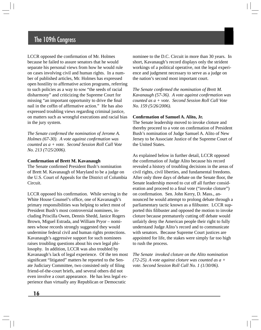LCCR opposed the confirmation of Mr. Holmes because he failed to assure senators that he would separate his personal views from how he would rule on cases involving civil and human rights. In a number of published articles, Mr. Holmes has expressed open hostility to affirmative action programs, referring to such policies as a way to sow "the seeds of racial disharmony" and criticizing the Supreme Court for missing "an important opportunity to drive the final nail in the coffin of affirmative action." He has also expressed troubling views regarding criminal justice, on matters such as wrongful executions and racial bias in the jury system.

*The Senate confirmed the nomination of Jerome A. Holmes (67-30). A vote against confirmation was counted as a + vote. Second Session Roll Call Vote No. 213 (7/25/2006).* 

#### **Confirmation of Brett M. Kavanaugh**

The Senate confirmed President Bush's nomination of Brett M. Kavanaugh of Maryland to be a judge on the U.S. Court of Appeals for the District of Columbia Circuit.

LCCR opposed his confirmation. While serving in the White House Counsel's office, one of Kavanaugh's primary responsibilities was helping to select most of President Bush's most controversial nominees, including Priscilla Owen, Dennis Shedd, Janice Rogers Brown, Miguel Estrada, and William Pryor – nominees whose records strongly suggested they would undermine federal civil and human rights protections. Kavanaugh's aggressive support for such nominees raises troubling questions about his own legal philosophy. In addition, LCCR was also troubled by Kavanaugh's lack of legal experience. Of the ten most significant "litigated" matters he reported to the Senate Judiciary Committee, two consisted only of filing friend-of-the-court briefs, and several others did not even involve a court appearance. He has less legal experience than virtually any Republican or Democratic

nominee to the D.C. Circuit in more than 30 years. In short, Kavanaugh's record displays only the strident workings of a political operative, not the legal experience and judgment necessary to serve as a judge on the nation's second most important court.

*The Senate confi rmed the nomination of Brett M. Kavanaugh (57-36). A vote against confirmation was counted as a + vote. Second Session Roll Call Vote No. 159 (5/26/2006).* 

#### **Confirmation of Samuel A. Alito, Jr.**

The Senate leadership moved to invoke cloture and thereby proceed to a vote on confirmation of President Bush's nomination of Judge Samuel A. Alito of New Jersey to be Associate Justice of the Supreme Court of the United States.

As explained below in further detail, LCCR opposed the confirmation of Judge Alito because his record revealed a history of troubling decisions in the areas of civil rights, civil liberties, and fundamental freedoms. After only three days of debate on the Senate floor, the Senate leadership moved to cut off all further consideration and proceed to a final vote ("invoke cloture") on confirmation. Sen. John Kerry, D. Mass., announced he would attempt to prolong debate through a parliamentary tactic known as a filibuster. LCCR supported this filibuster and opposed the motion to invoke cloture because prematurely cutting off debate would unfairly deny the American people their right to fully understand Judge Alito's record and to communicate with senators. Because Supreme Court justices are appointed for life, the stakes were simply far too high to rush the process.

*The Senate invoked cloture on the Alito nomination (72-25). A vote against cloture was counted as a + vote. Second Session Roll Call No. 1 (1/30/06).*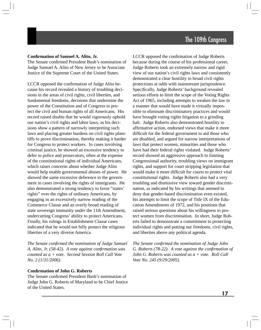#### **Confirmation of Samuel A. Alito, Jr.**

The Senate confirmed President Bush's nomination of Judge Samuel A. Alito of New Jersey to be Associate Justice of the Supreme Court of the United States.

LCCR opposed the confirmation of Judge Alito because his record revealed a history of troubling decisions in the areas of civil rights, civil liberties, and fundamental freedoms, decisions that undermine the power of the Constitution and of Congress to protect the civil and human rights of all Americans. His record raised doubts that he would vigorously uphold our nation's civil rights and labor laws, as his decisions show a pattern of narrowly interpreting such laws and placing greater burdens on civil rights plaintiffs to prove discrimination, thereby making it harder for Congress to protect workers. In cases involving criminal justice, he showed an excessive tendency to defer to police and prosecutors, often at the expense of the constitutional rights of individual Americans, which raises concerns about whether Judge Alito would help enable governmental abuses of power. He showed the same excessive deference to the government in cases involving the rights of immigrants. He also demonstrated a strong tendency to favor "states' rights" over the rights of ordinary Americans, by engaging in an excessively narrow reading of the Commerce Clause and an overly broad reading of state sovereign immunity under the 11th Amendment, undercutting Congress' ability to protect Americans. Finally, his rulings in Establishment Clause cases indicated that he would not fully protect the religious liberties of a very diverse America.

*The Senate confirmed the nomination of Judge Samuel A. Alito, Jr. (58-42). A vote against confirmation was counted as a + vote. Second Session Roll Call Vote No. 2 (1/31/2006).* 

#### **Confirmation of John G. Roberts**

The Senate confirmed President Bush's nomination of Judge John G. Roberts of Maryland to be Chief Justice of the United States.

LCCR opposed the confirmation of Judge Roberts because during the course of his professional career, Judge Roberts took an extremely narrow and rigid view of our nation's civil rights laws and consistently demonstrated a clear hostility to broad civil rights protections at odds with mainstream jurisprudence. Specifically, Judge Roberts' background revealed serious efforts to limit the scope of the Voting Rights Act of 1965, including attempts to weaken the law in a manner that would have made it virtually impossible to eliminate discriminatory practices and would have brought voting rights litigation to a grinding halt. Judge Roberts also demonstrated hostility to affirmative action, endorsed views that make it more difficult for the federal government to aid those who are disabled, and argued for narrow interpretations of laws that protect women, minorities and those who have had their federal rights violated. Judge Roberts' record showed an aggressive approach to limiting Congressional authority, troubling views on immigrant rights, and support for court stripping legislation that would make it more difficult for courts to protect vital constitutional rights. Judge Roberts also had a very troubling and dismissive view toward gender discrimination, as indicated by his writings that seemed to deny that gender-based discrimination even existed, his attempts to limit the scope of Title IX of the Education Amendments of 1972, and his positions that raised serious questions about his willingness to protect women from discrimination. In short, Judge Roberts failed to demonstrate a commitment to protecting individual rights and putting our freedoms, civil rights, and liberties above any political agenda.

*The Senate confirmed the nomination of Judge John G. Roberts (78-22). A vote against the confirmation of John G. Roberts was counted as a + vote. Roll Call Vote No. 245 (9/29/2005).*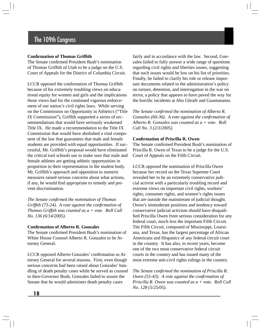## **Confirmation of Thomas Griffith**

The Senate confirmed President Bush's nomination of Thomas Griffith of Utah to be a judge on the U.S. Court of Appeals for the District of Columbia Circuit.

LCCR opposed the confirmation of Thomas Griffith because of his extremely troubling views on educational equity for women and girls and the implications those views had for the continued vigorous enforcement of our nation's civil rights laws. While serving on the Commission on Opportunity in Athletics ("Title IX Commission"), Griffith supported a series of recommendations that would have seriously weakened Title IX. He made a recommendation to the Title IX Commission that would have abolished a vital component of the law that guarantees that male and female students are provided with equal opportunities. If successful, Mr. Griffith's proposal would have eliminated the critical tool schools use to make sure that male and female athletes are getting athletic opportunities in proportion to their representation in the student body. Mr. Griffith's approach and opposition to numeric measures raised serious concerns about what actions, if any, he would find appropriate to remedy and prevent discrimination.

*The Senate confirmed the nomination of Thomas Griffith (73-24). A vote against the confirmation of Thomas Griffith was counted as a + vote. Roll Call No. 136 (6/14/2005).* 

### **Confirmation of Alberto R. Gonzales**

The Senate confirmed President Bush's nomination of White House Counsel Alberto R. Gonzales to be Attorney General.

LCCR opposed Alberto Gonzales' confirmation as Attorney General for several reasons. First, even though serious concerns had been raised about Gonzales' handling of death penalty cases while he served as counsel to then-Governor Bush, Gonzales failed to assure the Senate that he would administer death penalty cases

fairly and in accordance with the law. Second, Gonzales failed to fully answer a wide range of questions regarding civil rights and liberties issues, suggesting that such issues would be low on his list of priorities. Finally, he failed to clarify his role or release important documents related to the administration's policy on torture, detention, and interrogation in the war on terror, a policy that appears to have paved the way for the horrific incidents at Abu Ghraib and Guantanamo.

*The Senate confirmed the nomination of Alberto R. Gonzales (60-36). A vote against the confirmation of Alberto R. Gonzales was counted as a + vote. Roll Call No. 3 (2/3/2005).* 

## **Confirmation of Priscilla R. Owen**

The Senate confirmed President Bush's nomination of Priscilla R. Owen of Texas to be a judge for the U.S. Court of Appeals on the Fifth Circuit.

LCCR opposed the nomination of Priscilla Owen because her record on the Texas Supreme Court revealed her to be an extremely conservative judicial activist with a particularly troubling record and extreme views on important civil rights, workers' rights, consumer rights, and women's rights issues that are outside the mainstream of judicial thought. Owen's immoderate positions and tendency toward conservative judicial activism should have disqualified Priscilla Owen from serious consideration for any federal court, much less the important Fifth Circuit. The Fifth Circuit, composed of Mississippi, Louisiana, and Texas, has the largest percentage of African Americans and Hispanics of any federal circuit court in the country. It has also, in recent years, become one of the two most conservative federal circuit courts in the country and has issued many of the most extreme anti-civil rights rulings in the country.

*The Senate confirmed the nomination of Priscilla R. Owen (55-43). A vote against the confirmation of Priscilla R. Owen was counted as a + vote. Roll Call No. 128 (5/25/05).*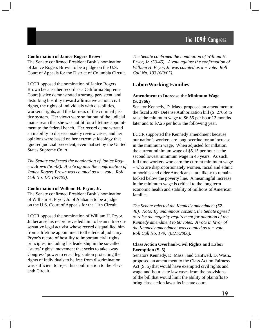## **Confirmation of Janice Rogers Brown**

The Senate confirmed President Bush's nomination of Janice Rogers Brown to be a judge on the U.S. Court of Appeals for the District of Columbia Circuit.

LCCR opposed the nomination of Janice Rogers Brown because her record as a California Supreme Court justice demonstrated a strong, persistent, and disturbing hostility toward affirmative action, civil rights, the rights of individuals with disabilities, workers' rights, and the fairness of the criminal justice system. Her views were so far out of the judicial mainstream that she was not fit for a lifetime appointment to the federal bench. Her record demonstrated an inability to dispassionately review cases, and her opinions were based on her extremist ideology that ignored judicial precedent, even that set by the United States Supreme Court.

*The Senate confirmed the nomination of Janice Rogers Brown (56-43). A vote against the confirmation of Janice Rogers Brown was counted as a + vote. Roll Call No. 131 (6/8/05).* 

## **Confirmation of William H. Pryor, Jr.**

The Senate confirmed President Bush's nomination of William H. Pryor, Jr. of Alabama to be a judge on the U.S. Court of Appeals for the 11th Circuit.

LCCR opposed the nomination of William H. Pryor, Jr. because his record revealed him to be an ultra-conservative legal activist whose record disqualified him from a lifetime appointment to the federal judiciary. Pryor's record of hostility to important civil rights principles, including his leadership in the so-called "states' rights" movement that seeks to take away Congress' power to enact legislation protecting the rights of individuals to be free from discrimination, was sufficient to reject his confirmation to the Eleventh Circuit.

*The Senate confi rmed the nomination of William H. Pryor, Jr. (53-45). A vote against the confirmation of William H. Pryor, Jr. was counted as a + vote. Roll Call No. 133 (6/9/05).* 

# **Labor/Working Families**

## **Amendment to Increase the Minimum Wage (S. 2766)**

Senator Kennedy, D. Mass, proposed an amendment to the fiscal 2007 Defense Authorization bill (S. 2766) to raise the minimum wage to \$6.55 per hour 12 months later and to \$7.25 per hour the following year.

LCCR supported the Kennedy amendment because our nation's workers are long overdue for an increase in the minimum wage. When adjusted for inflation, the current minimum wage of \$5.15 per hour is the second lowest minimum wage in 45 years. As such, full time workers who earn the current minimum wage – who are disproportionately women, racial and ethnic minorities and older Americans – are likely to remain locked below the poverty line. A meaningful increase in the minimum wage is critical to the long term economic health and stability of millions of American families.

*The Senate rejected the Kennedy amendment (52- 46). Note: By unanimous consent, the Senate agreed to raise the majority requirement for adoption of the Kennedy amendment to 60 votes. A vote in favor of the Kennedy amendment was counted as a + vote. Roll Call No. 179. (6/21/2006).* 

## **Class Action Overhaul-Civil Rights and Labor Exemption (S. 5)**

Senators Kennedy, D. Mass., and Cantwell, D. Wash., proposed an amendment to the Class Action Fairness Act (S. 5) that would have exempted civil rights and wage-and-hour state law cases from the provisions of the bill that would limit the ability of plaintiffs to bring class action lawsuits in state court.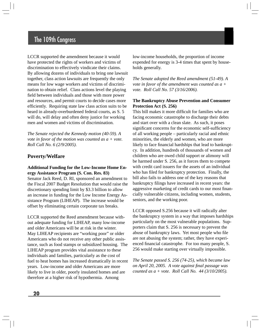LCCR supported the amendment because it would have protected the rights of workers and victims of discrimination to effectively vindicate their claims. By allowing dozens of individuals to bring one lawsuit together, class action lawsuits are frequently the only means for low wage workers and victims of discrimination to obtain relief. Class actions level the playing field between individuals and those with more power and resources, and permit courts to decide cases more efficiently. Requiring state law class action suits to be heard in already-overburdened federal courts, as S. 5 will do, will delay and often deny justice for working men and women and victims of discrimination.

*The Senate rejected the Kennedy motion (40-59). A vote in favor of the motion was counted as a + vote. Roll Call No. 6 (2/9/2005).* 

## **Poverty/Welfare**

## **Additional Funding for the Low-Income Home Energy Assistance Program (S. Con. Res. 83)**

Senator Jack Reed, D. RI, sponsored an amendment to the Fiscal 2007 Budget Resolution that would raise the discretionary spending limit by \$3.3 billion to allow an increase in funding for the Low Income Energy Assistance Program (LIHEAP). The increase would be offset by eliminating certain corporate tax breaks.

LCCR supported the Reed amendment because without adequate funding for LIHEAP, many low-income and older Americans will be at risk in the winter. May LIHEAP recipients are "working poor" or older Americans who do not receive any other public assistance, such as food stamps or subsidized housing. The LIHEAP program provides vital assistance to these individuals and families, particularly as the cost of fuel to heat homes has increased dramatically in recent years. Low-income and older Americans are more likely to live in older, poorly insulated homes and are therefore at a higher risk of hypothermia. Among

low-income households, the proportion of income expended for energy is 3-4 times that spent by households generally.

*The Senate adopted the Reed amendment (51-49). A vote in favor of the amendment was counted as a + vote. Roll Call No. 57 (3/16/2006).* 

#### **The Bankruptcy Abuse Prevention and Consumer Protection Act (S. 256)**

This bill makes it more difficult for families who are facing economic catastrophe to discharge their debts and start over with a clean slate. As such, it poses significant concerns for the economic self-sufficiency of all working people – particularly racial and ethnic minorities, the elderly and women, who are more likely to face financial hardships that lead to bankruptcy. In addition, hundreds of thousands of women and children who are owed child support or alimony will be harmed under S. 256, as it forces them to compete with credit card issuers for the assets of an individual who has filed for bankruptcy protection. Finally, the bill also fails to address one of the key reasons that bankruptcy filings have increased in recent years: the aggressive marketing of credit cards to our most financially vulnerable citizens, including women, students, seniors, and the working poor.

LCCR opposed S.256 because it will radically alter the bankruptcy system in a way that imposes hardships particularly on the most vulnerable populations. Supporters claim that S. 256 is necessary to prevent the abuse of bankruptcy laws. Yet most people who file are not abusing the system; rather, they have experienced financial catastrophe. For too many people, S. 256 would make starting over virtually impossible.

*The Senate passed S. 256 (74-25), which became law on April 20, 2005. A vote against final passage was counted as a + vote. Roll Call No. 44 (3/10/2005).*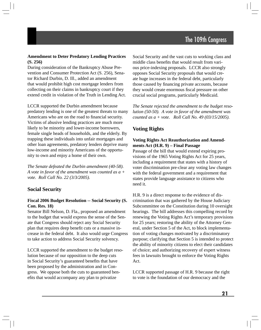## **Amendment to Deter Predatory Lending Practices (S. 256)**

During consideration of the Bankruptcy Abuse Prevention and Consumer Protection Act (S. 256), Senator Richard Durbin, D. Ill., added an amendment that would prohibit high cost mortgage lenders from collecting on their claims in bankruptcy court if they extend credit in violation of the Truth in Lending Act.

LCCR supported the Durbin amendment because predatory lending is one of the greatest threats to many Americans who are on the road to financial security. Victims of abusive lending practices are much more likely to be minority and lower-income borrowers, female single heads of households, and the elderly. By trapping these individuals into unfair mortgages and other loan agreements, predatory lenders deprive many low-income and minority Americans of the opportunity to own and enjoy a home of their own.

*The Senate defeated the Durbin amendment (40-58). A vote in favor of the amendment was counted as a + vote. Roll Call No. 22 (3/3/2005).* 

# **Social Security**

## **Fiscal 2006 Budget Resolution -- Social Security (S. Con. Res. 18)**

Senator Bill Nelson, D. Fla., proposed an amendment to the budget that would express the sense of the Senate that Congress should reject any Social Security plan that requires deep benefit cuts or a massive increase in the federal debt. It also would urge Congress to take action to address Social Security solvency.

LCCR supported the amendment to the budget resolution because of our opposition to the deep cuts in Social Security's guaranteed benefits that have been proposed by the administration and in Congress. We oppose both the cuts to guaranteed benefits that would accompany any plan to privatize

Social Security and the vast cuts to working class and middle class benefits that would result from various price-indexing proposals. LCCR also strongly opposes Social Security proposals that would create huge increases in the federal debt, particularly those caused by financing private accounts, because they would create enormous fiscal pressure on other crucial social programs, particularly Medicaid.

*The Senate rejected the amendment to the budget resolution (50-50). A vote in favor of the amendment was counted as a + vote. Roll Call No. 49 (03/15/2005).* 

# **Voting Rights**

## **Voting Rights Act Reauthorization and Amendments Act (H.R. 9) – Final Passage**

Passage of the bill that would extend expiring provisions of the 1965 Voting Rights Act for 25 years, including a requirement that states with a history of voter discrimination pre-clear any voting law changes with the federal government and a requirement that states provide language assistance to citizens who need it.

H.R. 9 is a direct response to the evidence of discrimination that was gathered by the House Judiciary Subcommittee on the Constitution during 10 oversight hearings. The bill addresses this compelling record by renewing the Voting Rights Act's temporary provisions for 25 years; restoring the ability of the Attorney General, under Section 5 of the Act, to block implementation of voting changes motivated by a discriminatory purpose; clarifying that Section 5 is intended to protect the ability of minority citizens to elect their candidates of choice; and authorizing recovery of expert witness fees in lawsuits brought to enforce the Voting Rights Act.

LCCR supported passage of H.R. 9 because the right to vote is the foundation of our democracy and the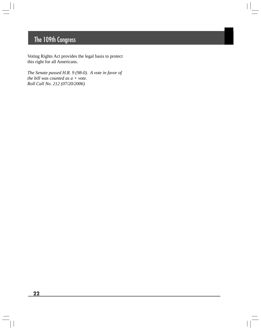Voting Rights Act provides the legal basis to protect this right for all Americans.

*The Senate passed H.R. 9 (98-0). A vote in favor of the bill was counted as a + vote. Roll Call No. 212 (07/20/2006)*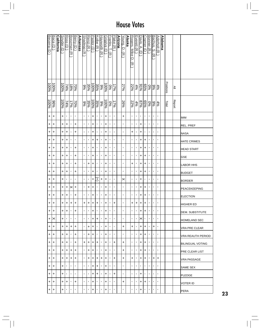| Becerra (D            | Baca<br>Ĝ        | <b>California</b> | Snyder (D         | Ross $(D)$       | <b>Boozman</b><br>$\widehat{\pi}$ | Berry (D          | <b>Arkansas</b> | <u>Shadegg (R</u> | <u>Renzi (R</u> | Pastor (D | Kolbe (R       | <b>Hayworth (R</b> | Grijalva (D         | Franks, T.<br>$\widehat{\pi}$ | Flake (R       | Arizona | Young, D.<br>$\widehat{\pi}$ | Alaska | Rogers,<br>Mike<br>U | Everett (R     | Davis,<br>ح.<br>∂ | <b>Cramer</b><br>$\widehat{\mathbf{c}}$ | <b>Bonner</b><br>$\widehat{\pi}$ | Bachus, S.<br>$\widehat{\pi}$ | Aderholt (R    | <u>Alabama</u> |                  |               |                    |
|-----------------------|------------------|-------------------|-------------------|------------------|-----------------------------------|-------------------|-----------------|-------------------|-----------------|-----------|----------------|--------------------|---------------------|-------------------------------|----------------|---------|------------------------------|--------|----------------------|----------------|-------------------|-----------------------------------------|----------------------------------|-------------------------------|----------------|----------------|------------------|---------------|--------------------|
|                       |                  |                   |                   |                  |                                   |                   |                 |                   |                 |           |                |                    |                     |                               |                |         |                              |        | $\widehat{\pi}$      |                |                   |                                         |                                  |                               |                |                |                  |               |                    |
| $\frac{100\%}{100\%}$ |                  |                   | $\frac{10006}{8}$ | $\sqrt{4\%}$     | $\frac{18\%}{2}$                  | $\frac{20\%}{\%}$ |                 | %                 | 35%             | 100%      | 35%            | $\frac{1}{86}$     | 100%                | %                             | 17%            |         | 27%                          |        | 22%                  | 4%             |                   | $\frac{65%}{978}$                       | $\frac{6}{2}$                    | $\frac{48}{8}$                |                |                | <b>Positions</b> | ≧             |                    |
| 100%                  | $\frac{9696}{5}$ |                   | $-100%$           | $\frac{74\%}{2}$ | $\frac{17\%}{2}$                  | $\overline{20\%}$ |                 | %                 | 35%             | 96001     | 35%            | $\frac{906}{5}$    | $\frac{100\%}{200}$ | 9%                            | 17%            |         | 26%                          |        | 22%                  | 4%             | 85%               |                                         | န္တုန္စ                          |                               | $rac{4\%}{\%}$ |                | Total            | <b>Report</b> |                    |
| $\ddot{}$             | +                |                   | +                 | ×                | $\blacksquare$                    | $\blacksquare$    |                 | $\blacksquare$    | $\blacksquare$  | $\ddot{}$ | $\blacksquare$ | $\blacksquare$     | +                   | $\blacksquare$                | $\blacksquare$ |         | +                            |        | ı,                   | $\blacksquare$ | ×,                | $\blacksquare$                          | $\blacksquare$                   | $\blacksquare$                | $\blacksquare$ |                |                  |               | IMM                |
| $\ddot{}$             | +                |                   | +                 | +                | $\blacksquare$                    | +                 |                 | p                 | ×               | $\ddot{}$ | $\blacksquare$ | $\blacksquare$     | +                   | ٠                             | ı,             |         | ٠                            |        | ٠                    | ٠              | +                 |                                         | ٠                                | $\blacksquare$                | $\blacksquare$ |                |                  |               | REL. PREF          |
| +                     | +                |                   | $\ddot{}$         | $\ddot{}$        | ٠                                 | $\ddot{}$         |                 | $\blacksquare$    | $\blacksquare$  | $\ddot{}$ | $\blacksquare$ | $\blacksquare$     | +                   | ı,                            | $\blacksquare$ |         | ı.                           |        | +                    | J.             | $\ddot{}$         | ٠                                       | $\blacksquare$                   | $\blacksquare$                | $\blacksquare$ |                |                  |               | <b>NASA</b>        |
| +                     | +                |                   | +                 | $\ddot{}$        | ٠                                 | J,                |                 | ×                 | ×               | $\ddot{}$ | +              | $\blacksquare$     | +                   | ı,                            | ı,             |         | ı.                           |        | ٠                    | ٠              | +                 | +                                       | ×,                               | $\blacksquare$                | $\blacksquare$ |                |                  |               | <b>HATE CRIMES</b> |
| +                     | +                |                   | +                 | +                | f,                                | $\ddot{}$         |                 | $\blacksquare$    | ×               | $\ddot{}$ | $\blacksquare$ | $\blacksquare$     | +                   | 1                             | ٠              |         | ٠                            |        | ٠                    | ٠              | +                 | +                                       | $\blacksquare$                   | $\blacksquare$                | $\blacksquare$ |                |                  |               | <b>HEAD START</b>  |
| $\ddot{}$             | +                |                   | +                 | $\ddot{}$        | ×                                 | +                 |                 | ×                 | ٠               | $\ddot{}$ | $\blacksquare$ | $\blacksquare$     | +                   | ı,                            | ı,             |         | ٠                            |        | ٠                    | ×,             | +                 | +                                       | ٠                                | $\blacksquare$                | $\blacksquare$ |                |                  |               | <b>GSE</b>         |
| $\ddot{}$             | +                |                   | +                 | $\ddot{}$        | ×,                                | +                 |                 | $\blacksquare$    | +               | $\ddot{}$ | $\blacksquare$ | $\blacksquare$     | +                   | ٠                             | ı,             |         | ı.                           |        | +                    | ٠              | +                 | +                                       | ٠                                | $\blacksquare$                | $\blacksquare$ |                |                  |               | LABOR HHS          |
| +                     | +                |                   | +                 | +                | ×,                                | +                 |                 | $\blacksquare$    | ï               | $\ddot{}$ | $\blacksquare$ | $\mathbf{r}$       | $\ddot{}$           | $\blacksquare$                | T,             |         | T,                           |        | ı.                   | $\blacksquare$ | +                 | +                                       | $\blacksquare$                   | $\blacksquare$                | $\mathbf{I}$   |                |                  |               | <b>BUDGET</b>      |
| +                     | +                |                   | +                 | 1                | ٠                                 | J,                |                 | p                 | $\blacksquare$  | $\ddot{}$ | E              | +                  | +                   | ٠                             | ı,             |         | $\times$                     |        | ٠                    | ٠              | +                 | J.                                      | ٠                                | $\blacksquare$                | $\blacksquare$ |                |                  |               | <b>BORDER</b>      |
| $\ddot{}$             | +                |                   | +                 | +                | ×                                 | $\ddot{}$         |                 | $\blacksquare$    | +               | $\ddot{}$ | $\blacksquare$ | $\blacksquare$     | +                   | ı,                            | ı,             |         | ı.                           |        | ٠                    | ٠              | +                 | +                                       | $\blacksquare$                   | $\blacksquare$                | $\blacksquare$ |                |                  |               | PEACEKEEPING       |
| $\ddot{}$             | +                |                   | +                 | +                | ٠                                 | +                 |                 | $\blacksquare$    | $\blacksquare$  | $\ddot{}$ | $\blacksquare$ | $\blacksquare$     | $\ddot{}$           | ı,                            | ı,             |         | ı.                           |        | ٠                    | J.             | +                 | +                                       | ٠                                | $\blacksquare$                | $\blacksquare$ |                |                  |               | <b>ELECTION</b>    |
| $\ddot{}$             | +                |                   | +                 | $\ddot{}$        | +                                 | $\ddot{}$         |                 | +                 | $\ddot{}$       | $\ddot{}$ | $\ddot{}$      | $\blacksquare$     | $\ddag$             | $\blacksquare$                | +              |         | ı.                           |        | +                    | $\ddot{}$      | $\ddot{}$         | +                                       | ×,                               | $\blacksquare$                | $\blacksquare$ |                |                  |               | HIGHER ED          |
| +                     | +                |                   | +                 | +                | ٠                                 | +                 |                 | $\blacksquare$    | $\blacksquare$  | +         | $\blacksquare$ | $\blacksquare$     | +                   | $\blacksquare$                | $\blacksquare$ |         | $\blacksquare$               |        | ٠                    | $\blacksquare$ | +                 | +                                       | $\blacksquare$                   | $\blacksquare$                | $\blacksquare$ |                |                  |               | DEM. SUBSTITUTE    |
| +                     | ×                |                   | +                 | 1                | ٠                                 | $\blacksquare$    |                 | $\blacksquare$    | $\blacksquare$  | +         | +              | $\blacksquare$     | +                   | $\mathbf{I}$                  | ٠              |         | ٠                            |        | ٠                    | $\blacksquare$ | $\times$          | J.                                      | ٠                                | $\blacksquare$                | $\blacksquare$ |                |                  |               | HOMELAND SEC       |
| +                     | +                |                   | +                 | +                | +                                 | +                 |                 | ٠                 | +               | +         | $\blacksquare$ | $\blacksquare$     | +                   | ٠                             | ٠              |         | +                            |        | +                    | $\blacksquare$ | +                 | +                                       | $\blacksquare$                   | +                             | $\blacksquare$ |                |                  |               | VRA PRE CLEAR      |
| +                     | +                |                   | +                 | +                | ٠                                 | +                 |                 | $\blacksquare$    | +               | +         | $\blacksquare$ | $\blacksquare$     | +                   |                               | ٠              |         | $\mathbf{I}$                 |        | $\mathbf{I}$         | $\blacksquare$ | +                 | +                                       | ٠                                | ×                             | $\blacksquare$ |                |                  |               | VRA REAUTH PERIOD  |
| +                     | +                |                   | +                 | +                | ٠                                 | +                 |                 | +                 | +               | +         | +              | $\mathbf{I}$       | +                   | $\mathbf{I}$                  | +              |         | +                            |        | $\blacksquare$       | $\mathbf{I}$   | +                 | +                                       | $\blacksquare$                   | $\mathbf{I}$                  | $\blacksquare$ |                |                  |               | IBILINGUAL VOTING  |
| +                     | +                |                   | +                 | +                | +                                 | +                 |                 | $\blacksquare$    | +               | +         | $\blacksquare$ | $\mathbf{I}$       | +                   | $\mathbf{I}$                  | I.             |         | +                            |        | ٠                    | $\blacksquare$ | +                 | +                                       | $\blacksquare$                   | $\blacksquare$                | $\blacksquare$ |                |                  |               | PRE CLEAR LIST     |
| +                     | +                |                   | +                 | +                | +                                 | +                 |                 | ×                 | +               | +         | +              | +                  | +                   | ٠                             | +              |         | +                            |        | +                    |                | +                 | +                                       | $\blacksquare$                   | +                             | +              |                |                  |               | VRA PASSAGE        |
| +                     | +                |                   | +                 | J,               | ٠                                 | J.                |                 | ×                 | ٠               | +         | +              |                    | +                   | ٠                             | <b>I</b>       |         | п                            |        | ×.                   | $\blacksquare$ | $\blacksquare$    | J.                                      | J.                               | ×                             | $\blacksquare$ |                |                  |               | <b>SAME SEX</b>    |
| +                     | +                |                   | +                 | ٠                | ٠                                 | ×                 |                 | $\blacksquare$    | ٠               | +         | +              | $\blacksquare$     | +                   | п.                            | +              |         | $\mathbf{I}$                 |        | п.                   | п.             | +                 | J.                                      | ٠                                | ٠                             | $\blacksquare$ |                |                  |               | PLEDGE             |
| +                     | +                |                   | +                 | +                | ٠                                 | +                 |                 | ٠                 | ٠               | +         | $\blacksquare$ | $\mathbf{I}$       | +                   | ٠                             | I.             |         | +                            |        | ٠                    | ٠              | +                 | +                                       | $\blacksquare$                   | ×                             | п              |                |                  |               | VOTER ID           |
| ٠.                    | +                |                   | +                 | 1                | ٠                                 | J,                |                 | $\blacksquare$    | $\blacksquare$  | +         | $\blacksquare$ | $\blacksquare$     | +                   | ٠                             | ٠              |         | ı.                           |        | ٠                    | ×              | +                 | J.                                      | ٠                                | ×,                            | $\blacksquare$ |                |                  |               | <b>PERA</b>        |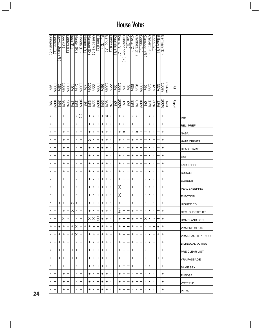| moren<br>$\widehat{\pi}$ | <u>otgren</u><br>Ū | ewis, Jerry<br>$\widehat{\pi}$ | ee (D           | antos (D  | ssa (R             | <b>Hunter</b><br>$\widehat{\pi}$ | Honda (D  | <u>Herger (R</u> | <u>Harman (D</u> | <u>Gallegly (R</u> | <b>Filner</b><br>$\widehat{\mathbf{C}}$ | Farr (D                  | Eshoo (D                 | <u>Dreier (R</u> | <u>Doolittle</u><br>$\widehat{\pi}$ | <u>Javis,</u><br>Ö,<br>∂ | Cunningham<br>$\widehat{\pi}$ | Cox (R | Costa (D )     | <u>Cardoza</u><br>$\widehat{\mathbf{d}}$ | Capps<br>$\widehat{\Theta}$ | <u>Campbell</u><br>$\widehat{\pi}$ | Calvert (R                | Bono (R        | <b>Bilbray</b><br>$\widehat{\pi}$ | <u>Berman (D</u>    |                  |               |                         |
|--------------------------|--------------------|--------------------------------|-----------------|-----------|--------------------|----------------------------------|-----------|------------------|------------------|--------------------|-----------------------------------------|--------------------------|--------------------------|------------------|-------------------------------------|--------------------------|-------------------------------|--------|----------------|------------------------------------------|-----------------------------|------------------------------------|---------------------------|----------------|-----------------------------------|---------------------|------------------|---------------|-------------------------|
| 9%                       | 26%<br>100%        |                                | $-6006$         | 100%      | $-596$             | 14%                              | 100%      | 4%               | 100%             | 22%                | $\frac{268}{86}$                        |                          | $\frac{100\%}{\%}$       | 22%              | $\sqrt{60}$                         | 96001                    | 0%                            | 9%     | 83%            | $rac{6}{8}$                              | 96001                       | $\sqrt{60}$                        | $\frac{17\%}{2}$          |                | $\frac{33\%}{32\%}$               | 96001               | <b>Positions</b> | ≧             |                         |
| 9%                       | $-200\%$           | 26%                            | $\frac{686}{6}$ | %56       | 17%                | 13%                              | 100%      | 4%               | 9/96             | 22%                | $\frac{100\%}{200}$                     | $\frac{96}{3}$           | 22%<br>06%               |                  | $\sqrt{60}$                         | 100%                     | $0\%$                         | 9%     | 83%            | $rac{2796}{8}$                           | 100%                        | $\sqrt{60}$                        | 17%                       | 30%            | 13%                               | $\frac{100\%}{200}$ | Total            | <b>Report</b> |                         |
|                          | +                  |                                | $\ddot{}$       | $\ddot{}$ | ٠                  | 1                                | (Ŧ)       | ÷                | +                | ٠                  | $\ddot{}$                               | $\pm$                    | $\ltimes$                | $\blacksquare$   | ٠                                   | +                        | ٠                             | ٠      | ٠              | 1                                        | +                           |                                    | $\mathbf{I}$              | ٠              |                                   | +                   |                  |               | IMM                     |
|                          | +                  | 1                              | +               | +         | ٠                  | $\blacksquare$                   | +         | ×                | +                | ٠                  | +                                       | +                        | +                        | $\blacksquare$   | ı                                   | +                        | 1                             | ٠      | +              | +                                        | +                           |                                    | $\mathbf{I}$              | ٠              |                                   | +                   |                  |               | REL. PREF               |
|                          | +                  | $\blacksquare$                 | $\ddot{}$       | +         | ٠                  | ٠                                | $\ddot{}$ | ×                | +                | ٠                  | $\ddot{}$                               | $\ddot{}$                | $\ddot{}$                | $\blacksquare$   | ٠                                   | +                        | $\times$                      | 0      | $\blacksquare$ | $\times$                                 | +                           |                                    | $\mathbf{r}$              |                |                                   | +                   |                  |               | NASA                    |
|                          | +                  | J,                             | +               | +         | ٠                  | $\blacksquare$                   | $\ddot{}$ | J.               | ×                | ٠                  | +                                       | $\ddot{}$                | +                        | $\blacksquare$   | 1                                   | +                        | ٠                             |        | +              | +                                        | +                           |                                    | $\blacksquare$            | +              |                                   | +                   |                  |               | <b>HATE CRIMES</b>      |
|                          | $\ddot{}$          | ٠                              | $\ddot{}$       | +         | ٠                  | $\blacksquare$                   | $\ddot{}$ | $\blacksquare$   | $\ddot{}$        | $\blacksquare$     | $\ddot{}$                               | $\ddot{}$                | $\ddot{}$                | $\blacksquare$   | $\blacksquare$                      | +                        | ٠                             |        | +              | +                                        | +                           |                                    | $\mathbf{r}$              | ٠              |                                   | +                   |                  |               | <b>HEAD START</b>       |
|                          | +                  | 1                              | +               | +         | ٠                  | ٠                                | +         | ×                | +                | ٠                  | +                                       | ٠                        | +                        | $\blacksquare$   |                                     | +                        | ٠                             |        | +              | +                                        | +                           |                                    | $\mathbf{I}$              | ٠              |                                   | +                   |                  |               | <b>GSE</b>              |
|                          | +                  | ٠                              | +               | $\ddot{}$ | ٠                  | $\blacksquare$                   | $\ddot{}$ | $\blacksquare$   | +                | $\blacksquare$     | $\ddot{}$                               | $\ddot{}$                | $\left  + \right\rangle$ | $\blacksquare$   | $\blacksquare$                      | +                        | ٠                             |        | +              | +                                        | +                           |                                    | $\mathbf{r}$              |                |                                   | +                   |                  |               | <b>LABOR HHS</b>        |
|                          | $\ddot{}$          | J,                             | $\ddot{}$       | +         |                    | 1                                | $\ddot{}$ | $\blacksquare$   | $\ddot{}$        | ٠                  | +                                       | $\left  + \right\rangle$ | $\ddot{}$                | $\blacksquare$   | $\blacksquare$                      | +                        | $\blacksquare$                |        | +              | +                                        | +                           |                                    | $\blacksquare$            |                |                                   | $\ddot{}$           |                  |               | <b>BUDGET</b>           |
|                          | +                  | ٠                              | +               | +         | ı.                 | 1                                | $\ddot{}$ | J.               | +                | ٠                  | +                                       | $\ddot{}$                | $\left  + \right\rangle$ | $\mathbf{I}$     | $\blacksquare$                      | +                        |                               |        | +              | +                                        | +                           | ٠                                  | $\mathbf{r}$              | ٠              |                                   | +                   |                  |               | <b>BORDER</b>           |
|                          | +                  |                                | +               | +         | ٠                  | 1                                | $\ddot{}$ | t                | +                | ٠                  | $\ddot{}$                               | $\ddot{}$                | +                        | $\blacksquare$   | 1                                   | Ŧ                        |                               |        | +              | +                                        | +                           | ٠                                  | $\mathbf{r}$              | ٠              |                                   | +                   |                  |               | <b>PEACEKEEPING</b>     |
|                          | +                  | $\blacksquare$                 | +               | +         | ٠                  | $\blacksquare$                   | +         | ×                | +                | ٠                  | +                                       | $\ddot{}$                | +                        | $\mathbf{I}$     |                                     | Ŧ                        |                               |        | +              | +                                        | +                           | f,                                 | $\blacksquare$            | $\blacksquare$ |                                   | +                   |                  |               | <b>ELECTION</b>         |
|                          | +                  | +                              | $\ddagger$      | $\ddot{}$ | $\mathord{\times}$ | $+$                              | $+$       | $\blacksquare$   | $\ddot{}$        | $\ddot{}$          | $\ddot{}$                               | $\left  + \right\rangle$ | $\left  + \right $       | $\blacksquare$   | ,                                   | $\ddot{}$                |                               |        | $\ddot{}$      | $\ddot{}$                                | +                           | ٠                                  | $\ddot{}$                 | ٠              |                                   | +                   |                  |               | <b>HIGHER ED</b>        |
| ٠                        | +                  | $\mathbf{I}$                   | +               | $\ddot{}$ | $\times$           | $\blacksquare$                   | $\ddot{}$ | $\blacksquare$   | +                | $\mathbf{L}$       | +                                       | +                        | +                        | $\mathbf{r}$     | $\blacksquare$                      | $^{+}$                   |                               |        | +              | +                                        | +                           | ×.                                 | $\blacksquare$            | $\blacksquare$ |                                   | +                   |                  |               | IDEM. SUBSTITUTE        |
| ٠                        | +                  | $\blacksquare$                 |                 | ו×ו×ו     | $\blacksquare$     | $\mathbf{r}$                     | I+        | $\blacksquare$   | $\times$         | ℂ                  | Ŧ                                       | +                        | $\ddot{}$                | $\blacksquare$   | $\blacksquare$                      | +                        |                               |        | +              | +                                        | +                           | ∣×∣                                | $\mathbf{L}_{\mathrm{c}}$ | ı×             |                                   | +                   |                  |               | IHOMELAND SEC           |
| +                        | +                  | +                              | +               | +         | ÷                  | $\times$ I+                      |           | +                | +                | +                  | +                                       | +                        | +                        | +                | $\blacksquare$                      | +                        |                               |        | +              | +                                        | +                           | ٠                                  | +                         | +              | +                                 | +                   |                  |               | VRA PRE CLEAR           |
|                          | +                  | l+                             | +               | +         | +                  | $\times$  +                      |           | $\blacksquare$   | +                | $\ddot{}$          | +                                       | $\pm$                    | $\ddot{}$                | $\ddot{}$        | $\blacksquare$                      | +                        |                               |        | +              | +                                        | +                           | $\blacksquare$                     | $\blacksquare$            | +              | +                                 | $\ddot{}$           |                  |               | VRA REAUTH PERIOD       |
|                          | +                  | $\ddot{}$                      | +               | +         | ٠                  | $\mathbf{I}$                     | $\ddot{}$ | $\blacksquare$   | +                | $\mathbf{I}$       | +                                       | I+                       | $\ddot{}$                | $\blacksquare$   | $\blacksquare$                      | +                        |                               |        | +              | +                                        | +                           | $\blacksquare$                     | $\blacksquare$            | +              | $\blacksquare$                    | $\ddot{}$           |                  |               | <b>BILINGUAL VOTING</b> |
|                          | +                  | +                              | +               | +         | +                  | $\ddot{}$                        | $\ddot{}$ | $\mathbf{I}$     | +                | $\pm$              | +                                       | $\pm$                    | $\ddot{}$                | +                | $\blacksquare$                      | +                        |                               |        | +              | +                                        | +                           | $\blacksquare$                     | +                         | +              | $\blacksquare$                    | +                   |                  |               | PRE CLEAR LIST          |
| +                        | $\ddot{}$          | $\ddot{}$                      | +               | +         | +                  | $\ddot{}$                        | +         | $\blacksquare$   | +                | +                  | +                                       | +                        | +                        | +                | ٠                                   | +                        |                               |        | +              | +                                        | +                           | ٠                                  | +                         | +              | +                                 | +                   |                  |               | VRA PASSAGE             |
|                          | +                  | $\blacksquare$                 | +               | +         | $\mathbf{I}$       | $\blacksquare$                   | +         | $\blacksquare$   | +                | л.                 | +                                       | +                        | +                        | +                | $\blacksquare$                      | +                        |                               |        | +              | +                                        | +                           | ٠                                  | $\blacksquare$            | +              | ٠                                 | +                   |                  |               | SAME SEX                |
| $\blacksquare$           | $\ddot{}$          | $\mathbf{I}$                   | $\ddot{}$       | $\ddot{}$ | $\mathbf{I}$       | $\blacksquare$                   | $+$       | $\blacksquare$   | $\ddot{}$        | $\mathbf{I}$       | +                                       | +                        | $\ddot{}$                | $\blacksquare$   | $\mathbf{I}$                        | $\ddot{}$                |                               |        | $\mathbf{I}$   | $\ddot{}$                                | +                           | $\mathbf{L}$                       | $\mathbf{I}$              | $\blacksquare$ | $\blacksquare$                    | $\pm$               |                  |               | PLEDGE                  |
| ٠                        | +                  | $\mathbf{I}$                   | +               | +         | ٠                  | ٠                                | $\ddot{}$ | $\blacksquare$   | +                | л.                 | +                                       | +                        | +                        | $\blacksquare$   | ٠                                   | +                        |                               |        | +              | +                                        | +                           | ٠                                  | $\blacksquare$            | $\blacksquare$ | $\blacksquare$                    | +                   |                  |               | VOTER ID                |
|                          | +                  |                                | +               | +         | $\mathbf{I}$       | $\blacksquare$                   | $\ddot{}$ | $\blacksquare$   | +                | $\blacksquare$     | +                                       | +                        | +                        | $\mathbf{I}$     | $\blacksquare$                      | +                        |                               |        | $\mathbf{I}$   | ٠                                        | +                           | $\blacksquare$                     | $\mathbf{L}$              | $\blacksquare$ | $\blacksquare$                    | +                   |                  |               | PERA                    |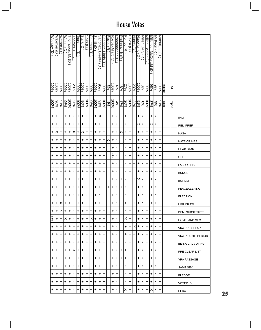| Woolsey (D | Waxman<br>∂ | Watson<br>$\Theta$ | Waters<br>$\Theta$ | hompson.<br>≤<br>ヮ            | homas,<br>ā<br>$\overline{\lambda}$ | auscher<br>$\widehat{\mathbf{d}}$ | Stark <sup>(</sup><br>$\widehat{\mathbf{d}}$ | Solis (<br>$\widehat{\Theta}$ | <b>Sherman</b><br>∂ | Schiff<br>$\widehat{\Theta}$ | Sanchez.<br>oretta.<br>U | Sanchez,<br>linda<br>U | Royce<br>$\widehat{\pi}$ | Roybal-Allard<br>$\widehat{\mathbf{d}}$ | Rohrabacher<br>$\widehat{\pi}$ | <b>Radanovich</b><br>$\overline{\lambda}$ | Pombo (R           | Pelosi<br>$\widehat{\Theta}$ | Nunes<br>$\widehat{\pi}$ | Napolitano<br>$\widehat{\mathsf{d}}$ | Miller, Gary (R | Miller, George<br>U | Millender-McDonald     | McKeon (R)     | Matsui, D.<br>$\widehat{\mathbf{c}}$ |              |               |                         |
|------------|-------------|--------------------|--------------------|-------------------------------|-------------------------------------|-----------------------------------|----------------------------------------------|-------------------------------|---------------------|------------------------------|--------------------------|------------------------|--------------------------|-----------------------------------------|--------------------------------|-------------------------------------------|--------------------|------------------------------|--------------------------|--------------------------------------|-----------------|---------------------|------------------------|----------------|--------------------------------------|--------------|---------------|-------------------------|
|            |             |                    |                    |                               |                                     |                                   |                                              |                               |                     |                              |                          |                        |                          |                                         |                                |                                           |                    |                              |                          |                                      |                 |                     | $\widehat{\mathbf{c}}$ |                |                                      |              |               |                         |
| $-6006$    | 96001       | 96001              | 96001              | $-6001$                       | 29%                                 | 96001                             | $\frac{100}{6}$                              | $\frac{100\%}{\%}$            | $\frac{100\%}{\%}$  | $\frac{60}{20}$              | %56                      | 100%                   | 5%                       | $00\%$                                  | 4%                             | %81                                       | 27%                | 96001                        | 23%                      | $\frac{600}{600}$                    | 9%              | 96001               | 9656                   | 96             | 96001                                | Positions    | ≧             |                         |
| $-6001$    | $96\%$      | 910 <sub>6</sub>   | $\frac{60}{6}$     | $\frac{\sqrt{25}}{\sqrt{25}}$ |                                     | $\frac{100\%}{\%}$                | 8%                                           | $\frac{100\%}{\%}$            | 8%                  | $\frac{100\%}{\%}$           | 9/96                     | $-6001$                | 4%                       | $-6001$                                 | 4%                             | 17%                                       | 26%                | 96001                        | 22%                      | $rac{6}{6}$                          | $\sqrt{60}$     | $-8001$             | %28                    | $\frac{9}{6}$  | 9/96                                 | <b>Total</b> | <b>Report</b> |                         |
| $\ddot{}$  | +           | +                  | +                  | $\ddot{}$                     | $\blacksquare$                      | +                                 | +                                            | +                             | +                   | +                            | $\mathbin{\times}$       | +                      | $\blacksquare$           | +                                       | ٠                              | л.                                        | +                  | +                            | ٠                        | +                                    | 1               | +                   | +                      |                |                                      |              |               | <b>IMM</b>              |
| $\ddot{}$  | +           | +                  | +                  | +                             | ٠                                   | +                                 | +                                            | +                             | +                   | +                            | +                        | +                      | ٠                        | +                                       | ٠                              | ٠                                         | ٠                  | +                            | ٠                        | ×                                    | ٠               | +                   | ×                      | 1              |                                      |              |               | REL. PREF               |
| $\ddot{}$  | ×           | +                  | +                  | +                             | $\left \times\right $               | +                                 | $\left \times\right $                        | +                             | +                   | +                            | +                        | +                      | ٠                        | +                                       | ٠                              | ×                                         |                    | +                            | J.                       | +                                    | 1               | +                   | +                      |                | +                                    |              |               | <b>NASA</b>             |
| $\ddot{}$  | +           | +                  | +                  | +                             |                                     | +                                 | +                                            | +                             | +                   | +                            | +                        | +                      | ×                        | +                                       | 1                              |                                           |                    | +                            |                          | +                                    |                 | +                   | +                      |                | +                                    |              |               | <b>HATE CRIMES</b>      |
| $\ddot{}$  | +           | +                  | +                  | $\ddot{}$                     | ٠                                   | $\ddot{}$                         | +                                            | $\ddot{}$                     | $\ddot{}$           | $\ddot{}$                    | +                        | +                      | ٠                        | +                                       | ٠                              | ٠                                         | ٠                  | +                            | ٠                        | +                                    |                 | +                   | +                      | ٠              | $\ddot{}$                            |              |               | <b>HEAD START</b>       |
| $\ddot{}$  | +           | +                  | +                  | +                             | ٠                                   | +                                 | +                                            | +                             | +                   | +                            | +                        | +                      | ٠                        | Ŧ                                       | ٠                              | ٠                                         | ٠                  | +                            | ٠                        | +                                    | ٠               | +                   | +                      | 1              | +                                    |              |               | <b>GSE</b>              |
| $\ddot{}$  | +           | +                  | +                  | +                             | +                                   | +                                 | +                                            | +                             | +                   | +                            | +                        | +                      | ٠                        | +                                       |                                | ٠                                         | л.                 | +                            | +                        | +                                    | ı               | +                   | +                      |                | +                                    |              |               | LABOR HHS               |
| +          | +           | +                  | +                  | +                             | $\blacksquare$                      | +                                 | +                                            | +                             | +                   | +                            | +                        | +                      | ٠                        | +                                       | 1                              | ×,                                        | $\blacksquare$     | +                            | ٠                        | +                                    | 1               | +                   | +                      | ٠              | +                                    |              |               | <b>BUDGET</b>           |
| +          | +           | +                  | +                  | +                             | +                                   | +                                 | +                                            | +                             | +                   | +                            | +                        | +                      | ı                        | +                                       | 1                              | +                                         | ٠                  | +                            | +                        | ×                                    |                 | +                   | +                      | ٠              | +                                    |              |               | <b>BORDER</b>           |
| +          | +           | +                  | +                  | +                             | $\blacksquare$                      | +                                 | +                                            | +                             | +                   | +                            | +                        | +                      | +                        | +                                       | $\blacksquare$                 | +                                         | $\blacksquare$     | +                            | л.                       | +                                    | $\blacksquare$  | +                   | +                      | $\blacksquare$ | +                                    |              |               | PEACEKEEPING            |
| $\ddot{}$  | +           | +                  | +                  | +                             | ٠                                   | +                                 | +                                            | +                             | +                   | +                            | ٠                        | +                      | ٠                        | +                                       | ٠                              | ٠                                         | ٠                  | +                            | ٠                        | +                                    | 1               | +                   | +                      |                | +                                    |              |               | <b>ELECTION</b>         |
| $+$ $+$    |             | $ \times +$        |                    | $ + $                         |                                     | $ + + + $                         |                                              | $+$                           | $+$                 | +                            | $\pm$                    | +                      | $\blacksquare$           | $+$                                     | $\blacksquare$                 | $\blacksquare$                            | $\left  + \right $ | $\left  + \right $           | $\left  + \right $       | $\pm$                                | $\blacksquare$  | $\ddot{}$           | +                      | +              | $\ddot{}$                            |              |               | HIGHER ED               |
| $\ddot{}$  | +           | $\times$           | +                  | +                             | $\blacksquare$                      | +                                 | +                                            | +                             | +                   | +                            | +                        | +                      | $\mathbf{I}$             | +                                       | $\mathbf{I}$                   | $\blacksquare$                            | $\blacksquare$     | +                            |                          | +                                    | п               | +                   | I.                     | I.             | +                                    |              |               | DEM. SUBSTITUTE         |
| $\ddot{}$  | +           | +                  | ×                  | +                             | ٠                                   | +                                 | +                                            | +                             | $\times$            | +                            | +                        | +                      |                          | +                                       | ٠                              | $\blacksquare$                            | ٮ                  | ٠                            | $\blacksquare$           | +                                    | $\blacksquare$  | +                   | +                      |                | +                                    |              |               | <b>HOMELAND SEC</b>     |
| +          | +           | +                  | +                  | +                             | +                                   | +                                 | +                                            | +                             | +                   | +                            | +                        | +                      | ٠                        | +                                       | ٠                              | ٠                                         | +                  | +                            | ×                        | +                                    | ٠               | +                   | +                      | $\blacksquare$ | +                                    |              |               | VRA PRE CLEAR           |
| +          | +           | +                  | +                  | +                             | +                                   | +                                 | +                                            | +                             | +                   | +                            | +                        | +                      | $\blacksquare$           | +                                       | $\blacksquare$                 | ٠                                         | +                  | +                            | +                        | +                                    | $\blacksquare$  | +                   | +                      | $\blacksquare$ | +                                    |              |               | VRA REAUTH PERIOD       |
| +          | +           | +                  | +                  | +                             | $\blacksquare$                      | +                                 | +                                            | +                             | +                   | +                            | +                        | +                      | ٠                        | +                                       | ٠                              | $\blacksquare$                            | $\mathbf{I}$       | +                            | ٠                        | +                                    | 1               | +                   | +                      |                | +                                    |              |               | <b>BILINGUAL VOTING</b> |
| +          | +           | +                  | +                  | +                             | ×                                   | +                                 | +                                            | +                             | +                   | +                            | +                        | +                      |                          | +                                       |                                | +                                         | +                  | +                            | ٠                        | +                                    | 1               | +                   | +                      |                | +                                    |              |               | PRE CLEAR LIST          |
| +          | +           | +                  | +                  | +                             | +                                   | +                                 | +                                            | +                             | +                   | +                            | +                        | +                      | ٠                        | +                                       | ٠                              | +                                         | +                  | +                            | +                        | +                                    | ٠               | +                   | +                      | +              | +                                    |              |               | VRA PASSAGE             |
| $\ddot{}$  | +           | +                  | +                  | +                             | $\blacksquare$                      | +                                 | +                                            | +                             | +                   | +                            | +                        | +                      | ٠                        | +                                       | ٠                              | ٠                                         | ٠                  | +                            | ٠                        | +                                    | $\blacksquare$  | +                   | +                      | ٠              | +                                    |              |               | SAME SEX                |
| +          | +           | +                  | +                  | +                             | $\blacksquare$                      | +                                 | +                                            | +                             | +                   | +                            | +                        | +                      | ٠                        | +                                       | +                              | $\blacksquare$                            | $\blacksquare$     | +                            | ×                        | +                                    | $\blacksquare$  | +                   | +                      | I.             | +                                    |              |               | <b>PLEDGE</b>           |
| +          | +           | +                  | +                  | +                             | ٠                                   | +                                 | +                                            | +                             | +                   | +                            | +                        | +                      | ٠                        | +                                       | ٠                              | ٠                                         | ٠                  | +                            | ٠                        | +                                    | ٠               | +                   | +                      | 1              | +                                    |              |               | VOTER ID                |
| $\ddot{}$  | +           | +                  | +                  | +                             | ٠                                   | +                                 | +                                            | +                             | +                   | +                            | +                        | +                      | ٠                        | +                                       | ٠                              | ٠                                         | ×                  | +                            | ٠                        | +                                    | ٠               | +                   | "                      | ٠              | +                                    |              |               | PERA                    |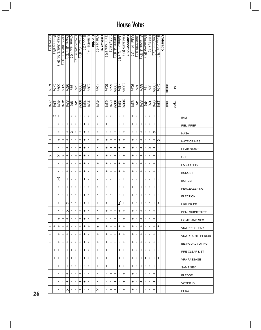|    | Foley (R     | <b>Feeney</b><br>$\widehat{\pi}$ | Diaz-Balart,<br>Μ.<br>$\widehat{\pi}$ | Diaz-Balart,<br>$\widehat{\pi}$ | Davis, Jim (D  | Crenshaw<br>ক্লি | Brown-Waite<br>$\widehat{\pi}$ | Brown, C.<br>$\widehat{\mathord{\text{\rm c}}}$ | Boyd (D)       | Bilirakis (R   | <b>Florida</b> | Castle (R      | <b>Delaware</b> | Simmons (R                | Shays (R         | arson, J.<br>∂      | <u>Johnson, N.</u><br>ਨੇ | <u>DeLauro (D</u> | <b>Connecticut</b> | Udall, M.<br>$\widehat{\mathbf{C}}$ | Tancredo (R        | Salazar, J.<br>$\widehat{\mathbf{c}}$ | Musgrave (R    | <b>Hefley (R</b> | DeGette (D)         | Beauprez (R      | <b>Colorado</b> |                  |               |                         |
|----|--------------|----------------------------------|---------------------------------------|---------------------------------|----------------|------------------|--------------------------------|-------------------------------------------------|----------------|----------------|----------------|----------------|-----------------|---------------------------|------------------|---------------------|--------------------------|-------------------|--------------------|-------------------------------------|--------------------|---------------------------------------|----------------|------------------|---------------------|------------------|-----------------|------------------|---------------|-------------------------|
|    | 41%          | 14%                              | 50%                                   | <b>50%</b>                      | $965\%$        | %66              | $5\%$                          | 100%                                            | $-8\%$         | 13%            |                | 45%            |                 | 9/9                       | $\frac{65}{6}$   | $\frac{100\%}{200}$ | $\frac{48\%}{20}$        | 96001             |                    | 21%                                 | 4%                 | 83%                                   | $4\%$          | 960              | $\frac{100\%}{200}$ | 14%              |                 | <b>Positions</b> | ≧             |                         |
|    | 39%          | 13%                              | $48\%$                                | 48%                             | 83%            | %                | 4%                             | $00\%$                                          | $78\%$         | 13%            |                | 43%            |                 | 9/9                       | $\frac{65%}{65}$ | $-6001$             | $\frac{48\%}{\%}$        | 96001             |                    | 94%                                 | $\frac{83\%}{4\%}$ |                                       | 4%             | $0\%$            | 86%                 | $\frac{13\%}{2}$ |                 | <b>T</b> otal    | <b>Report</b> |                         |
|    | ٠            | ∣×                               | $\ddot{}$                             | +                               | $\blacksquare$ | $\blacksquare$   | $\blacksquare$                 | $\ddot{}$                                       | $\blacksquare$ | $\blacksquare$ |                | $\blacksquare$ |                 | $\mathbf{r}$              | $\blacksquare$   | $\ddot{}$           | $\blacksquare$           | +                 |                    | $\ddot{}$                           | $\blacksquare$     | $\blacksquare$                        | $\blacksquare$ | $\blacksquare$   | $\ddot{}$           | $\blacksquare$   |                 |                  |               | <b>IMM</b>              |
|    | ٠            | $\blacksquare$                   | $\blacksquare$                        | $\blacksquare$                  | +              | $\blacksquare$   | $\blacksquare$                 | +                                               | +              | $\blacksquare$ |                | $\blacksquare$ |                 | +                         | +                | +                   | 1                        | +                 |                    | +                                   | $\blacksquare$     | +                                     | ı,             | $\mathbf{I}$     | +                   | $\blacksquare$   |                 |                  |               | REL. PREF               |
|    | ٠            | $\blacksquare$                   | $\blacksquare$                        | $\blacksquare$                  | +              | $\times$         | ı                              | +                                               | +              | $\blacksquare$ |                | $\blacksquare$ |                 | ŧ,                        | ٠                | +                   | 1                        | +                 |                    | $\blacksquare$                      | 1                  | +                                     | $\blacksquare$ | $\blacksquare$   | $\times$            | $\blacksquare$   |                 |                  |               | <b>NASA</b>             |
|    | +            | $\blacksquare$                   | +                                     | +                               | +              | $\blacksquare$   | $\blacksquare$                 | +                                               | +              | $\blacksquare$ |                | +              |                 | $\ddot{}$                 | +                | +                   | +                        | +                 |                    | +                                   | $\blacksquare$     | +                                     | $\blacksquare$ | $\mathbf{I}$     | +                   | ×                |                 |                  |               | <b>HATE CRIMES</b>      |
|    | ٠            | $\blacksquare$                   | $\blacksquare$                        | $\blacksquare$                  | +              | ٠                | $\blacksquare$                 | $\ddot{}$                                       | $\ddot{}$      | $\blacksquare$ |                | T,             |                 | +                         | $\ddot{}$        | +                   | $\ddot{}$                | +                 |                    | +                                   | $\blacksquare$     | +                                     | 1              | ×                | +                   | $\blacksquare$   |                 |                  |               | <b>HEAD START</b>       |
|    | ×            |                                  | ×                                     | $\times$                        | +              | л.               | $\times$                       | $\ddot{}$                                       | +              | $\blacksquare$ |                | T,             |                 | $\ddot{}$                 | ٠                | +                   | 1                        | +                 |                    | +                                   | $\blacksquare$     | +                                     | ٠              | $\mathbf{r}$     | +                   | ×,               |                 |                  |               | <b>GSE</b>              |
|    | ٠            | $\blacksquare$                   | $\blacksquare$                        | $\blacksquare$                  | +              | $\blacksquare$   | $\blacksquare$                 | +                                               | +              | $\blacksquare$ |                | +              |                 | +                         | ٠                | +                   | +                        | +                 |                    | +                                   | ×                  | +                                     | $\blacksquare$ | $\blacksquare$   | +                   | $\blacksquare$   |                 |                  |               | <b>LABOR HHS</b>        |
|    | ٠            | $\blacksquare$                   | $\blacksquare$                        | $\blacksquare$                  | +              | $\blacksquare$   | $\blacksquare$                 | +                                               | $\pmb{+}$      | $\blacksquare$ |                | T,             |                 | $\ddot{}$                 | +                | +                   | +                        | +                 |                    | +                                   | $\blacksquare$     | +                                     | ı,             | $\mathbf{I}$     | +                   | $\blacksquare$   |                 |                  |               | <b>BUDGET</b>           |
|    | J,           | $\blacksquare$                   | Ŧ                                     | +                               | +              | ٠                | $\blacksquare$                 | +                                               | +              | $\blacksquare$ |                | $\blacksquare$ |                 | $\mathbf{r}$              | J,               | +                   | $\blacksquare$           | +                 |                    |                                     | $\blacksquare$     | $\blacksquare$                        | $\blacksquare$ | $\mathbf{r}$     | +                   | $\blacksquare$   |                 |                  |               | <b>BORDER</b>           |
|    | +            | $\blacksquare$                   | $\blacksquare$                        | $\mathbf{I}$                    | +              | $\blacksquare$   | $\mathbf{I}$                   | +                                               | $\blacksquare$ | $\blacksquare$ |                | $\blacksquare$ |                 | $\mathbf{r}$              | +                | +                   | $\blacksquare$           | +                 |                    | +                                   | $\ddot{}$          | +                                     | $\blacksquare$ | $\mathbf{r}$     | $\ddot{}$           | $\blacksquare$   |                 |                  |               | PEACEKEEPING            |
|    | ٠            | $\blacksquare$                   | $\blacksquare$                        | $\blacksquare$                  | +              | $\blacksquare$   | $\blacksquare$                 | +                                               | $\pmb{+}$      | $\blacksquare$ |                | $\blacksquare$ |                 | $\mathbf{r}$              | $\blacksquare$   | +                   | ,                        | +                 |                    | +                                   | ×                  | +                                     | $\blacksquare$ | $\mathbf{r}$     | +                   | $\blacksquare$   |                 |                  |               | <b>ELECTION</b>         |
|    | +            |                                  | +                                     | +                               | $\times$       | $\mathbf{L}$     | $\blacksquare$                 | $\ddot{}$                                       | $\ddot{}$      | $\ddot{}$      |                | +              |                 | $\ddot{}$                 | +                | $\ddot{}$           | E                        | +                 |                    | $\pmb{+}$                           | $\blacksquare$     | +                                     | $\blacksquare$ | $\mathbf{r}$     | $\ddot{}$           | +                |                 |                  |               | <b>HIGHER ED</b>        |
|    | $\mathbf{L}$ | $\blacksquare$                   | $\blacksquare$                        | $\blacksquare$                  | ×              | $\blacksquare$   | $\blacksquare$                 | $\ddot{}$                                       | $\ddot{}$      | $\blacksquare$ |                | ٠              |                 | $\ddot{}$                 | $\ddot{}$        | $\ddot{}$           | +                        | $\ddot{}$         |                    | $\ddot{}$                           | $\blacksquare$     | +                                     | ٠              | $\blacksquare$   | $\ddot{}$           | $\blacksquare$   |                 |                  |               | <b>DEM. SUBSTITUTE</b>  |
|    | ٠            | $\blacksquare$                   | +                                     | $\ddot{}$                       | +              | $\blacksquare$   | $\blacksquare$                 | +                                               | +              | $\blacksquare$ |                | +              |                 | $\mathbf{L}_{\mathrm{c}}$ | ٠                | +                   | $\blacksquare$           | +                 |                    | +                                   | $\blacksquare$     | +                                     | $\blacksquare$ | $\mathbf{I}$     | +                   | $\blacksquare$   |                 |                  |               | <b>HOMELAND SEC</b>     |
|    | +            | ÷                                | +                                     | +                               | +              | $\mathbf{I}$     | ٠                              | +                                               | +              | +              |                | +              |                 | +                         | +                | +                   | +                        | +                 |                    | +                                   | $\blacksquare$     | +                                     | ٠              | $\blacksquare$   | +                   | +                |                 |                  |               | VRA PRE CLEAR           |
|    | +            | $\blacksquare$                   | +                                     | +                               | +              | $\mathbf{I}$     | $\blacksquare$                 | +                                               | +              | $\blacksquare$ |                | +              |                 | +                         | +                | +                   | +                        | +                 |                    | +                                   | $\blacksquare$     | +                                     | $\blacksquare$ | $\blacksquare$   | +                   | $\blacksquare$   |                 |                  |               | VRA REAUTH PERIOD       |
|    | +            | $\blacksquare$                   | $\ddot{}$                             | +                               | +              | $\blacksquare$   | $\blacksquare$                 | $\ddot{}$                                       | $\ddot{}$      | $\blacksquare$ |                | +              |                 | +                         | +                | $\ddot{}$           | $\blacksquare$           | +                 |                    | $\ddot{}$                           | $\blacksquare$     | +                                     | $\blacksquare$ | $\mathbf{I}$     | +                   | ×,               |                 |                  |               | <b>BILINGUAL VOTING</b> |
|    | +            | +                                | +                                     | +                               | +              | +                | ٠                              | +                                               | +              | $\blacksquare$ |                | +              |                 | +                         | +                | +                   | +                        | +                 |                    | +                                   | $\blacksquare$     | +                                     | ٠              | $\mathbf{I}$     | +                   | $\blacksquare$   |                 |                  |               | <b>PRE CLEAR LIST</b>   |
|    | +            | +                                | +                                     | +                               | +              | +                | +                              | +                                               | +              | +              |                | +              |                 | +                         | +                | +                   | +                        | +                 |                    | +                                   | $\blacksquare$     | +                                     | +              | $\mathbf{I}$     | +                   | +                |                 |                  |               | <b>VRA PASSAGE</b>      |
|    | +            | $\blacksquare$                   | +                                     | +                               | +              | $\mathbf{I}$     | $\blacksquare$                 | +                                               | $\blacksquare$ | $\blacksquare$ |                | +              |                 | +                         | +                | +                   | +                        | +                 |                    | +                                   | $\blacksquare$     | +                                     | $\blacksquare$ | $\blacksquare$   | +                   | $\blacksquare$   |                 |                  |               | SAME SEX                |
|    | $\mathbf{r}$ | $\blacksquare$                   | $\blacksquare$                        | $\blacksquare$                  | +              | $\mathbf{I}$     | $\blacksquare$                 | +                                               | ٠              | $\blacksquare$ |                | ×,             |                 | $\mathbf{L}$              | +                | +                   | $\blacksquare$           | +                 |                    | +                                   | $\blacksquare$     | $\blacksquare$                        | $\blacksquare$ | $\mathbf{I}$     | +                   | $\blacksquare$   |                 |                  |               | PLEDGE                  |
|    | $\mathbf{L}$ | $\blacksquare$                   |                                       | $\blacksquare$                  | +              | $\blacksquare$   | ٠                              | +                                               | +              | $\blacksquare$ |                | ٠              |                 | $\mathbf{L}$              | J.               | $\ddot{}$           | 1                        | +                 |                    | +                                   | $\blacksquare$     | +                                     | $\blacksquare$ | $\blacksquare$   | +                   | $\blacksquare$   |                 |                  |               | VOTER ID                |
| 26 | $\mathbf{L}$ | $\blacksquare$                   | $\blacksquare$                        | $\blacksquare$                  | $\times$       | $\mathbf{I}$     | ٠                              | +                                               | ٠              | $\blacksquare$ |                | ×              |                 | $\mathbf{L}$              | +                | +                   | $\blacksquare$           | +                 |                    | +                                   | $\blacksquare$     | л.                                    | $\mathbf{I}$   | $\mathbf{I}$     | +                   | $\blacksquare$   |                 |                  |               | <b>PERA</b>             |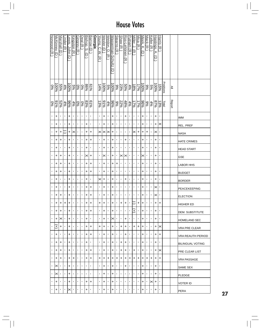| Norwood (R)    | <u>McKinney</u><br>Ӛ | Marshall<br>Ō  | -lnder<br>$\widehat{\pi}$ | ewis.<br>John<br>ヮ  | <u>Kingston</u><br>$\widehat{\pi}$ | <u>Gingrey</u> (R | Deal<br>ଚ      | Bishop.<br>ÖΟ.<br>Ō | Barrow (D      | Georgia | Young,<br>C.W.<br>$\widehat{\pi}$ | Wexler<br>$\Theta$ | Weldon,<br>ヮ<br>$\overline{\mathcal{X}}$ | Wasserman-Schultz<br>$\widehat{\mathbf{d}}$ | Stearns (R              | Shaw (R               | Ros-Lehtinen<br>মি | Putnam<br>$\widehat{\pi}$ | Miller, J.<br>$\widehat{\pi}$ | Mica<br>$\widehat{\pi}$ | Meek,<br>₹.<br>σ   | Mack (R        | Keller (R      | Hastings,<br>ح.<br>U | Harris (R      |           |               |                      |
|----------------|----------------------|----------------|---------------------------|---------------------|------------------------------------|-------------------|----------------|---------------------|----------------|---------|-----------------------------------|--------------------|------------------------------------------|---------------------------------------------|-------------------------|-----------------------|--------------------|---------------------------|-------------------------------|-------------------------|--------------------|----------------|----------------|----------------------|----------------|-----------|---------------|----------------------|
| 0%             | $\frac{100\%}{200}$  |                |                           |                     |                                    |                   | $\frac{6}{2}$  | $\frac{86}{6}$      | $61\%$         |         | 14%                               | 96001              | $5\%$                                    | 100%                                        | $\frac{\log 2}{\log 2}$ |                       |                    | $rac{4\%}{\%}$            | $\frac{18\%}{2}$              | 17%                     | 96001              | %6             | $5\%$          | 96001                | $\frac{5}{66}$ | Positions | ≧             |                      |
| 9%             | $rac{6}{6}$          |                |                           | $\frac{4888}{2528}$ |                                    | န္စ               | န္တ            | $\frac{83}{6}$      | $61\%$         |         | 13%                               | 9/96               | 4%                                       | $96\%$                                      | 22%<br>elle             |                       | $\frac{48\%}{100}$ | $\frac{4\%}{2}$           | $\frac{17\%}{2}$              | $\frac{25}{25}$         |                    | $\frac{6}{6}$  | 4%             | $87\%$               | 13%            | Total     | <b>Report</b> |                      |
| $\blacksquare$ | +                    | $\blacksquare$ | $\blacksquare$            | +                   | ×,                                 | ×,                | $\blacksquare$ | ,                   | $\blacksquare$ |         | 1                                 | +                  | ı                                        | +                                           | ı                       | ٠                     | +                  | ٠                         | $\blacksquare$                | 1                       | +                  |                | $\blacksquare$ | +                    | ı              |           |               | <b>IMM</b>           |
| $\blacksquare$ | +                    | 1              | ٠                         | +                   | ٠                                  | J,                | 1              | +                   | 1              |         | 1                                 | +                  | п                                        | +                                           | Ţ                       | J,                    | J,                 | J,                        |                               |                         | +                  |                |                | +                    | ×              |           |               | REL. PREF            |
| $\blacksquare$ | +                    | +              | J                         | +                   | ∣×                                 | ٠                 | 1              | +                   | $\ddot{}$      |         | ×                                 | ×                  | ×                                        | +                                           | ٠                       | ٠                     | ٠                  | ٠                         | ×                             | +                       | +                  | +              |                | ×                    | ı              |           |               | <b>NASA</b>          |
| $\blacksquare$ | +                    | +              | ٠                         | +                   | ٠                                  | ٠                 | 1              | +                   | $\ddot{}$      |         | ٠                                 | +                  | ı                                        | +                                           | ٠                       | ٠                     | +                  | ٠                         | ٠                             | ٠                       | +                  | ٠              |                | +                    |                |           |               | <b>HATE CRIMES</b>   |
| $\blacksquare$ | +                    | ٠              | ı                         | +                   | ٠                                  | ٠                 | 1              | +                   | $\blacksquare$ |         | 1                                 | +                  | J,                                       | +                                           | ı                       | ٠                     | ٠                  | ٠                         | ٠                             | 1                       | +                  | 1              | 1              | +                    | ı              |           |               | <b>HEAD START</b>    |
| $\blacksquare$ | +                    | +              | ٠                         | +                   | ٠                                  | $\blacksquare$    | ,              | $\times$            | $\ddot{}$      |         | $\mathbf I$                       | ×                  | ٠                                        | +                                           | ٠                       | $\boldsymbol{\times}$ | $\times$           | ٠                         | $\blacksquare$                | $\blacksquare$          | ×                  |                | 1              | +                    |                |           |               | <b>GSE</b>           |
| $\blacksquare$ | +                    | +              | ٠                         | +                   | ٠                                  | J,                | Ţ              | +                   | +              |         | 1                                 | +                  | п                                        | +                                           | +                       | ٠                     | ٠                  | ٠                         | ٠                             | п                       | +                  | п              | 1              | +                    | ٠              |           |               | <b>LABOR HHS</b>     |
| $\blacksquare$ | +                    | +              | $\blacksquare$            | +                   | $\blacksquare$                     | $\blacksquare$    | $\blacksquare$ | $\ddot{}$           | +              |         | 0                                 | +                  | ٠                                        | +                                           | 1                       | $\blacksquare$        | $\blacksquare$     | $\blacksquare$            | $\blacksquare$                | $\blacksquare$          | +                  | $\blacksquare$ | $\blacksquare$ | +                    | 1              |           |               | <b>BUDGET</b>        |
| $\blacksquare$ | +                    | $\mathbf{I}$   | $\blacksquare$            | +                   | $\blacksquare$                     | J.                | 1              | +                   | ,              |         | ×                                 | +                  | ٠                                        | +                                           | J,                      | ٠                     | +                  | ٠                         | J,                            | $\blacksquare$          | +                  | п              | $\blacksquare$ | +                    | ı              |           |               | <b>BORDER</b>        |
| $\blacksquare$ | +                    | $\blacksquare$ | $\blacksquare$            | +                   | $\blacksquare$                     | ×,                | $\blacksquare$ | +                   | +              |         | 1                                 | +                  | 1                                        | +                                           | $\blacksquare$          | ×,                    | ×,                 | ×,                        | $\blacksquare$                |                         | +                  | $\blacksquare$ | $\blacksquare$ | ×                    | 1              |           |               | PEACEKEEPING         |
| $\blacksquare$ | +                    | +              | ٠                         | +                   | ٠                                  | $\blacksquare$    | 1              | +                   | +              |         | 1                                 | +                  | J,                                       | +                                           | J,                      | ٠                     | ٠                  | J,                        | J,                            |                         | +                  |                |                | ×                    |                |           |               | <b>ELECTION</b>      |
| $\blacksquare$ | $\ddot{}$            | $\pm$          | l+                        | l+                  | $\blacksquare$                     | $\blacksquare$    | 1              | +                   | +              |         | +                                 | +                  | $\blacksquare$                           | +                                           | $\blacksquare$          | +                     | $\pm$              | $\blacksquare$            | P                             | $\ddot{}$               | $\left  + \right $ | $\blacksquare$ | 0              | +                    | $\ddot{}$      |           |               | <b>HIGHER ED</b>     |
| $\blacksquare$ | +                    | +              | $\blacksquare$            | +                   | $\blacksquare$                     | $\blacksquare$    | $\blacksquare$ | +                   | +              |         | $\blacksquare$                    | +                  | $\blacksquare$                           | +                                           | $\blacksquare$          | $\blacksquare$        | $\blacksquare$     | $\blacksquare$            | ஈ                             | $\blacksquare$          | +                  | $\blacksquare$ | $\blacksquare$ | +                    | I.             |           |               | DEM. SUBSTITUTE      |
| $\blacksquare$ | +                    | ×              | ×,                        | +                   | ٠                                  | $\blacksquare$    | $\blacksquare$ | +                   | $\blacksquare$ |         | $\blacksquare$                    | +                  | $\mathbf{I}$                             | ×                                           |                         | $\blacksquare$        | +                  | $\blacksquare$            | ٠                             | ٠                       | +                  | $\blacksquare$ | I.             | +                    | ٠              |           |               | HOMELAND SEC         |
| $\blacksquare$ | $\pm$                | +              | ×,                        | +                   | ٠                                  | ٠                 | $\blacksquare$ | +                   | +              |         | +                                 | +                  | ٠                                        | +                                           |                         | +                     | +                  | ٠                         | +                             | +                       | +                  | $\blacksquare$ | $\blacksquare$ | +                    | ×              |           |               | <b>VRA PRE CLEAR</b> |
| $\blacksquare$ | +                    | ٠              | ×,                        | +                   | ٠                                  | ٠                 | 1              | +                   | +              |         | $\blacksquare$                    | +                  | ٠                                        | +                                           | ٠                       | ٠                     | +                  | ٠                         | ٠                             | $\blacksquare$          | +                  | $\blacksquare$ | $\blacksquare$ | +                    | +              |           |               | VRA REAUTH PERIOD    |
| $\blacksquare$ | +                    | +              | $\blacksquare$            | +                   | $\blacksquare$                     | $\blacksquare$    | $\blacksquare$ | +                   | $\blacksquare$ |         | $\blacksquare$                    | +                  | $\blacksquare$                           | +                                           | $\blacksquare$          | +                     | +                  | $\blacksquare$            | $\mathbf{I}$                  | $\blacksquare$          | +                  | $\blacksquare$ | $\blacksquare$ | +                    | ٠              |           |               | BILINGUAL VOTING     |
| $\blacksquare$ | +                    | +              | ×,                        | +                   | $\blacksquare$                     | $\blacksquare$    | $\blacksquare$ | +                   | +              |         | $\blacksquare$                    | +                  | ٠                                        | +                                           | ٠                       | +                     | +                  | ٠                         | +                             | $\blacksquare$          | +                  | $\blacksquare$ | $\blacksquare$ | +                    | ×              |           |               | PRE CLEAR LIST       |
| $\blacksquare$ | +                    | +              | ×,                        | +                   | +                                  | ×,                | $\blacksquare$ | +                   | +              |         | +                                 | +                  | +                                        | +                                           | +                       | +                     | +                  | +                         | +                             | +                       | +                  | +              | +              | +                    | +              |           |               | VRA PASSAGE          |
| $\blacksquare$ | $\times$             | ٠              | $\blacksquare$            | +                   | ٠                                  | $\blacksquare$    |                | п                   | п              |         | $\blacksquare$                    | +                  | $\mathbf{I}$                             | +                                           | ٠                       | $\blacksquare$        | +                  | $\blacksquare$            | $\blacksquare$                | $\blacksquare$          | +                  | $\blacksquare$ | $\blacksquare$ | +                    | ٠              |           |               | SAME SEX             |
| $\blacksquare$ | ×                    | ٠              | $\blacksquare$            | +                   | T,                                 | ٠                 | $\blacksquare$ | I.                  | $\blacksquare$ |         | $\blacksquare$                    | +                  | $\mathbf{I}$                             | +                                           | ٠                       | $\blacksquare$        | $\blacksquare$     | $\blacksquare$            | $\blacksquare$                | ٠                       | +                  | $\blacksquare$ | $\blacksquare$ | +                    | ٠              |           |               | PLEDGE               |
| $\blacksquare$ | +                    | $\blacksquare$ | $\blacksquare$            | +                   | $\blacksquare$                     | $\blacksquare$    | $\blacksquare$ | +                   | +              |         | $\mathbf{I}$                      | +                  | $\blacksquare$                           | +                                           | $\mathbf{I}$            | $\blacksquare$        | $\blacksquare$     | ×                         | ×                             | $\blacksquare$          | +                  | $\blacksquare$ | $\times$       | +                    | ٠              |           |               | VOTER ID             |
| 1              | +                    | ٠              | ٠                         | ×                   | ٠                                  | ٠                 |                | +                   | ı              |         | 1                                 | +                  | 1                                        | +                                           | ٠                       | ٠                     | ٠                  | ٠                         | ٠                             | 1                       | +                  | J.             | ı              | +                    | ı              |           |               | PERA                 |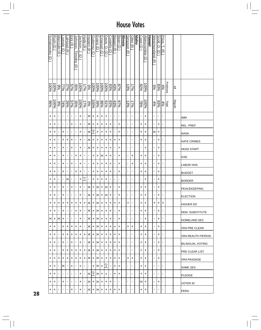|    | Schakowsky (<br>$\ominus$ | <b>Rush</b><br>Ӛ | <u>Manzullo (R</u> | <u>Lipinski (D</u> | <u>aHood (R</u> | <u>Kirk (R</u> | <u>Johnson,</u><br><u>Timothy</u><br>$\widehat{\pi}$ | Jackson, J.<br>$\widehat{\mathtt{c}}$ | <u>Hyde (R</u> | <u>Hastert (R</u>        | <b>Gutierrez</b><br>$\widehat{\mathtt{d}}$ | Evans (D                | Emanuel<br>$\widehat{\mathord{\text{e}}}$ | Davis, D.<br>$\widehat{\mathbf{d}}$ | Costello<br>U  | <u>Biggert (R</u> | Bean (D          | <u>Illinois</u> | <b>Simpson</b><br>$\widehat{\pi}$ | <u>Otter (R</u> | <u>Idaho</u> | Case <sub>1</sub><br>U | <u>Abercrombie</u><br>$\widehat{\Theta}$ | <u>Hawaii</u> | Westmoreland<br>$\widehat{\pi}$ | Scott, D.<br>$\widehat{\mathbf{d}}$ | Price,<br>⊣<br>$\widehat{\pi}$ |           |               |                         |
|----|---------------------------|------------------|--------------------|--------------------|-----------------|----------------|------------------------------------------------------|---------------------------------------|----------------|--------------------------|--------------------------------------------|-------------------------|-------------------------------------------|-------------------------------------|----------------|-------------------|------------------|-----------------|-----------------------------------|-----------------|--------------|------------------------|------------------------------------------|---------------|---------------------------------|-------------------------------------|--------------------------------|-----------|---------------|-------------------------|
|    | 96001                     | 100%             | 9%                 | $rac{5}{7}$        | $rac{27%}{25%}$ | 35%<br>57%     |                                                      | 96001                                 | 17%            | $\%0$                    | 100%                                       | $-00\%$                 | 100%                                      | $\frac{100\%}{200}$                 | 83%            | 43%               | $\frac{878}{3}$  |                 | 13%                               | $\sqrt{7\%}$    |              | $\frac{82}{3}$         | $\frac{100}{6}$                          |               | $\frac{5\%}{2}$                 | 83%                                 | 4%                             | Positions | ≧             |                         |
|    | 9696                      | 100%             | 9%                 | $74\%$             | 26%             |                | $\frac{358}{57\%}$                                   | 100%                                  | 17%            | $\sqrt{26}$              | 100%                                       | 39%                     | %96                                       | 999%                                | 83%            | 43%               | $\frac{87%}{65}$ |                 | 13%                               | 17%             |              | $\sqrt{88/2}$          | $\frac{100\%}{200}$                      |               | 4%                              | 83%                                 | $\frac{\text{Total}}{4\%}$     |           | <b>Report</b> |                         |
|    | +                         | +                | ٠                  | $\mathbf{r}$       | ٠               | $\blacksquare$ | $\blacksquare$                                       | +                                     | $\blacksquare$ | $\times$                 | $\ddot{}$                                  | +                       | $\ddot{}$                                 | +                                   | $\blacksquare$ | $\mathbf{r}$      | J.               |                 | $\mathbf{r}$                      | $\blacksquare$  |              | $\blacksquare$         | $\ddot{}$                                |               | $\mathbf{I}$                    | T,                                  | $\blacksquare$                 |           |               | <b>IMM</b>              |
|    | +                         | +                | ٠                  | $\blacksquare$     | ٠               | +              | 1                                                    | +                                     | $\blacksquare$ | $\times$                 | +                                          | +                       | +                                         | +                                   | +              | $\blacksquare$    | +                |                 | $\blacksquare$                    | $\blacksquare$  |              | +                      | +                                        |               | ŧ,                              | +                                   | ٠                              |           |               | <b>REL. PREF</b>        |
|    | +                         | +                | $\blacksquare$     | +                  | T,              | $\blacksquare$ | $\blacksquare$                                       | +                                     | $\blacksquare$ | $\mathord{\times}$       | Ŧ                                          | $\ddot{}$               | $\ddot{}$                                 | +                                   | +              | $\blacksquare$    | +                |                 | $\mathbf{r}$                      | $\blacksquare$  |              | $\ddot{}$              | $\ddot{}$                                |               | ×                               | +                                   | $\blacksquare$                 |           |               | <b>NASA</b>             |
|    | +                         | +                | ×,                 | +                  | +               | +              | $\blacksquare$                                       | +                                     | $\blacksquare$ | ∣≍                       | +                                          | +                       | $\ddot{}$                                 | +                                   | +              | +                 | +                |                 | ×.                                | $\blacksquare$  |              | +                      | +                                        |               | $\blacksquare$                  | +                                   | $\blacksquare$                 |           |               | <b>HATE CRIMES</b>      |
|    | +                         | +                | $\blacksquare$     | +                  | ٠               | +              | $\blacksquare$                                       | +                                     | $\blacksquare$ | $\times$                 | $\ddot{}$                                  | $\ddot{}$               | $\ddot{}$                                 | +                                   | +              | $\blacksquare$    | +                |                 | $\mathbf{r}$                      | $\blacksquare$  |              | $\blacksquare$         | $\ddot{}$                                |               | $\blacksquare$                  | $\ddot{}$                           | $\blacksquare$                 |           |               | <b>HEAD START</b>       |
|    | +                         | +                | ٠                  | +                  | ٠               | ٠              | +                                                    | +                                     | $\blacksquare$ | 1                        | +                                          | +                       | ×                                         | +                                   | +              | ٠                 | +                |                 | Ŧ,                                | +               |              | +                      | +                                        |               | $\blacksquare$                  | +                                   | ٠                              |           |               | <b>GSE</b>              |
|    | +                         | +                | $\blacksquare$     | +                  | ٠               | +              | $\blacksquare$                                       | +                                     | $\blacksquare$ | $\blacksquare$           | $\ddot{}$                                  | $\ddot{}$               | $\ddot{}$                                 | +                                   | +              | $\blacksquare$    | +                |                 | $\blacksquare$                    | +               |              | +                      | +                                        |               | $\blacksquare$                  | +                                   | ٠                              |           |               | <b>LABOR HHS</b>        |
|    | +                         | +                | ×,                 | +                  | ٠               | $\blacksquare$ | $\ddot{}$                                            | +                                     | $\blacksquare$ | $\blacksquare$           | $\ddot{}$                                  | +                       | $\ddot{}$                                 | +                                   | +              | $\blacksquare$    | +                |                 | $\mathbf{r}$                      | $\blacksquare$  |              | +                      | +                                        |               | $\blacksquare$                  | +                                   | J.                             |           |               | <b>BUDGET</b>           |
|    | +                         | +                | ٠                  | $\mathbf{r}$       | ×               | ×,             | $\blacksquare$                                       | +                                     | C              | $\blacksquare$           | +                                          | +                       | $\ddot{}$                                 | +                                   | T,             | $\blacksquare$    | $\blacksquare$   |                 | $\blacksquare$                    | $\blacksquare$  |              | $\blacksquare$         | +                                        |               |                                 | +                                   | 1                              |           |               | <b>BORDER</b>           |
|    | +                         | +                | ٠                  | +                  | ٠               | +              | $\blacksquare$                                       | +                                     | $\blacksquare$ | $\times$                 | $\ddot{}$                                  | $\times$                | $\ddot{}$                                 | ×                                   | +              | $\mathbf{r}$      | +                |                 | Ť.                                | $\blacksquare$  |              | +                      | $\ddot{}$                                |               | $\blacksquare$                  | +                                   | J.                             |           |               | <b>PEACEKEEPING</b>     |
|    | +                         | +                | ٠                  | +                  | ٠               | ×,             | $\blacksquare$                                       | +                                     | $\blacksquare$ | $\times$                 | $\ddot{}$                                  | ×                       | $\ddot{}$                                 | ×                                   | +              | $\blacksquare$    | +                |                 | r,                                | $\blacksquare$  |              | +                      | $\ddot{}$                                |               | $\blacksquare$                  | +                                   | $\blacksquare$                 |           |               | <b>ELECTION</b>         |
|    | +                         | +                | +                  | $\ddot{}$          | +               | $\ddot{}$      | $\left  + \right\rangle$                             | $\pm$                                 | $\ddot{}$      | $\left \times\right $    | $\ddot{}$                                  | $\mathsf{ \mathsf{x} }$ | $+$                                       | +                                   | $\ddot{}$      | $\ddot{}$         | +                |                 | +                                 | $\blacksquare$  |              | +                      | +                                        |               | +                               | $\ddot{}$                           | +                              |           |               | <b>HIGHER ED</b>        |
|    | +                         | +                | ٠                  | $\ddot{}$          |                 | $\blacksquare$ | $\ddot{}$                                            | +                                     | $\blacksquare$ | $\times$                 | +                                          | $\times$                | $\ddot{}$                                 | +                                   | +              | $\blacksquare$    | $\ddot{}$        |                 | $\mathbf{L}$                      | $\blacksquare$  |              | $\ddot{}$              | +                                        |               | $\blacksquare$                  | $\ddot{}$                           | $\blacksquare$                 |           |               | <b>DEM. SUBSTITUTE</b>  |
|    | $\times$  +               |                  | ⋉                  | +                  | ٠               | ٠              | $\blacksquare$                                       | +                                     | $\mathbf{L}$   | $\times$  +              |                                            | ı×ı                     | $\pm$                                     | $\ddot{}$                           | +              | $\mathbf{L}$      | $\ddot{}$        |                 | $\mathbf{r}$                      | $\blacksquare$  |              | $\blacksquare$         | +                                        |               | ı.                              | +                                   | $\blacksquare$                 |           |               | <b>HOMELAND SEC</b>     |
|    | +                         | +                | $\blacksquare$     | +                  | +               | +              | +                                                    | +                                     | $\blacksquare$ | $\times$  +              |                                            | $\times$                | $\ddot{}$                                 | $\ddot{}$                           | +              | +                 | +                |                 | +                                 | +               |              | +                      | +                                        |               | $\blacksquare$                  | +                                   | $\blacksquare$                 |           |               | <b>VRA PRE CLEAR</b>    |
|    | +                         | +                | $\mathbf{I}$       | +                  | +               | +              | +                                                    | +                                     | +              | l×l                      | +                                          | ×                       | $\ddot{}$                                 | +                                   | +              | +                 | +                |                 | $\mathbf{r}$                      | $\blacksquare$  |              | +                      | +                                        |               | T.                              | +                                   | $\blacksquare$                 |           |               | VRA REAUTH PERIOD       |
|    | +                         | +                | $\blacksquare$     | +                  | ٠               | +              | $\blacksquare$                                       | +                                     | $\mathbf{I}$   | $\times$ l+              |                                            | $\times$                | $\ddot{}$                                 | $^{+}$                              | +              | +                 | +                |                 | $\blacksquare$                    | $\blacksquare$  |              | +                      | +                                        |               | $\blacksquare$                  | +                                   | $\blacksquare$                 |           |               | <b>BILINGUAL VOTING</b> |
|    | +                         | +                | $\blacksquare$     | +                  | +               | +              | +                                                    | +                                     | +              | $\times$  +              |                                            | ∣×∣                     | $\ddot{}$                                 | +                                   | +              | +                 | +                |                 | $\mathbf{r}$                      | $\blacksquare$  |              | +                      | +                                        |               | ı.                              | +                                   | $\blacksquare$                 |           |               | <b>PRE CLEAR LIST</b>   |
|    | +                         | +                | +                  | +                  | +               | +              | +                                                    | +                                     | +              | $\mathsf{ \times +}$     |                                            | $\times$                | $\ddot{}$                                 | +                                   | +              | +                 | +                |                 | +                                 | +               |              | +                      | +                                        |               | $\mathbf{I}$                    | +                                   | $\blacksquare$                 |           |               | <b>VRA PASSAGE</b>      |
|    | +                         | +                | $\blacksquare$     | ×                  | ٠               | +              |                                                      | +                                     | $\mathbf{I}$   | $\blacksquare$           | +                                          | $\times$                | $\pm$                                     | $\pm$                               | л.             | +                 | +                |                 | $\mathbf{I}$                      | $\blacksquare$  |              | +                      | +                                        |               | $\blacksquare$                  | $\mathbf{I}$                        | $\blacksquare$                 |           |               | SAME SEX                |
|    | +                         | +                | $\blacksquare$     | $\blacksquare$     | ٠               | $\blacksquare$ | $\blacksquare$                                       | +                                     | $\mathbf{I}$   | $\mathsf{X}[\mathsf{+}]$ |                                            | $\times$                | $\ddot{}$                                 | +                                   | $\blacksquare$ | +                 | +                |                 | $\mathbf{I}$                      | $\blacksquare$  |              | +                      | +                                        |               | $\mathbf{I}$                    | ٠                                   | $\blacksquare$                 |           |               | <b>PLEDGE</b>           |
|    | +                         | +                | $\blacksquare$     | +                  | ٠               |                | $\blacksquare$                                       | +                                     | $\blacksquare$ | $\times$ l               | $\ddot{}$                                  | ∣×∣                     | $\ddot{}$                                 | +                                   | +              | ٠                 | I,               |                 | $\blacksquare$                    | $\blacksquare$  |              | ×                      | +                                        |               |                                 | +                                   | $\blacksquare$                 |           |               | <b>VOTER ID</b>         |
| 28 | +                         | +                | ٠                  | $\mathbf{I}$       | ٠               | +              | $\blacksquare$                                       | +                                     | $\blacksquare$ | ⊠                        | $\ddot{}$                                  | ×                       | $\ddot{}$                                 | +                                   | +              | +                 | +                |                 | $\mathbf{L}_{\rm{c}}$             | $\blacksquare$  |              | +                      | +                                        |               | ı.                              | I.                                  |                                |           |               | PERA                    |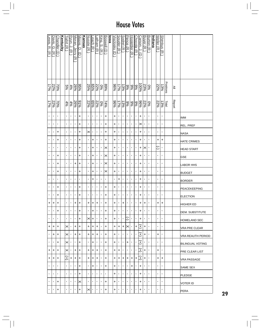| Lewis,<br>ᄍ.<br>⊼ | Davis,<br>ြ.<br>মি | <b>Chandler</b><br>$\widehat{\mathord{\text{e}}}$ | <b>Kentucky</b> | <u> Fiahrt (R</u>  | <u>Ryun, J.</u><br>$\widehat{\pi}$ | Moran, Jerry (R | Moore, D.<br>$\ominus$ | Kansas | Nussle (R      | Leach (R)      | atham (R       | King, S. (R    | Boswell (D     | <b>Lowa</b> | Visclosky (D     | Souder (R      | Sodrel (R      | Pence (R          | Hostettler (R  | Chocola (R     | Carson.<br>ې<br>∂ | <b>Buyer</b><br>$\widehat{\pi}$ | <b>Burton</b><br>ञ | <u>Indiana</u> | Weller (R      | <b>Shimkus (R</b> |           |               |                     |
|-------------------|--------------------|---------------------------------------------------|-----------------|--------------------|------------------------------------|-----------------|------------------------|--------|----------------|----------------|----------------|----------------|----------------|-------------|------------------|----------------|----------------|-------------------|----------------|----------------|-------------------|---------------------------------|--------------------|----------------|----------------|-------------------|-----------|---------------|---------------------|
| 17%               | 22%                | $\frac{20\%}{\%}$                                 |                 | $\frac{5}{2}$      | $\frac{4\%}{\%}$                   | 26%             | %56                    |        | 25%            | 929            | 22%            | <b>D%</b>      | 89%            |             | %96              | 17%            | 13%            | $ \mathcal{S}_6 $ | န္တ            | န့             | 100%              | 23%                             | $\frac{5}{6}$      |                | 22%            | 13%               | Positions | ≧             |                     |
| 17%               | 22%                | 70%                                               |                 | $\frac{4\%}{2}$    | $\frac{4\%}{\%}$                   | 26%             | 9616                   |        | 22%            | $65\%$         | 22%            | 960            | 7496           |             | $\frac{9696}{5}$ | 17%            | $13\%$         | န့                | $\frac{8}{6}$  | န့             | 32%               |                                 | $\sqrt{60}$        |                | 22%            | 13%               | Total     | <b>Report</b> |                     |
| $\mathbf{r}$      | ٠                  | $\blacksquare$                                    |                 | $\blacksquare$     | ×,                                 | $\blacksquare$  | +                      |        | $\blacksquare$ | $\blacksquare$ | $\blacksquare$ | $\mathbf{r}$   | +              |             | +                | $\mathbf{r}$   | $\blacksquare$ | $\blacksquare$    | $\blacksquare$ | $\blacksquare$ | +                 | $\blacksquare$                  | $\blacksquare$     |                | $\blacksquare$ | $\blacksquare$    |           |               | <b>IMM</b>          |
| $\blacksquare$    | ×                  | J.                                                |                 | ٠                  | ı                                  | $\blacksquare$  | +                      |        | $\blacksquare$ | ,              | $\blacksquare$ | $\blacksquare$ | +              |             | +                | $\blacksquare$ | $\blacksquare$ | $\blacksquare$    | ٠              | 1              | ×                 | 1                               | $\blacksquare$     |                | п              | 1                 |           |               | REL. PREF           |
| $\blacksquare$    | J,                 | +                                                 |                 | ٠                  | ı                                  | $\blacksquare$  | +                      |        | $\times$       | ,              | $\blacksquare$ | $\blacksquare$ | $\ddot{}$      |             | +                | $\blacksquare$ | $\blacksquare$ | ٠                 | ٠              | 1              | +                 | $\blacksquare$                  | $\blacksquare$     |                | п              | ı,                |           |               | <b>NASA</b>         |
| $\blacksquare$    | J,                 | +                                                 |                 | ٠                  | J,                                 | $\blacksquare$  | +                      |        | $\blacksquare$ | +              | $\blacksquare$ | ٠              | $\ddot{}$      |             | $\ddot{}$        | ×,             | $\blacksquare$ | $\blacksquare$    | ٠              | 1              | $\ddot{}$         | $\blacksquare$                  | $\blacksquare$     |                | +              | $\ddot{}$         |           |               | <b>HATE CRIMES</b>  |
| $\blacksquare$    | J,                 | ٠                                                 |                 | $\blacksquare$     | ı                                  | $\blacksquare$  | +                      |        | $\blacksquare$ | +              | $\blacksquare$ | $\blacksquare$ | $\times$       |             | $\ddot{}$        | $\mathbf{r}$   | $\mathbf{r}$   | $\blacksquare$    | T,             | $\blacksquare$ | +                 | ×                               | $\blacksquare$     |                | Ξ              | ٠                 |           |               | <b>HEAD START</b>   |
| ٠                 | ٠                  | +                                                 |                 | ٠                  | ٠                                  | $\blacksquare$  | +                      |        | $\blacksquare$ | +              | $\blacksquare$ | $\blacksquare$ | ×              |             | +                | $\mathbf{r}$   | $\blacksquare$ | $\blacksquare$    | ٠              | $\blacksquare$ | +                 | $\blacksquare$                  | $\blacksquare$     |                | I.             | $\blacksquare$    |           |               | <b>GSE</b>          |
| $\blacksquare$    | $\blacksquare$     | +                                                 |                 | ٠                  | ı                                  | +               | +                      |        | $\blacksquare$ | +              | $\blacksquare$ | $\blacksquare$ | $\times$       |             | $\ddot{}$        | $\blacksquare$ | $\blacksquare$ | ×,                | ٠              | ٠              | +                 | $\blacksquare$                  | $\blacksquare$     |                | $\blacksquare$ | $\blacksquare$    |           |               | <b>LABOR HHS</b>    |
| $\blacksquare$    | ٠                  | +                                                 |                 | $\blacksquare$     | $\blacksquare$                     | $\blacksquare$  | +                      |        | $\blacksquare$ | +              | $\blacksquare$ | $\blacksquare$ | ×              |             | $\ddot{}$        | $\blacksquare$ | $\blacksquare$ | ×,                | $\blacksquare$ | $\blacksquare$ | $\ddot{}$         | $\blacksquare$                  | $\blacksquare$     |                | $\blacksquare$ | $\blacksquare$    |           |               | <b>BUDGET</b>       |
| $\blacksquare$    | J.                 | $\blacksquare$                                    |                 | $\blacksquare$     | $\blacksquare$                     | $\blacksquare$  | $\blacksquare$         |        | $\blacksquare$ | +              | $\blacksquare$ | $\blacksquare$ | $\mathbf{I}$   |             | r,               | +              | $\blacksquare$ | $\blacksquare$    | $\blacksquare$ | ٠              | +                 | 1                               | $\blacksquare$     |                | I.             | $\blacksquare$    |           |               | <b>BORDER</b>       |
| ٠                 | $\blacksquare$     | +                                                 |                 | $\blacksquare$     | $\blacksquare$                     | $\blacksquare$  | +                      |        | $\blacksquare$ | $\blacksquare$ | $\blacksquare$ | $\blacksquare$ | $\ddot{}$      |             | +                | $\blacksquare$ | $\mathbf{r}$   | $\blacksquare$    | $\blacksquare$ | $\blacksquare$ | +                 | $\blacksquare$                  | $\blacksquare$     |                | $\blacksquare$ | $\blacksquare$    |           |               | PEACEKEEPING        |
| ٠                 | ٠                  | +                                                 |                 | ٠                  | ı                                  | $\blacksquare$  | +                      |        | $\blacksquare$ | ,              | $\blacksquare$ | ٠              | +              |             | +                | $\blacksquare$ | ×,             | $\blacksquare$    | ٠              | 1              | +                 | $\blacksquare$                  | $\blacksquare$     |                | $\blacksquare$ | 1                 |           |               | <b>ELECTION</b>     |
| +                 | $\ddot{}$          | $\ddot{}$                                         |                 | ı                  | ı                                  | +               | $\ddot{}$              |        | $\ddot{}$      | $\ddot{}$      | $\ddag$        | $\blacksquare$ | $\ddot{}$      |             | $\ddot{}$        | $\mathbf{r}$   | $\ddot{}$      | $\blacksquare$    | T,             | $\blacksquare$ | $\ddot{}$         | $\ddot{}$                       | $\blacksquare$     |                | +              | $\ddot{}$         |           |               | HIGHER ED           |
| $\mathbf{I}$      | $\blacksquare$     | +                                                 |                 | $\blacksquare$     | $\blacksquare$                     | $\blacksquare$  | +                      |        | $\blacksquare$ | +              | $\blacksquare$ | $\mathbf{I}$   | +              |             | +                | $\blacksquare$ | $\mathbf{L}$   | $\blacksquare$    | $\blacksquare$ | $\mathbf{I}$   | $\ddot{}$         | $\blacksquare$                  | $\blacksquare$     |                | $\blacksquare$ | $\blacksquare$    |           |               | DEM. SUBSTITUTE     |
| ٠                 | $\blacksquare$     | ٠                                                 |                 | $\blacksquare$     | ٠                                  | $\blacksquare$  | +                      |        | $\times$       | +              | $\blacksquare$ | $\mathbf{I}$   | +              |             | +                | $\mathbf{I}$   | $\blacksquare$ | Ξ                 | $\mathbf{r}$   | $\mathbf{I}$   | +                 | $\blacksquare$                  | $\blacksquare$     |                | $\blacksquare$ | $\blacksquare$    |           |               | <b>HOMELAND SEC</b> |
| +                 | +                  | +                                                 |                 | ×                  | $\blacksquare$                     | +               | +                      |        | ÷.             | +              | +              | $\mathbf{I}$   | +              |             | +                | l+             | +              | ×                 | л.             | +              | $\left[ +\right]$ | +                               | $\blacksquare$     |                | I.             | $\blacksquare$    |           |               | VRA PRE CLEAR       |
| ٠                 | +                  | +                                                 |                 | $\mathbin{\times}$ | ٠                                  | +               | +                      |        | +              | +              | +              | ı.             | +              |             | +                | $\blacksquare$ | $\blacksquare$ | л.                | $\blacksquare$ | $\blacksquare$ | $^{+}$            | +                               | $\blacksquare$     |                | +              | $\blacksquare$    |           |               | VRA REAUTH PERIOD   |
| $\blacksquare$    | ٠                  | +                                                 |                 | ×۱۰                |                                    | $\blacksquare$  | +                      |        | $\mathbf{I}$   | +              | $\blacksquare$ | $\blacksquare$ | $\ddot{}$      |             | +                | $\blacksquare$ | $\blacksquare$ | +                 | $\blacksquare$ | $\blacksquare$ | $^{+}$            | $\mathbf{I}$                    | $\blacksquare$     |                | $\blacksquare$ | $\blacksquare$    |           |               | BILINGUAL VOTING    |
| +                 | +                  | +                                                 |                 | $\times$           | ٠                                  | +               | +                      |        | +              | +              | +              | $\blacksquare$ | +              |             | +                | +              | $\blacksquare$ | $\mathbf{I}$      | $\mathbf{I}$   | $\blacksquare$ | $\pm$             | +                               | $\blacksquare$     |                | +              | $\blacksquare$    |           |               | IPRE CLEAR LIST     |
| +                 | +                  | +                                                 |                 | $\left[ +\right]$  | +                                  | +               | +                      |        | +              | +              | +              | $\blacksquare$ | +              |             | +                | +              | +              | +                 | +              | +              | $\pm$             | +                               | $\blacksquare$     |                | +              | +                 |           |               | VRA PASSAGE         |
| $\blacksquare$    | J.                 | ٠                                                 |                 | J.                 | I,                                 | $\blacksquare$  | +                      |        | $\blacksquare$ | +              | $\blacksquare$ | ٠              | ٠              |             | +                | $\blacksquare$ | $\blacksquare$ | ٠                 | +              |                | +                 | $\blacksquare$                  | I.                 |                | п              | I.                |           |               | SAME SEX            |
| $\mathbf{I}$      | ٠                  | ٠                                                 |                 | J.                 | ٠                                  | $\blacksquare$  | +                      |        | $\blacksquare$ | $\blacksquare$ | $\blacksquare$ | ٠              | $\blacksquare$ |             | +                | $\blacksquare$ | $\mathbf{L}$   | $\blacksquare$    | $\blacksquare$ | $\blacksquare$ | +                 | $\blacksquare$                  | $\blacksquare$     |                | $\blacksquare$ | ٠                 |           |               | <b>PLEDGE</b>       |
| $\mathbf{I}$      | ٠                  | +                                                 |                 | ٠                  | ٠                                  | ٠               | ×                      |        | ٠              | $\blacksquare$ | $\blacksquare$ | $\mathbf{I}$   | +              |             | +                | $\blacksquare$ | $\blacksquare$ | $\blacksquare$    | ٠              | ٠              | +                 | ٠                               | $\blacksquare$     |                | п              | ٠                 |           |               | VOTER ID            |
| $\mathbf{I}$      | ٠                  | +                                                 |                 | ٠                  | I,                                 | п               | +                      |        | $\times$       | $\blacksquare$ | $\blacksquare$ | ı.             | +              |             | +                | $\blacksquare$ | $\blacksquare$ | $\blacksquare$    | ٠              | $\blacksquare$ | +                 | $\blacksquare$                  | $\blacksquare$     |                | I.             | ı,                |           |               | PERA                |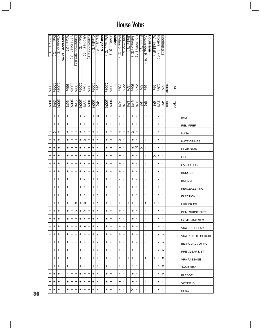|           | <u>Delahunt (D</u> | Capuano (D | <b>Massachusetts</b> | <b>Wynn_</b><br>$\widehat{\Theta}$ | Van Hollen<br>ê | Ruppersberger<br>$\widehat{\mathbf{c}}$ | <u>Hoyer (D</u> )   | Gilchrest (R)  | Cummings (D | Cardin (D | Bartlett (R    | <b>Maryland</b> | Michaud (D | <u>Allen, T.</u><br>g | <b>Maine</b> | <b>Melancon</b><br>$\widehat{\mathord{\text{e}}}$ | McCrery (R     | <u>Jindal (R</u> | <u>Jefferson</u><br>$\widehat{\Theta}$ | Boustany (R    | <u>Baker (R</u>          | <u>Alexander,</u><br>ᅎ<br>$\widehat{\pi}$ | <u>Louisiana</u> | <b>Nutrield GR</b>    | Rogers,<br>H.<br><u>রি</u> | Northup (R     |           |        |                         |
|-----------|--------------------|------------|----------------------|------------------------------------|-----------------|-----------------------------------------|---------------------|----------------|-------------|-----------|----------------|-----------------|------------|-----------------------|--------------|---------------------------------------------------|----------------|------------------|----------------------------------------|----------------|--------------------------|-------------------------------------------|------------------|-----------------------|----------------------------|----------------|-----------|--------|-------------------------|
| 96001     | 100%               | $-6006$    |                      | $\frac{9696}{2}$                   | 96001           | %00L                                    | $\frac{100\%}{200}$ | 45%            | 100%        | 100%      | 5%             |                 | 100%       | $\frac{100\%}{200}$   |              | 73%                                               | 22%            | 13%              | $\frac{95\%}{25}$                      | 26%            | २०<br> <br> <br> <br>    | 9%                                        |                  | $\frac{9\%}{6}$       | 13%                        | %9             | Positions | ≧      |                         |
| 96001     | $\frac{9696}{5}$   | 96001      |                      | $\frac{60}{6}$                     | $\frac{100}{3}$ | 9616                                    | $\frac{100\%}{200}$ | 39%            | $-6001$     | 96001     | 4%             |                 | 100%       | $\frac{100\%}{200}$   |              | %0Z                                               | 22%            | 13%              | 26%<br>87%                             |                | 4%                       | 9%                                        |                  | $\frac{986}{6}$       | 13%                        | 4%             | Total     | Report |                         |
| $\ddot{}$ | +                  | $\ddot{}$  |                      | +                                  | +               | +                                       | +                   | $\blacksquare$ | $\ddot{}$   | $\ddot{}$ | $\times$       |                 | $\ddot{}$  | +                     |              | $\blacksquare$                                    | ×,             | $\blacksquare$   | $\ddot{}$                              | $\blacksquare$ | $\blacksquare$           | $\blacksquare$                            |                  | $\mathbf{r}$          | $\blacksquare$             | $\blacksquare$ |           |        | IMM                     |
| +         | +                  | +          |                      | +                                  | +               | +                                       | +                   | $\blacksquare$ | +           | +         | $\blacksquare$ |                 | +          | +                     |              | +                                                 | ٠              | $\blacksquare$   | +                                      | $\blacksquare$ | $\blacksquare$           | $\blacksquare$                            |                  | $\blacksquare$        | $\blacksquare$             | $\blacksquare$ |           |        | REL. PREF               |
| +         | $\times$           | +          |                      | +                                  | +               | +                                       | +                   | $\blacksquare$ | +           | $\ddot{}$ | $\blacksquare$ |                 | +          | +                     |              | +                                                 | +              | +                | $\boldsymbol{\times}$                  | +              | $\blacksquare$           | $\blacksquare$                            |                  | $\blacksquare$        | $\blacksquare$             | $\blacksquare$ |           |        | <b>NASA</b>             |
| +         | +                  | +          |                      | +                                  | +               | +                                       | +                   | ×              | +           | $\ddot{}$ | ٠              |                 | $\ddot{}$  | +                     |              | ×                                                 | ٠              | T,               | +                                      | $\blacksquare$ | $\blacksquare$           | $\blacksquare$                            |                  | $\blacksquare$        | $\blacksquare$             | $\blacksquare$ |           |        | <b>HATE CRIMES</b>      |
| +         | $+$                | $\ddot{}$  |                      | +                                  | +               | +                                       | +                   | $\mathbf I$    | +           | +         | $\blacksquare$ |                 | +          | +                     |              | +                                                 | ٠              | ×,               | $\ddot{}$                              | C              | $\times$                 | ,                                         |                  | $\blacksquare$        | $\blacksquare$             | $\blacksquare$ |           |        | <b>HEAD START</b>       |
| +         | +                  | +          |                      | +                                  | +               | +                                       | +                   | +              | +           | +         | ٠              |                 | +          | +                     |              | +                                                 | $\blacksquare$ | $\blacksquare$   | +                                      | $\blacksquare$ | $\blacksquare$           | $\blacksquare$                            |                  | $\times$              | ٠                          | $\blacksquare$ |           |        | <b>GSE</b>              |
| +         | +                  | +          |                      | +                                  | +               | +                                       | +                   | $\blacksquare$ | +           | +         | $\blacksquare$ |                 | +          | +                     |              | +                                                 | ٠              | $\blacksquare$   | +                                      | $\blacksquare$ | $\blacksquare$           | $\blacksquare$                            |                  | $\blacksquare$        | ٠                          | T,             |           |        | <b>LABOR HHS</b>        |
| +         | +                  | +          |                      | +                                  | +               | +                                       | +                   | $\blacksquare$ | +           | $\ddot{}$ | $\blacksquare$ |                 | $\ddot{}$  | +                     |              | +                                                 | ٠              | ×,               | $\ddot{}$                              | $\blacksquare$ | $\blacksquare$           | $\blacksquare$                            |                  | $\mathbf{r}$          | J.                         | $\blacksquare$ |           |        | <b>BUDGET</b>           |
| +         | +                  | +          |                      | +                                  | +               | +                                       | +                   | ,              | +           | +         | +              |                 | +          | +                     |              | ٠                                                 | T,             | $\blacksquare$   | +                                      | $\blacksquare$ | $\blacksquare$           | $\blacksquare$                            |                  | $\blacksquare$        | $\blacksquare$             | $\blacksquare$ |           |        | <b>BORDER</b>           |
| +         | +                  | +          |                      | +                                  | +               | +                                       | $\ddot{}$           | $\mathbf{I}$   | $\ddot{}$   | $\ddot{}$ | $\blacksquare$ |                 | +          | +                     |              | +                                                 | $\blacksquare$ | $\mathbf{r}$     | +                                      | $\blacksquare$ | $\blacksquare$           | $\blacksquare$                            |                  | $\blacksquare$        | $\blacksquare$             | $\mathbf{I}$   |           |        | PEACEKEEPING            |
| +         | +                  | +          |                      | +                                  | +               | +                                       | +                   | $\blacksquare$ | +           | +         | 1              |                 | +          | +                     |              | +                                                 | $\blacksquare$ | $\blacksquare$   | +                                      | $\blacksquare$ | $\blacksquare$           | $\blacksquare$                            |                  | $\blacksquare$        | $\blacksquare$             | $\blacksquare$ |           |        | <b>ELECTION</b>         |
| +         | +                  | $\ddot{}$  |                      | $\ddot{}$                          | $\ddot{}$       | $\ltimes$                               | $\left  + \right $  | ∣×             | $\ddot{}$   | $\ddot{}$ | ı              |                 | +          | +                     |              | +                                                 | $\ddot{}$      | +                | $\pm$                                  | $\ddot{}$      | $\left  + \right\rangle$ | +                                         |                  | $\ddot{}$             | $\ddagger$                 | +              |           |        | <b>HIGHER ED</b>        |
| +         | +                  | +          |                      | $\ddot{}$                          | $\ddot{}$       | $\times$                                | $\ddot{}$           | ⋉              | $\ddot{}$   | $\ddot{}$ |                |                 | $\ddot{}$  | $\ddot{}$             |              | $\ddot{}$                                         | $\blacksquare$ | ٠                | $\ddot{}$                              | $\blacksquare$ | $\blacksquare$           | п                                         |                  | $\blacksquare$        | $\blacksquare$             | $\blacksquare$ |           |        | DEM. SUBSTITUTE         |
| +         | +                  | +          |                      | +                                  | +               | +                                       | +                   | $\mathbf{I}$   | +           | +         | ٠              |                 | +          | +                     |              | $\mathbf{L}$                                      | ٠              | $\blacksquare$   | +                                      | $\blacksquare$ | $\blacksquare$           | 1                                         |                  | $\blacksquare$        | ٠                          | $\blacksquare$ |           |        | <b>HOMELAND SEC</b>     |
| +         | $\pm$              | +          |                      | +                                  | +               | +                                       | +                   | +              | +           | +         | ٠              |                 | +          | +                     |              | +                                                 | +              | $\blacksquare$   | +                                      | +              | $\blacksquare$           | ٠                                         |                  | $\mathbf{I}$          | +                          | ×              |           |        | VRA PRE CLEAR           |
| +         | +                  | +          |                      | +                                  | +               | +                                       | +                   | +              | +           | +         | I.             |                 | +          | +                     |              | +                                                 | +              | $\blacksquare$   | +                                      | +              | $\blacksquare$           | $\blacksquare$                            |                  | $\mathbf{I}$          | $\mathbf{I}$               | ×              |           |        | VRA REAUTH PERIOD       |
| +         | +                  | +          |                      | $\ddot{}$                          | +               | +                                       | $\ddot{}$           | +              | $\ddot{}$   | +         | I.             |                 | +          | $\ddot{}$             |              | +                                                 | ٠              | $\blacksquare$   | +                                      | $\blacksquare$ | $\blacksquare$           | I.                                        |                  | $\blacksquare$        | $\blacksquare$             | ⋉              |           |        | <b>BILINGUAL VOTING</b> |
| +         | +                  | +          |                      | +                                  | +               | +                                       | +                   | +              | +           | +         | ٠              |                 | +          | +                     |              | +                                                 | ٠              | $\blacksquare$   | +                                      | +              | $\blacksquare$           | ٠                                         |                  | $\mathbf{L}_{\rm{c}}$ | $\mathbf{I}$               | ×              |           |        | <b>PRE CLEAR LIST</b>   |
| +         | +                  | +          |                      | +                                  | +               | +                                       | +                   | +              | +           | +         | $\blacksquare$ |                 | +          | +                     |              | +                                                 | +              | +                | +                                      | +              | $\blacksquare$           | +                                         |                  | +                     | +                          | $\times$       |           |        | VRA PASSAGE             |
| +         | +                  | +          |                      | +                                  | +               | +                                       | +                   | +              | +           | +         | ٠              |                 | +          | +                     |              | $\blacksquare$                                    | ٠              | ٠                | $\blacksquare$                         | $\blacksquare$ | $\blacksquare$           | $\blacksquare$                            |                  | $\mathbf{I}$          | $\blacksquare$             | ⋉              |           |        | <b>SAME SEX</b>         |
| +         | +                  | +          |                      | $\mathbf{r}$                       | +               | +                                       | ÷                   | +              | +           | +         | ٠              |                 | +          | +                     |              | $\mathbf{L}$                                      | ٠              | $\blacksquare$   | $\ddot{}$                              | $\blacksquare$ | $\blacksquare$           | $\blacksquare$                            |                  | $\blacksquare$        | ٠                          | ⋉              |           |        | <b>PLEDGE</b>           |
| +         | +                  | +          |                      | +                                  | +               | +                                       | +                   |                | +           | +         | ٠              |                 | +          | $\ddot{}$             |              | +                                                 | ٠              | ٠                | +                                      | $\blacksquare$ | $\blacksquare$           | ı                                         |                  | $\mathbf{I}$          | $\blacksquare$             | $\mathbf{I}$   |           |        | <b>VOTER ID</b>         |
| +         | +                  | +          |                      | +                                  | +               | +                                       | +                   | +              | +           | +         | ٠              |                 | +          | +                     |              | ٠                                                 | ٠              | $\blacksquare$   | ×                                      | $\blacksquare$ | $\blacksquare$           |                                           |                  | $\blacksquare$        | ٠                          | $\mathbf{I}$   |           |        | <b>PERA</b>             |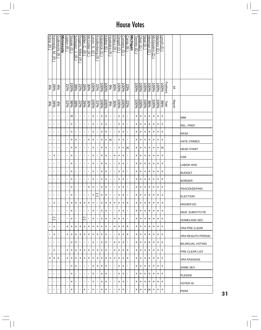| Kline (R           | <u>Kennedy, M.</u><br>ਕ | Gutknecht<br>$\widehat{\pi}$ | <b>Minnesota</b> | <u>Jpton (R</u> | Stupak (D          | Schwarz,<br>$\overline{\bm{x}}$ | Rogers,<br>Mike<br>$\widehat{\pi}$ | Miller, C.<br>$\widehat{\pi}$ | McCotter (R              | evin, S.<br>$\widehat{\Theta}$ | <u>Knollenberg (R</u> | Kilpatrick (D | Kildee (D | Hoekstra (R    | Ehlers (R      | <u>Dingell (D</u> | Conyers (D | Camp (R   | <u>Michigan</u> | Terney (D | Olver (D  | Neal<br>$\widehat{\mathbf{d}}$ | Meehan<br>Ӛ         | McGovern<br>Ō | Markey<br>$\widehat{\mathbf{d}}$ | Jnch (D   |           |               |                     |
|--------------------|-------------------------|------------------------------|------------------|-----------------|--------------------|---------------------------------|------------------------------------|-------------------------------|--------------------------|--------------------------------|-----------------------|---------------|-----------|----------------|----------------|-------------------|------------|-----------|-----------------|-----------|-----------|--------------------------------|---------------------|---------------|----------------------------------|-----------|-----------|---------------|---------------------|
| $\frac{26\%}{4\%}$ |                         | $4\%$                        |                  | 22%             | $\frac{100\%}{\%}$ | 39%                             | 22%                                | 26%                           | 30%                      | 96001                          | 22%                   | 100%          | $-6006$   | %              | 30%            | 100%              | 100%       | 23%       |                 | 100%      | 100%      | $\frac{100\%}{200}$            | $\frac{100\%}{200}$ | 96001         | 96001                            | 100%      | Positions | ≧             |                     |
| $\frac{4\%}{2}$    | 26%                     | $4\%$                        |                  | 22%             | $\frac{8}{36}$     | 39%                             | 22%                                | 26%                           | 30%                      | 100%                           | 22%                   | 100%          | $00\%$    | 966            | 30%            | 96001             | 96001      | 22%       |                 | 100%      | 96001     | 96001                          | $\frac{60}{66}$     | 96001         | 96001                            | $96\%$    | Total     | <b>Report</b> |                     |
| $\mathbf{I}$       | $\blacksquare$          | 1                            |                  | $\mathbf{I}$    | ✕                  | ٠                               | $\blacksquare$                     | $\blacksquare$                | $\blacksquare$           | +                              | $\blacksquare$        | +             | +         | $\blacksquare$ | $\blacksquare$ | +                 | +          | T,        |                 | +         | +         | +                              | +                   | +             | +                                | +         |           |               | <b>IMM</b>          |
| $\blacksquare$     | $\mathbf{I}$            | J.                           |                  | ×,              | +                  | J.                              | ı                                  | $\blacksquare$                | $\blacksquare$           | +                              | ,                     | +             | +         | $\blacksquare$ | ٠              | +                 | +          | J,        |                 | +         | +         | +                              | +                   | +             | +                                | +         |           |               | REL. PREF           |
| $\blacksquare$     | $\blacksquare$          | ı                            |                  | ×,              | +                  | J,                              | $\blacksquare$                     | $\blacksquare$                | $\blacksquare$           | +                              | ,                     | +             | +         | $\blacksquare$ | ٠              | +                 | +          | ٠         |                 | +         | +         | +                              | +                   | +             | +                                | +         |           |               | <b>NASA</b>         |
| $\blacksquare$     | 1                       | J.                           |                  | ٠               | +                  | $\ddot{}$                       | ٠                                  | $\blacksquare$                | $\ddot{}$                | $\ddot{}$                      | ,                     | $\ddot{}$     | +         | ×              | ı              | +                 | +          | ٠         |                 | +         | +         | +                              | +                   | +             | +                                | $\ddot{}$ |           |               | <b>HATE CRIMES</b>  |
| J.                 | 1                       | Ţ                            |                  | $\blacksquare$  | +                  | +                               | ٠                                  | $\blacksquare$                | $\blacksquare$           | $\ddot{}$                      | $\blacksquare$        | $\ddot{}$     | +         | $\blacksquare$ | $\blacksquare$ | +                 | +          | $\times$  |                 | +         | +         | +                              | +                   | +             | +                                | $\times$  |           |               | <b>HEAD START</b>   |
| $\mathbf{r}$       | +                       | Ţ                            |                  | $\blacksquare$  | +                  | ٠                               | ٠                                  | $\blacksquare$                | $\blacksquare$           | +                              | ,                     | +             | +         | $\blacksquare$ | +              | +                 | +          | ٠         |                 | +         | +         | +                              | +                   | +             | +                                | +         |           |               | <b>GSE</b>          |
| $\blacksquare$     | $\blacksquare$          | 1                            |                  | ×,              | +                  | ٠                               | $\blacksquare$                     | $\blacksquare$                | $\blacksquare$           | +                              | ,                     | +             | +         | 1              | ٠              | +                 | +          | ٠         |                 | +         | +         | +                              | +                   | +             | +                                | +         |           |               | LABOR HHS           |
| $\mathbf{r}$       | $\blacksquare$          | 1                            |                  | $\blacksquare$  | +                  | $\blacksquare$                  | $\blacksquare$                     | $\blacksquare$                | $\blacksquare$           | +                              | ,                     | $\ddot{}$     | +         | $\blacksquare$ | $\blacksquare$ | +                 | +          | ٠         |                 | +         | +         | +                              | +                   | +             | +                                | $\ddot{}$ |           |               | <b>BUDGET</b>       |
| $\blacksquare$     | 1                       | I.                           |                  | $\blacksquare$  | +                  | ٠                               | ٠                                  | $\blacksquare$                | $\blacksquare$           | +                              | ,                     | +             | +         | $\blacksquare$ | $\blacksquare$ | +                 | +          | ٠         |                 | +         | +         | +                              | +                   | +             | +                                | +         |           |               | <b>BORDER</b>       |
| $\blacksquare$     | $\mathbf{I}$            | $\blacksquare$               |                  | ×,              | +                  | $\blacksquare$                  | $\blacksquare$                     | $\blacksquare$                | +                        | +                              | ,                     | +             | +         | $\blacksquare$ | $\blacksquare$ | +                 | +          | ٠         |                 | +         | +         | +                              | +                   | +             | +                                | +         |           |               | PEACEKEEPING        |
| $\blacksquare$     | $\blacksquare$          | ı                            |                  | $\blacksquare$  | +                  | J,                              | ٠                                  | $\blacksquare$                | $\blacksquare$           | +                              | Ξ                     | +             | +         | $\blacksquare$ | ٠              | +                 | +          | ٠         |                 | +         | +         | +                              | +                   | +             | +                                | +         |           |               | <b>ELECTION</b>     |
| $\blacksquare$     | +                       | ٠                            |                  | +               | $\ddot{}$          | $\pm$                           | $\ddot{}$                          | $\ddot{}$                     | $\left  + \right\rangle$ | $\ddot{}$                      | $\blacksquare$        | $\ddot{}$     | $\ddot{}$ | $\ddot{}$      | $\ddot{}$      | $\ddot{}$         | $\pm$      | $\ddot{}$ |                 | $\ddot{}$ | $\ddot{}$ | +                              | $\ddot{}$           | $\ddot{}$     | +                                | $\ddot{}$ |           |               | HIGHER ED           |
| $\mathbf{I}$       | $\blacksquare$          | $\blacksquare$               |                  | $\blacksquare$  | +                  | J.                              | $\blacksquare$                     | $\blacksquare$                | $\blacksquare$           | +                              | $\blacksquare$        | +             | +         | $\blacksquare$ | ٠              | +                 | $\ddot{}$  | ٠         |                 | +         | +         | +                              | +                   | +             | +                                | +         |           |               | IDEM. SUBSTITUTE    |
| $\mathbf{I}$       | J.                      | $\blacksquare$               |                  | $\mathbf{L}$    | +                  | ٠                               | $\blacksquare$                     | Ο                             |                          | +                              | $\blacksquare$        | +             | +         | $\mathbf{I}$   | +              | +                 | +          | ٠         |                 | +         | +         | +                              | +                   | +             | +                                | +         |           |               | <b>HOMELAND SEC</b> |
| $\mathbf{I}$       | +                       | I.                           |                  | +               | ÷                  | +                               | +                                  | +                             | +                        | +                              | +                     | +             | +         | $\blacksquare$ | +              | +                 | ÷          | +         |                 | +         | +         | +                              | +                   | +             | +                                | +         |           |               | VRA PRE CLEAR       |
| $\blacksquare$     | +                       | $\blacksquare$               |                  | +               | +                  | +                               | +                                  | ٠                             | +                        | +                              | +                     | +             | +         | $\blacksquare$ | п.             | +                 | +          | +         |                 | +         | +         | +                              | +                   | +             | +                                | +         |           |               | VRA REAUTH PERIOD   |
| $\mathbf{I}$       | 1                       | $\blacksquare$               |                  | $\mathbf{L}$    | $\ddot{}$          | +                               | ٠                                  | $\blacksquare$                | $\blacksquare$           | +                              | $\blacksquare$        | +             | +         | $\blacksquare$ | $\ddot{}$      | +                 | $\ddot{}$  | ٠         |                 | +         | +         | +                              | +                   | +             | +                                | $\ddot{}$ |           |               | IBILINGUAL VOTING   |
| л.                 | +                       | I.                           |                  | +               | +                  | +                               | +                                  | +                             | +                        | +                              | +                     | +             | +         | $\blacksquare$ | +              | +                 | +          | +         |                 | +         | +         | +                              | +                   | +             | +                                | +         |           |               | IPRE CLEAR LIST     |
| +                  | +                       | +                            |                  | +               | +                  | +                               | +                                  | +                             | +                        | +                              | +                     | +             | +         | +              | +              | +                 | +          | +         |                 | +         | +         | +                              | +                   | +             | +                                | +         |           |               | VRA PASSAGE         |
| $\mathbf{I}$       | $\mathbf{I}$            | I.                           |                  | $\mathbf{I}$    | +                  | +                               | J.                                 | $\blacksquare$                | $\blacksquare$           | +                              | +                     | +             | +         | $\mathbf{I}$   | $\mathbf{I}$   | +                 | ٠          |           |                 | ٠         | ÷         | +                              | +                   | +             | +                                | +         |           |               | <b>SAME SEX</b>     |
| $\mathbf{I}$       | $\mathbf{I}$            | I.                           |                  | $\blacksquare$  | +                  | J.                              | ٠                                  | $\blacksquare$                | $\blacksquare$           | +                              | $\blacksquare$        | +             | +         | $\blacksquare$ | л.             | +                 | $\ddot{}$  | ٠         |                 | +         | +         | +                              | +                   | +             | +                                | $\ddot{}$ |           |               | <b>PLEDGE</b>       |
|                    | ٠                       | ٠                            |                  | $\mathbf{I}$    | +                  | ٠                               | ٠                                  | ٠                             | $\blacksquare$           | +                              | 1                     | +             | +         | $\blacksquare$ | $\blacksquare$ | +                 | +          | ٠         |                 | +         | +         | +                              | ٠                   | +             | +                                | +         |           |               | VOTER ID            |
| л.                 | ٠                       | 1                            |                  | ٠               | +                  | ٠                               | J.                                 | +                             | $\blacksquare$           | +                              | $\blacksquare$        | +             | +         | $\blacksquare$ | ٠              | +                 | +          | ٠         |                 | +         | +         | +                              | ×                   | +             | +                                | +         |           |               | PERA                |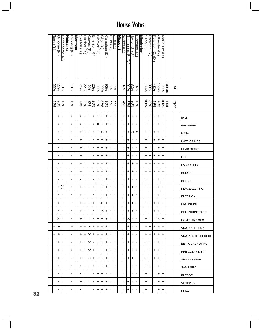|    | <u>Terry (R</u> | Osborne (R     | Fortenberry (R)          | <b>Nebraska</b> | Rehberg (R     | <b>Montana</b> | Skelton (D     | Hulshof (R     | Graves (R      | Emerson (R        | Cleaver<br>$\widehat{\Theta}$ | $C$ lay (D          | <b>Carnahan</b><br>$\widehat{\mathbf{c}}$ | Blunt (R       | $\Delta$ kin<br>$\widehat{\pi}$ | <b>Missouri</b> | Wicker (R      | Thompson,<br>ā.<br>U | Taylor, G.<br>$\widehat{\mathsf{d}}$ | Pickering (R   | <b>Mississippi</b> | Sabo (D           | Ramstad (R     | Peterson.<br><u>ှ</u><br>∂ | <b>Oberstar</b><br>$\widehat{\mathbf{d}}$ | McCollum (D                |                  |               |                         |
|----|-----------------|----------------|--------------------------|-----------------|----------------|----------------|----------------|----------------|----------------|-------------------|-------------------------------|---------------------|-------------------------------------------|----------------|---------------------------------|-----------------|----------------|----------------------|--------------------------------------|----------------|--------------------|-------------------|----------------|----------------------------|-------------------------------------------|----------------------------|------------------|---------------|-------------------------|
|    | 22%             | 27%            | 13%                      |                 | 13%            |                | $74\%$         | 22%            | <b>D%</b>      | 26%               | 100%                          | $\frac{100\%}{200}$ | %96                                       | န့             | $\frac{8}{6}$                   |                 | 4%             | 9/16                 | 32%                                  | 14%            |                    | $\frac{10006}{8}$ | 39%            | $\frac{48\%}{100}$         | $\frac{100\%}{200}$                       | 100%                       | <b>Positions</b> | ≧             |                         |
|    | 22%             | 26%            | 13%                      |                 | 13%            |                | 74%            | 22%            | 9%             | $\frac{968}{268}$ |                               | $87\%$              | $\frac{686}{5}$                           | န့             | န့                              |                 | $rac{4\%}{\%}$ | %28                  | 30%                                  | 13%            |                    | 100%              | 39%            | $\frac{48\%}{100}$         | $\frac{9696}{5}$                          | $\overline{\frac{1}{200}}$ | 高                | <b>Report</b> |                         |
|    | $\blacksquare$  | $\blacksquare$ | $\blacksquare$           |                 | $\blacksquare$ |                | $\blacksquare$ | $\blacksquare$ | $\blacksquare$ | $\mathbf{r}$      | +                             | $\ddot{}$           | $\ddot{}$                                 | $\blacksquare$ | $\blacksquare$                  |                 | $\blacksquare$ | +                    | $\blacksquare$                       | $\blacksquare$ |                    | $\ddot{}$         | $\blacksquare$ | $\mathbf{I}$               | +                                         | $\ddot{}$                  |                  |               | <b>IMM</b>              |
|    | $\blacksquare$  | $\mathbf{I}$   | $\blacksquare$           |                 | $\blacksquare$ |                | $\blacksquare$ | $\blacksquare$ | ٠              | $\blacksquare$    | ×                             | +                   | +                                         | ٠              | $\blacksquare$                  |                 | $\blacksquare$ | +                    | $\blacksquare$                       | $\blacksquare$ |                    | +                 | $\blacksquare$ | ٠                          | +                                         | +                          |                  |               | REL. PREF               |
|    | $\blacksquare$  | $\blacksquare$ | $\blacksquare$           |                 | $\blacksquare$ |                | +              | $\blacksquare$ | $\blacksquare$ | $\blacksquare$    | +                             | $\times$            | +                                         | ×,             | $\blacksquare$                  |                 | $\blacksquare$ | +                    | ×                                    | $\times$       |                    | +                 | $\blacksquare$ | +                          | +                                         | +                          |                  |               | <b>NASA</b>             |
|    | $\blacksquare$  | $\blacksquare$ | $\blacksquare$           |                 | $\blacksquare$ |                | +              | ı.             | $\blacksquare$ | $\blacksquare$    | +                             | +                   | +                                         | J.             | $\blacksquare$                  |                 | $\blacksquare$ | +                    | $\blacksquare$                       | $\blacksquare$ |                    | $\pmb{+}$         | $\blacksquare$ | $\pmb{+}$                  | +                                         | +                          |                  |               | <b>HATE CRIMES</b>      |
|    | $\blacksquare$  | $\blacksquare$ | $\blacksquare$           |                 | $\blacksquare$ |                | $\ddot{}$      | ٠              | $\blacksquare$ | $\blacksquare$    | +                             | $\ddot{}$           | $\ddot{}$                                 | ٠              | $\blacksquare$                  |                 | $\blacksquare$ | $\ddot{}$            | $\blacksquare$                       | $\blacksquare$ |                    | $\ddot{}$         | $\blacksquare$ | $\blacksquare$             | +                                         | $\ddot{}$                  |                  |               | <b>HEAD START</b>       |
|    | $\blacksquare$  | $\blacksquare$ | $\blacksquare$           |                 | $\blacksquare$ |                | +              | $\blacksquare$ | $\blacksquare$ | ٠                 | +                             | +                   | $\ddot{}$                                 | ٠              | $\blacksquare$                  |                 | $\blacksquare$ | +                    | $\blacksquare$                       | $\blacksquare$ |                    | +                 | $\ddot{}$      | +                          | $\ddot{}$                                 | +                          |                  |               | <b>GSE</b>              |
|    | $\blacksquare$  | $\blacksquare$ | $\blacksquare$           |                 | $\blacksquare$ |                | +              | ٠              | $\blacksquare$ | +                 | +                             | +                   | $\ddot{}$                                 | ٠              | $\blacksquare$                  |                 | $\blacksquare$ | +                    | +                                    | +              |                    | +                 | +              | +                          | +                                         | +                          |                  |               | <b>LABOR HHS</b>        |
|    | $\blacksquare$  | $\blacksquare$ | $\blacksquare$           |                 | $\blacksquare$ |                | +              | ٠              | $\blacksquare$ | $\blacksquare$    | +                             | +                   | $\ddot{}$                                 | ٠              | $\blacksquare$                  |                 | $\blacksquare$ | +                    | +                                    | $\blacksquare$ |                    | +                 | $\ddot{}$      | +                          | $\ddot{}$                                 | +                          |                  |               | <b>BUDGET</b>           |
|    | $\blacksquare$  | $\mathbf{I}$   | $\blacksquare$           |                 | $\blacksquare$ |                | T,             | $\blacksquare$ | $\blacksquare$ | $\blacksquare$    | +                             | +                   | $\ddot{}$                                 | ٠              | $\blacksquare$                  |                 | $\blacksquare$ | +                    | $\blacksquare$                       | $\blacksquare$ |                    | +                 | $\blacksquare$ | J.                         | +                                         | +                          |                  |               | <b>BORDER</b>           |
|    | $\blacksquare$  | $\blacksquare$ | Ŧ                        |                 | $\blacksquare$ |                | +              | $\mathbf{I}$   | $\blacksquare$ | $\mathbf{r}$      | +                             | +                   | $\ddot{}$                                 | $\blacksquare$ | $\blacksquare$                  |                 | $\blacksquare$ | +                    | +                                    | $\blacksquare$ |                    | $\pmb{+}$         | $\blacksquare$ | $\mathbf{I}$               | +                                         | +                          |                  |               | PEACEKEEPING            |
|    | $\blacksquare$  | $\blacksquare$ | $\blacksquare$           |                 | $\blacksquare$ |                | +              | $\mathbf{I}$   | $\blacksquare$ | ٠                 | +                             | +                   | +                                         | $\blacksquare$ | $\blacksquare$                  |                 | $\blacksquare$ | +                    | +                                    | $\blacksquare$ |                    | $\ddot{}$         | $\blacksquare$ | $\blacksquare$             | +                                         | +                          |                  |               | <b>ELECTION</b>         |
|    | +               | $\ddot{}$      | $\left  + \right\rangle$ |                 | +              |                | $\ddot{}$      | $\ddot{}$      | $\blacksquare$ | $\ddot{}$         | +                             | $ \times +$         |                                           | $\pm$          | +                               |                 | $\blacksquare$ | +                    | $\ddot{}$                            | $\ddot{}$      |                    | +                 | $\ddot{}$      | +                          | l+                                        | +                          |                  |               | <b>HIGHER ED</b>        |
|    | $\blacksquare$  | $\blacksquare$ | $\blacksquare$           |                 | $\blacksquare$ |                | $\ddot{}$      | $\blacksquare$ | $\blacksquare$ | $\blacksquare$    | +                             | $\times$            | $\ddot{}$                                 | ×              | $\blacksquare$                  |                 | $\blacksquare$ | $\ddot{}$            | $\ddot{}$                            | $\blacksquare$ |                    | $\ddot{}$         | $\blacksquare$ | $\ddot{}$                  | $\ddot{}$                                 | +                          |                  |               | <b>DEM. SUBSTITUTE</b>  |
|    | $\blacksquare$  | ×              | $\blacksquare$           |                 | $\blacksquare$ |                | +              | $\blacksquare$ | $\mathbf{I}$   | $\blacksquare$    | +                             | +                   | +                                         | ٠              | $\blacksquare$                  |                 | $\blacksquare$ | ×                    | $\blacksquare$                       | $\blacksquare$ |                    | +                 | $\mathbf{I}$   | $\mathbf{L}_{\mathrm{c}}$  | $\times$ l+                               |                            |                  |               | <b>HOMELAND SEC</b>     |
|    | +               | $\ddot{}$      | $\blacksquare$           |                 | +              |                | +              | +              | ×              | $\ddot{}$         | +                             | +                   | +                                         | ٠              | $\blacksquare$                  |                 | $\blacksquare$ | +                    | $\blacksquare$                       | $\blacksquare$ |                    | +                 | $\ddot{}$      | +                          | $\ddot{}$                                 | +                          |                  |               | <b>VRA PRE CLEAR</b>    |
|    | +               | +              | $\blacksquare$           |                 | $\blacksquare$ |                | +              | +              | $\times$       | +                 | +                             | +                   | +                                         | $\blacksquare$ | $\blacksquare$                  |                 | $\blacksquare$ | +                    | $\blacksquare$                       | $\blacksquare$ |                    | +                 | $\ddot{}$      | +                          | +                                         | +                          |                  |               | VRA REAUTH PERIOD       |
|    | $\blacksquare$  | $\ddot{}$      | $\blacksquare$           |                 | $\blacksquare$ |                | $\ddot{}$      | $\blacksquare$ | $\times$       | $\mathbf{L}$      | +                             | +                   | +                                         | $\blacksquare$ | $\blacksquare$                  |                 | $\blacksquare$ | $\ddot{}$            | $\blacksquare$                       | $\blacksquare$ |                    | $\ddot{}$         | $\ddot{}$      | $\mathbf{r}$               | +                                         | +                          |                  |               | <b>BILINGUAL VOTING</b> |
|    | +               | $\ddot{}$      | $\blacksquare$           |                 | $\blacksquare$ |                | +              | +              | ×              | +                 | +                             | +                   | +                                         | ٠              | $\blacksquare$                  |                 | $\blacksquare$ | +                    | $\blacksquare$                       | $\blacksquare$ |                    | +                 | +              | +                          | +                                         | +                          |                  |               | <b>PRE CLEAR LIST</b>   |
|    | +               | +              | +                        |                 | +              |                | +              | +              | ×              | +                 | +                             | +                   | +                                         | +              | $\ddot{}$                       |                 | +              | +                    | +                                    | +              |                    | +                 | $\ddot{}$      | +                          | +                                         | +                          |                  |               | <b>VRA PASSAGE</b>      |
|    | $\blacksquare$  | $\blacksquare$ | $\blacksquare$           |                 | $\blacksquare$ |                | $\blacksquare$ | $\blacksquare$ | $\blacksquare$ | $\mathbf{I}$      | +                             | +                   | +                                         | J.             | $\blacksquare$                  |                 | $\blacksquare$ | $\blacksquare$       | $\blacksquare$                       | $\blacksquare$ |                    | +                 | $\mathbf{I}$   | $\blacksquare$             | +                                         | +                          |                  |               | SAME SEX                |
|    | $\blacksquare$  | $\blacksquare$ | $\blacksquare$           |                 | $\blacksquare$ |                | $\blacksquare$ | $\mathbf{I}$   | $\mathbf{I}$   | $\blacksquare$    | +                             | +                   | $\mathbf{r}$                              | ٠              | $\blacksquare$                  |                 | $\blacksquare$ | $\blacksquare$       | $\blacksquare$                       | $\blacksquare$ |                    | +                 | $\blacksquare$ | $\mathbf{L}_{\mathrm{c}}$  | +                                         | +                          |                  |               | PLEDGE                  |
|    | $\blacksquare$  | $\blacksquare$ | $\blacksquare$           |                 | $\blacksquare$ |                | +              | $\mathbf{I}$   | $\blacksquare$ | $\blacksquare$    | +                             | +                   | $\ddot{}$                                 | J.             | $\blacksquare$                  |                 | ٠              | +                    | $\blacksquare$                       | $\blacksquare$ |                    | +                 | $\blacksquare$ | $\blacksquare$             | +                                         | +                          |                  |               | <b>VOTER ID</b>         |
| 32 | $\blacksquare$  | $\blacksquare$ | $\blacksquare$           |                 | $\blacksquare$ |                | $\blacksquare$ | ٠              | $\blacksquare$ | $\blacksquare$    | +                             | +                   | +                                         | п              | $\blacksquare$                  |                 | $\blacksquare$ | +                    | $\blacksquare$                       | $\blacksquare$ |                    | +                 | $\blacksquare$ | $\blacksquare$             | +                                         | +                          |                  |               | <b>PERA</b>             |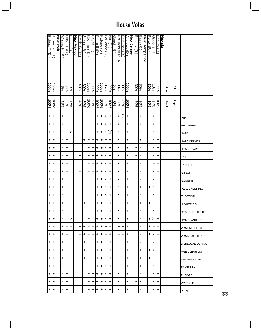| Ackerman           |                        | New York | Wilson,              | <u>Jdall,</u>          | Pearce (R      | <b>New Mexico</b> | Smith.                | Saxton (R)     | Rothman (D               | Payne (D) | Pascrell (D         | Pallone (D | <u>_oBiondo</u> (R   | Holt (D)  | Garrett (R     | Frelinghuysen  | Ferguson (R    | <b>Andrews</b> | New Jersey | <b>Bradley (R</b> | <b>Bass</b><br>$\widehat{\pi}$ | <b>New Hampshire</b> | Porter (R      | <b>Gibbons</b>       | Berkley (D          | <b>Nevada</b> |                  |        |                   |
|--------------------|------------------------|----------|----------------------|------------------------|----------------|-------------------|-----------------------|----------------|--------------------------|-----------|---------------------|------------|----------------------|-----------|----------------|----------------|----------------|----------------|------------|-------------------|--------------------------------|----------------------|----------------|----------------------|---------------------|---------------|------------------|--------|-------------------|
|                    | $\widehat{\mathsf{d}}$ |          | Ŧ<br>$\widehat{\pi}$ | $\widehat{\mathsf{d}}$ |                |                   | ļņ<br>$\widehat{\pi}$ |                |                          |           |                     |            |                      |           |                |                |                | U              |            |                   |                                |                      |                | $\overline{\lambda}$ |                     |               |                  |        |                   |
|                    |                        |          |                      |                        |                |                   |                       |                |                          |           |                     |            |                      |           |                | <u>त्र</u>     |                |                |            |                   |                                |                      |                |                      |                     |               |                  |        |                   |
|                    |                        |          |                      |                        |                |                   |                       |                |                          |           |                     |            |                      |           |                |                |                |                |            |                   |                                |                      |                |                      |                     |               |                  |        |                   |
|                    | <b>100%</b>            |          | 48%                  | <b>100%</b>            | %61            |                   | $\frac{48\%}{100}$    | 30%            | 96001                    | 96001     | $\frac{100\%}{200}$ | $-6001$    | $\frac{100\%}{35\%}$ |           | $0\%$          | 30%            | 30%            | 96001          |            | 30%               | 30%                            |                      | 30%            | $\frac{18\%}{\%}$    | $\frac{100\%}{200}$ |               | <b>Positions</b> | $\geq$ |                   |
| 100%               | 100%                   |          | 48%                  | 86%                    | 17%            |                   | $48\%$                | 30%            | 96001                    | 991%      | 100%                | 100%       | 35%                  | 100%      | 0%             | 30%            | 30%            | 96001          |            | 30%               | 30%                            |                      | 30%            | 17%                  | 96001               |               | Total            | Report |                   |
| $\ddot{}$          | +                      |          | +                    | +                      | $\blacksquare$ |                   | +                     | $\blacksquare$ | +                        | $\ddot{}$ | $\ddot{}$           | +          | $\blacksquare$       | +         | ٠              | $\blacksquare$ | C              | +              |            | $\blacksquare$    | ٠                              |                      | ٠              | $\blacksquare$       | $\ddot{}$           |               |                  |        | <b>IMM</b>        |
| $\left  + \right $ | +                      |          | $\blacksquare$       | +                      | ٠              |                   | ٠                     | ı              | +                        | +         | +                   | +          | $\blacksquare$       | +         | ٠              | ٠              |                | +              |            | ٠                 | ٠                              |                      | J.             | ٠                    | +                   |               |                  |        | REL. PREF         |
| $\ddot{}$          | +                      |          | $\blacksquare$       | +                      | $\times$       |                   | ٠                     | ı              | +                        | +         | $\ddot{}$           | +          | $\blacksquare$       | Ŧ         |                | ı,             | 1              | +              |            | $\blacksquare$    | ٠                              |                      | I,             | ٠                    | +                   |               |                  |        | NASA              |
| $\ddot{}$          | +                      |          | $\blacksquare$       | +                      | ٠              |                   | ı                     | +              | $\ddot{}$                | ×         | $\ddot{}$           | +          | +                    | $\ddot{}$ | ٠              | ٠              | J,             | $\ddot{}$      |            | ٠                 | +                              |                      | ٠              | ٠                    | $\ddot{}$           |               |                  |        | HATE CRIMES       |
| $\ddot{}$          | +                      |          | $\blacksquare$       | +                      | ٠              |                   | $\blacksquare$        | ı              | +                        | +         | $\ddot{}$           | $\ddot{}$  | $\blacksquare$       | +         | ٠              | ı.             | 1              | +              |            | +                 | ٠                              |                      | ٠              | f,                   | +                   |               |                  |        | <b>HEAD START</b> |
| $\ddot{}$          | +                      |          | $\blacksquare$       | +                      | ı              |                   | +                     | ٠              | +                        | +         | +                   | +          | $\blacksquare$       | +         | ٠              | ı,             | $\blacksquare$ | +              |            | +                 | ٠                              |                      | $\blacksquare$ | ٠                    | +                   |               |                  |        | <b>GSE</b>        |
| $\ddot{}$          | +                      |          | $\ddot{}$            | +                      | ٠              |                   | ٠                     | ı              | +                        | +         | $\ddot{}$           | +          | $\blacksquare$       | +         | ı.             | ٠              | J,             | +              |            | ×,                | ٠                              |                      | f,             | +                    | +                   |               |                  |        | <b>LABOR HHS</b>  |
| $\ddot{}$          | +                      |          | +                    | $\ddot{}$              | ٠              |                   | $\ddot{}$             | ×              | +                        | $\ddot{}$ | $\ddot{}$           | +          | $\blacksquare$       | +         | $\blacksquare$ | ı,             | $\blacksquare$ | $\ddot{}$      |            | $\blacksquare$    | $\blacksquare$                 |                      | ٠              | f,                   | $\ddot{}$           |               |                  |        | <b>BUDGET</b>     |
| +                  | +                      |          | +                    | +                      | +              |                   | +                     | ٠              | +                        | +         | $\ddot{}$           | +          | $\blacksquare$       | +         | ı,             | ٠              | 1              | +              |            | ×,                | ٠                              |                      | ٠              | ٠                    | +                   |               |                  |        | <b>BORDER</b>     |
| $\ddot{}$          | +                      |          | +                    | +                      | ٠              |                   | +                     | ×              | +                        | +         | +                   | +          | $\blacksquare$       | +         | ٠              | ٠              | +              | +              |            | +                 | +                              |                      | +              | ٠                    | $\ddot{}$           |               |                  |        | PEACEKEEPING      |
| $\ddot{}$          | +                      |          | $\blacksquare$       | +                      | ٠              |                   | ٠                     | ٠              | +                        | +         | $\ddot{}$           | +          | $\blacksquare$       | +         | ٠              | ٠              | J,             | +              |            | J,                | ٠                              |                      | I,             | ı                    | +                   |               |                  |        | <b>ELECTION</b>   |
| $\ddot{}$          | $+$                    |          | $\ddot{}$            | $\ddot{}$              | ı              |                   | $\ddot{}$             | $\ddot{}$      | $\left  + \right\rangle$ | $\ddot{}$ | $\ddot{}$           | $\ddot{}$  | +                    | $+$       | $\blacksquare$ | $\ddot{}$      | $\ddot{}$      | $\ddot{}$      |            | $\ddot{}$         | $\ddot{}$                      |                      | $\ddot{}$      | $\ddot{}$            | $\ddot{}$           |               |                  |        | <b>HIGHER ED</b>  |
| +                  | $\ddot{}$              |          | $\mathbf{I}$         | +                      | ٠              |                   | ٠                     | ٠              | +                        | +         | +                   | +          | +                    | +         | ٠              | $\blacksquare$ | $\blacksquare$ | +              |            | $\blacksquare$    | J.                             |                      | ٠              | $\blacksquare$       | +                   |               |                  |        | IDEM. SUBSTITUTE  |
| +                  | +                      |          | $\mathbf{I}$         | $\times$               | $\times$       |                   | ٠                     | ٠              | +                        | ×         | +                   | +          | $\blacksquare$       | +         | $\mathbf{I}$   | $\mathbf{I}$   | ٠              | +              |            | $\blacksquare$    | J.                             |                      | +              | ✕∣                   | $\ddot{}$           |               |                  |        | IHOMELAND SEC     |
| +                  | +                      |          | +                    | +                      | +              |                   | +                     | +              | +                        | +         | +                   | +          | +                    | +         |                | +              | +              | +              |            | ٠                 | J.                             |                      | +              | +                    | +                   |               |                  |        | IVRA PRE CLEAR    |
| +                  | +                      |          | +                    | +                      | ٠              |                   | +                     | +              | +                        | +         | +                   | +          | +                    | +         | $\mathbf{I}$   | +              | +              | +              |            | $\mathbf{I}$      | $\blacksquare$                 |                      | +              | $\blacksquare$       | +                   |               |                  |        | VRA REAUTH PERIOD |
| +                  | +                      |          | +                    | +                      | +              |                   | +                     | +              | +                        | +         | +                   | +          | +                    | +         |                | +              | +              | +              |            | $\mathbf{I}$      | $\blacksquare$                 |                      | $\blacksquare$ | $\blacksquare$       | $\ddot{}$           |               |                  |        | IBILINGUAL VOTING |
| $\ddot{}$          | +                      |          | +                    | +                      | ٠              |                   | +                     | +              | +                        | +         | +                   | +          | +                    | +         | ٠              | +              | +              | +              |            | +                 | +                              |                      | +              | $\blacksquare$       | +                   |               |                  |        | PRE CLEAR LIST    |
| $\ddot{}$          | +                      |          | +                    | +                      | +              |                   | +                     | +              | +                        | +         | +                   | +          | +                    | +         | $\mathbf{I}$   | +              | +              | +              |            | +                 | +                              |                      | +              | +                    | +                   |               |                  |        | IVRA PASSAGE      |
| +                  | +                      |          | л.                   | +                      |                |                   |                       | J.             | +                        | +         | +                   | +          |                      | +         | ٠              | +              |                | +              |            |                   | +                              |                      |                | J.                   | +                   |               |                  |        | ISAME SEX         |
| $\ddot{}$          | +                      |          | $\blacksquare$       | +                      | J.             |                   | ٠                     | ٠              | +                        | +         | +                   | +          | $\blacksquare$       | +         |                | ٠              | $\mathbf{I}$   | +              |            | $\blacksquare$    | J.                             |                      | J.             | ٠                    | +                   |               |                  |        | <b>IPLEDGE</b>    |
| ÷                  | +                      |          | $\mathbf{I}$         | +                      | ٠              |                   | ٠                     | ٠              | +                        | +         | +                   | +          |                      | +         | ٠              | ٠              | ٠              | +              |            | +                 | +                              |                      | ٠              | ٠                    | +                   |               |                  |        | IVOTER ID         |
| +                  | +                      |          | $\blacksquare$       | +                      | ٠              |                   | ٠                     | ٠              | +                        | +         | +                   | +          | $\blacksquare$       | +         | $\blacksquare$ | ٠              | ٠              | +              |            | $\blacksquare$    | ٠                              |                      | J.             | ٠                    | +                   |               |                  |        | <b>PERA</b>       |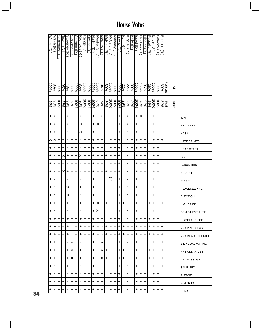|    | <b>Weiner</b><br>$\widehat{\mathsf{d}}$ | <b>Walsh</b><br>⊼ | Velazquez<br>$\widehat{\mathtt{c}}$ | Towns (D       | Sweeney<br>$\widehat{\pi}$ | <b>Slaughter</b><br>$\widehat{\mathbf{d}}$ | <b>Serrano</b><br>ヮ | <u>Reynolds</u><br>ੇ | <u>Rangel (D</u>  | Owens (D            | Nadler (D           | Meeks.<br>စြ<br>$\widehat{\mathbf{d}}$ | McNulty (D | <u>McHugh (R</u> | McCarthy (D | Maloney<br>$\widehat{\mathbf{d}}$ | Owey (D   | Kuhl (<br>$\widehat{\pi}$ | <u>King, P.</u><br>$\widehat{\pi}$ | <b>Kelly (R</b> | <b>Israel</b><br>$\widehat{\Theta}$ | <u>Hinchey</u><br>$\widehat{\Theta}$ | <b>Higgins</b><br>∂ | Fossella (R    | Engel (D | Crowley (D | Boehlert (R    |           |               |                         |
|----|-----------------------------------------|-------------------|-------------------------------------|----------------|----------------------------|--------------------------------------------|---------------------|----------------------|-------------------|---------------------|---------------------|----------------------------------------|------------|------------------|-------------|-----------------------------------|-----------|---------------------------|------------------------------------|-----------------|-------------------------------------|--------------------------------------|---------------------|----------------|----------|------------|----------------|-----------|---------------|-------------------------|
|    | 96001                                   | 36%               | 100%                                | %56            | 43%                        | 96001                                      | 96001               | $rac{35}{66}$        | 100%              | %00L                | 96001               | 100%                                   | 9676       | 30%              | 96001       | 100%                              | 96001     | 22%                       | 22%                                | 30%             | 96001                               | %00L                                 | $\frac{8}{3}$       | 26%            | 96001    | 96001      | 39%            | Positions | ≧             |                         |
|    | 96%                                     | 35%               | 100%                                | %28            | 39%                        | $-89%$                                     | 100%                | 30%                  | $\frac{100\%}{2}$ | $\frac{100\%}{200}$ | $\frac{100\%}{200}$ | 87%                                    | 7496       | 30%              | 100%        | 100%                              | 100%      | 22%                       | 22%                                | 30%             | $-6001$                             | $\frac{9696}{2}$                     | $\frac{8}{36}$      | 26%            | 100%     | $-6001$    | 39%            | Total     | <b>Report</b> |                         |
|    | +                                       | $\blacksquare$    | +                                   | +              | $\blacksquare$             | +                                          | +                   | ٠                    | +                 | +                   | +                   | $\ddot{}$                              | 1          | $\blacksquare$   | +           | +                                 | +         | ٠                         | $\mathbf{I}$                       | $\mathbf{I}$    | +                                   | $\times$                             | +                   | $\blacksquare$ | +        | +          | $\mathbf{I}$   |           |               | <b>IMM</b>              |
|    | +                                       | ٠                 | +                                   | +              | ٠                          | +                                          | +                   | ×                    | +                 | +                   | +                   | $\times$                               | +          | ٠                | +           | +                                 | +         | ٠                         | ٠                                  | ٠               | +                                   | +                                    | +                   | $\blacksquare$ | +        | +          | ٠              |           |               | <b>REL. PREF</b>        |
|    | +                                       | +                 | +                                   | +              | $\blacksquare$             | +                                          | +                   | ✕                    | +                 | +                   | +                   | $\ddot{}$                              | +          | $\blacksquare$   | +           | +                                 | +         | ٠                         | $\mathbf{I}$                       | $\blacksquare$  | +                                   | +                                    | +                   | $\blacksquare$ | +        | +          | $\mathbf{I}$   |           |               | <b>NASA</b>             |
|    | $\times$                                | ×                 | +                                   | +              |                            | +                                          | +                   | ٠                    | +                 | +                   | +                   | +                                      | +          | $\blacksquare$   | +           | +                                 | +         | ٠                         | $\mathbf{I}$                       | +               | +                                   | +                                    | +                   | $\blacksquare$ | +        | +          | +              |           |               | <b>HATE CRIMES</b>      |
|    | +                                       | ı,                | +                                   | +              | $\mathbf I$                | +                                          | +                   |                      | +                 | +                   | +                   | $\ddot{}$                              | +          | ٠                | +           | +                                 | +         |                           | $\blacksquare$                     | +               | +                                   | +                                    | +                   | $\blacksquare$ | +        | +          | ٠              |           |               | <b>HEAD START</b>       |
|    | +                                       | ٠                 | +                                   | ×              | +                          | +                                          | +                   | $\times$             | +                 | +                   | +                   | +                                      | +          | +                | +           | +                                 | +         | ٠                         | ٠                                  | $\blacksquare$  | +                                   | +                                    | +                   | $\blacksquare$ | +        | +          | $\blacksquare$ |           |               | GSE                     |
|    | +                                       | ٠                 | +                                   | +              | $\mathbf I$                | +                                          | +                   | ٠                    | +                 | +                   | +                   | $\ddot{}$                              | +          | $\blacksquare$   | +           | +                                 | +         | ٠                         | $\blacksquare$                     | $\mathbf{I}$    | +                                   | +                                    | +                   | $\blacksquare$ | +        | +          | $\mathbf{r}$   |           |               | <b>LABOR HHS</b>        |
|    | +                                       | ٠                 | +                                   | ×              | +                          | +                                          | +                   | ٠                    | +                 | +                   | +                   | +                                      | +          | +                | +           | +                                 | +         | ٠                         | $\mathbf{I}$                       | $\mathbf{I}$    | +                                   | +                                    | +                   | $\blacksquare$ | +        | +          | $\blacksquare$ |           |               | <b>BUDGET</b>           |
|    | +                                       | ٠                 | +                                   | +              | ٠                          | +                                          | +                   | J,                   | +                 | +                   | +                   | +                                      | +          | ٠                | Ŧ           | +                                 | +         | ٠                         | ٠                                  | $\blacksquare$  | +                                   | +                                    |                     | $\blacksquare$ | +        | +          | ٠              |           |               | <b>BORDER</b>           |
|    | +                                       | ٠                 | +                                   | +              | ×                          | +                                          | +                   | +                    | +                 | +                   | +                   | +                                      | +          | $\blacksquare$   | +           | +                                 | $\ddot{}$ | ٠                         | $\blacksquare$                     | $\blacksquare$  | +                                   | $\ddot{}$                            | +                   | $\blacksquare$ | +        | +          | ٠              |           |               | PEACEKEEPING            |
|    | +                                       | $\blacksquare$    | +                                   | +              | ×                          | +                                          | +                   | ٠                    | +                 | +                   | +                   | +                                      | +          | $\blacksquare$   | +           | +                                 | +         | ٠                         | $\blacksquare$                     | $\blacksquare$  | +                                   | +                                    | +                   | $\blacksquare$ | +        | +          | $\blacksquare$ |           |               | <b>ELECTION</b>         |
|    | +                                       | +                 | +                                   | +              | +                          | +                                          | $\ddot{}$           | +                    | +                 | $\ddag$             | $\left  + \right $  | $\mathbf{ x +}$                        |            | $\ddag$          | $+$         | +                                 | $\ddot{}$ | +                         | +                                  | $\ddot{}$       | +                                   | +                                    | +                   | +              | +        | +          | +              |           |               | HIGHER ED               |
|    | +                                       | $\blacksquare$    | +                                   | +              | $\blacksquare$             | +                                          | +                   |                      | +                 | +                   | ÷                   | $\times$                               | +          | $\mathbf{I}$     | +           | +                                 | +         |                           | ٠                                  | $\blacksquare$  | +                                   | +                                    | +                   | $\blacksquare$ | +        | +          | $\blacksquare$ |           |               | <b>DEM. SUBSTITUTE</b>  |
|    | +                                       | +                 | ÷                                   | ÷              | $\ddot{}$                  | +                                          | +                   | +                    | +                 | +                   | $\ddot{}$           | +                                      | +          | $\blacksquare$   | +           | +                                 | +         | ٠                         | $\mathbf{L}$                       | $\blacksquare$  | +                                   | +                                    | +                   | +              | +        | +          | $\blacksquare$ |           |               | <b>HOMELAND SEC</b>     |
|    | +                                       | +                 | +                                   | +              | +                          | $\times$                                   | +                   | +                    | +                 | +                   | +                   | ÷.                                     | Ι×         | +                | +           | +                                 | +         | +                         | +                                  | +               | +                                   | +                                    | +                   | +              | +        | +          | +              |           |               | VRA PRE CLEAR           |
|    | +                                       | +                 | +                                   | +              | +                          | ×                                          | +                   | +                    | +                 | +                   | +                   | +                                      | $\times$   | +                | +           | +                                 | +         | +                         | +                                  | +               | +                                   | +                                    | +                   | +              | +        | +          | +              |           |               | VRA REAUTH PERIOD       |
|    | +                                       | +                 | +                                   | +              | $\mathbf{I}$               | $\times$                                   | $^{+}$              | ٠                    | +                 | $^{+}$              | ÷                   | +                                      | Ι×         | $\mathbf{I}$     | +           | ÷                                 | +         | ٠                         | $\mathbf{L}$                       | $\blacksquare$  | +                                   | +                                    | +                   | $\mathbf{I}$   | +        | +          | +              |           |               | <b>BILINGUAL VOTING</b> |
|    | +                                       | +                 | +                                   | +              | +                          | $\times$                                   | +                   | +                    | +                 | +                   | +                   | +                                      | Ÿ,         | $\ddot{}$        | +           | +                                 | +         | +                         | +                                  | +               | +                                   | +                                    | +                   | +              | +        | +          | +              |           |               | PRE CLEAR LIST          |
|    | +                                       | +                 | +                                   | +              | +                          | $\times$                                   | +                   | $\ddot{}$            | +                 | +                   | +                   | +                                      | ×          | +                | +           | +                                 | +         | +                         | +                                  | +               | +                                   | +                                    | +                   | +              | +        | +          | +              |           |               | <b>VRA PASSAGE</b>      |
|    | +                                       | л.                | +                                   | +              | +                          | +                                          | +                   | ٠                    | +                 | +                   | +                   | +                                      | +          | $\blacksquare$   | +           | +                                 | +         | ٠                         | $\blacksquare$                     | $\mathbf{I}$    | +                                   | +                                    | +                   | $\blacksquare$ | +        | +          | +              |           |               | SAME SEX                |
|    | +                                       | $\mathbf{I}$      | +                                   | $\blacksquare$ | $\mathbf{I}$               | +                                          | +                   | ٠                    | +                 | +                   | +                   | +                                      | +          | $\blacksquare$   | +           | +                                 | +         | $\blacksquare$            | $\mathbf{L}$                       | $\blacksquare$  | +                                   | +                                    | +                   | $\blacksquare$ | +        | +          | $\blacksquare$ |           |               | PLEDGE                  |
|    | +                                       | ٠                 | +                                   | +              | $\blacksquare$             | +                                          | +                   | ٠                    | +                 | +                   | +                   | +                                      | +          | п.               | +           | +                                 | +         | ٠                         | ٠                                  | $\blacksquare$  | +                                   | +                                    | +                   | $\blacksquare$ | +        | +          | $\mathbf{I}$   |           |               | VOTER ID                |
| 34 | +                                       | ٠                 | +                                   | +              | п.                         | +                                          | +                   |                      | +                 | +                   | +                   | +                                      | +          | ٠                | +           | +                                 | +         | ٠                         | ٠                                  | $\blacksquare$  | +                                   | +                                    | +                   | $\blacksquare$ | +        | +          | +              |           |               | PERA                    |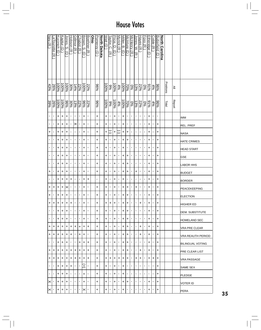|                |                  |                        |           |                     |                |                |                  |                        |                | <b>Ohio</b> |             |              |           |                 |                        |                |            |                   |                |                 |                 |                |                  |                |             |                |           |               |                     |
|----------------|------------------|------------------------|-----------|---------------------|----------------|----------------|------------------|------------------------|----------------|-------------|-------------|--------------|-----------|-----------------|------------------------|----------------|------------|-------------------|----------------|-----------------|-----------------|----------------|------------------|----------------|-------------|----------------|-----------|---------------|---------------------|
| Ney (R         | <u>alourette</u> | <u>Kucinich</u>        | Kaptur (D | Jones, S.           | Hobson (R      | Gillmor (R     | <u>Chabot</u> (R | Brown, S.              |                |             |             |              | Watt (D   | Faylor, C.      | Price, D.              | Myrick (R      | Miller, B. | <b>McIntyre</b>   |                | lones, W.       | Hayes           | Foxx (R        | Etheridge        | <b>Coble</b>   | Butterfield |                |           |               |                     |
|                |                  | $\widehat{\mathtt{c}}$ |           | ō                   |                |                |                  | $\widehat{\mathsf{d}}$ | Boehner (R     |             | Pomeroy (D) | North Dakota |           | $\widehat{\pi}$ | $\widehat{\mathbf{d}}$ |                | ą          | ō                 | McHenry (R     |                 | $\widehat{\pi}$ |                | U                | œ              |             | North Carolina |           |               |                     |
|                | ∣≂               |                        |           |                     |                |                |                  |                        |                |             |             |              |           |                 |                        |                |            |                   |                | $\widehat{\pi}$ |                 |                |                  |                | U           |                |           |               |                     |
|                |                  |                        |           |                     |                |                |                  |                        |                |             |             |              |           |                 |                        |                |            |                   |                |                 |                 |                |                  |                |             |                |           |               |                     |
|                |                  |                        |           |                     |                |                |                  |                        |                |             |             |              |           |                 |                        |                |            |                   |                |                 |                 |                |                  |                |             |                |           |               |                     |
| 43%            | 26%              | 96001                  | $-6001$   | $\frac{100\%}{200}$ | 30%            | 1496           | 22%              | 100%                   | 22%            |             | %96         |              | 100%      | %66             | $\frac{6001}{2}$       | 4%             | $-6006$    | $\frac{20\%}{\%}$ | %              | 있음              |                 | $\sqrt{60}$    | 210 <sup>6</sup> | 4%             | %96         |                | Positions | ≧             |                     |
|                |                  |                        |           |                     |                |                |                  |                        |                |             |             |              |           |                 |                        |                |            |                   |                |                 |                 |                |                  |                |             |                |           |               |                     |
| 39%            | 26%              | $-6006$                | $-6001$   | 9696                | 30%            | 13%            | 22%              | %96                    | 22%            |             | 96%         |              | 100%      | 9%              | $-00\%$                | 4%             | 96001      | $\frac{20\%}{\%}$ | $\sqrt{20}$    | $13\%$          | 22%             | $\sqrt{60}$    | 21%              | 4%             | %96         |                | Total     | <b>Report</b> |                     |
| $\blacksquare$ | ٠                | +                      | +         | $\ddot{}$           | $\blacksquare$ | ,              | $\blacksquare$   | $\ddot{}$              | $\blacksquare$ |             | $\ddot{}$   |              | $\ddot{}$ | ٠               | +                      | $\blacksquare$ | +          | ×,                | ٠              | $\blacksquare$  | $\blacksquare$  | ,              | +                | $\blacksquare$ | T,          |                |           |               | IMM                 |
| $\blacksquare$ | 1                | +                      | +         | +                   | ٠              | $\times$       | $\blacksquare$   | +                      | $\blacksquare$ |             | +           |              | $\ddot{}$ | ٠               | +                      | ٠              | +          | ٠                 | ٠              | 1               | $\blacksquare$  | 1              | +                | $\blacksquare$ | +           |                |           |               | REL. PREF           |
| +              | ٠                | +                      | +         | +                   | $\blacksquare$ | $\blacksquare$ | $\blacksquare$   | +                      | $\blacksquare$ |             | +           |              | +         | C               | +                      | J              | +          | +                 | ٠              |                 |                 | $\blacksquare$ | +                | $\blacksquare$ | $\ddot{}$   |                |           |               | <b>NASA</b>         |
| ٠              | 1                | +                      | +         | +                   | ×,             | $\blacksquare$ | $\blacksquare$   | +                      | $\blacksquare$ |             | $\ddot{}$   |              | +         | ٠               | +                      | ×              | +          | +                 | ٠              | $\blacksquare$  | $\blacksquare$  | 1              | +                | $\blacksquare$ | +           |                |           |               | <b>HATE CRIMES</b>  |
| $\blacksquare$ | I.               | +                      | +         | +                   | ٠              | ,              | $\blacksquare$   | +                      | $\blacksquare$ |             | $\ddot{}$   |              | $\ddot{}$ | ٠               | +                      | ٠              | +          | ٠                 | ٠              | $\blacksquare$  | $\blacksquare$  | $\blacksquare$ | +                | $\blacksquare$ | $\ddot{}$   |                |           |               | <b>HEAD START</b>   |
| ٠              | 1                | +                      | +         | +                   | ٠              | $\blacksquare$ | $\blacksquare$   | +                      | $\blacksquare$ |             | +           |              | $\ddot{}$ | ٠               | +                      | ×,             | +          | +                 | ٠              | I.              | $\blacksquare$  | 1              | +                | J,             | +           |                |           |               | <b>GSE</b>          |
| $\blacksquare$ | ٠                | +                      | +         | +                   | $\blacksquare$ | $\blacksquare$ | $\blacksquare$   | $\ddot{}$              | $\blacksquare$ |             | $\ddot{}$   |              | $\ddot{}$ | $\blacksquare$  | +                      | $\blacksquare$ | +          | +                 | T,             |                 |                 | 1              | +                | $\blacksquare$ | +           |                |           |               | <b>LABOR HHS</b>    |
| +              | 1                | +                      | +         | +                   | $\blacksquare$ | $\blacksquare$ | $\blacksquare$   | +                      | $\blacksquare$ |             | $\ddot{}$   |              | $\ddot{}$ | ٠               | +                      | ٠              | +          | +                 | $\blacksquare$ | +               | $\blacksquare$  | $\blacksquare$ | +                | $\blacksquare$ | +           |                |           |               | <b>BUDGET</b>       |
| $\blacksquare$ | I.               | +                      | +         | +                   | +              | ,              | $\blacksquare$   | +                      | +              |             | ı,          |              | +         | ٠               | +                      | ٠              | +          | $\blacksquare$    | ٠              | 1               | $\blacksquare$  | $\blacksquare$ | +                | $\blacksquare$ | +           |                |           |               | <b>BORDER</b>       |
| +              | +                | +                      | +         | ×                   | $\blacksquare$ | $\blacksquare$ | $\blacksquare$   | +                      | $\blacksquare$ |             | $\ddot{}$   |              | $\ddot{}$ | ٠               | +                      | ٠              | +          | +                 | ٠              | $\ddot{}$       |                 | $\blacksquare$ | +                | $\blacksquare$ | $\ddot{}$   |                |           |               | PEACEKEEPING        |
| +              | 1                | +                      | +         | +                   | ×,             | $\blacksquare$ | $\blacksquare$   | +                      | $\blacksquare$ |             | +           |              | $\ddot{}$ | $\blacksquare$  | +                      | ٠              | +          | +                 | ٠              | $\blacksquare$  | $\blacksquare$  | 1              | +                | $\blacksquare$ | +           |                |           |               | <b>ELECTION</b>     |
| +              | +                | +                      | +         | $\ddot{}$           | $\ddot{}$      | $\blacksquare$ | $\blacksquare$   | +                      | $\blacksquare$ |             | $\ddot{}$   |              | +         | $\ddot{}$       | $\ddot{}$              | $\blacksquare$ | +          | +                 | $\blacksquare$ | $\blacksquare$  | +               | ,              | +                | $\blacksquare$ | $\ddot{}$   |                |           |               | HIGHER ED           |
| $\mathbf{I}$   | I.               | +                      | +         | +                   | $\blacksquare$ | $\blacksquare$ | $\blacksquare$   | +                      | $\blacksquare$ |             | +           |              | +         | $\blacksquare$  | +                      | $\blacksquare$ | +          | +                 | $\blacksquare$ | I.              | $\blacksquare$  | $\blacksquare$ | +                | $\blacksquare$ | +           |                |           |               | IDEM. SUBSTITUTE    |
| ٠              | I.               | +                      | +         | +                   | $\blacksquare$ | $\blacksquare$ | $\blacksquare$   | +                      | $\blacksquare$ |             | +           |              | +         | $\mathbf{I}$    | +                      | $\mathbf{L}$   | +          | +                 | ٠              | $\mathbf{I}$    | $\blacksquare$  | $\blacksquare$ | +                | $\blacksquare$ | +           |                |           |               | <b>HOMELAND SEC</b> |
| +              | +                | +                      | +         | ٠                   | ٠              | +              | +                | +                      | +              |             | +           |              | +         | $\blacksquare$  | +                      | л.             | +          | +                 | ٠              | $\blacksquare$  | +               | $\blacksquare$ | +                |                | +           |                |           |               | VRA PRE CLEAR       |
| +              | +                | +                      | +         | +                   | +              | $\blacksquare$ | +                | +                      | $\blacksquare$ |             | +           |              | +         | $\blacksquare$  | +                      | ٠              | +          | +                 | $\mathbf{I}$   | $\mathbf{I}$    | +               | $\blacksquare$ | +                | $\blacksquare$ | +           |                |           |               | VRA REAUTH PERIOD   |
| $\mathbf{I}$   | $\blacksquare$   | +                      | +         | +                   | $\mathbf{I}$   | $\mathbf{I}$   | +                | +                      | +              |             | +           |              | +         | $\mathbf{I}$    | +                      | $\blacksquare$ | +          | +                 | $\blacksquare$ | $\blacksquare$  | $\blacksquare$  | $\blacksquare$ | +                | $\blacksquare$ | +           |                |           |               | BILINGUAL VOTING    |
| +              | +                | +                      | +         | +                   | +              | +              | +                | +                      | +              |             | +           |              | +         | ٠               | +                      | $\blacksquare$ | +          | +                 | ٠              | ٠               | +               | ٠              | +                | $\blacksquare$ | +           |                |           |               | PRE CLEAR LIST      |
| +              | +                | +                      | +         | +                   | +              | ٠              | +                | ٠                      | +              |             | +           |              | +         | ÷               | +                      | +              | +          | +                 | $\blacksquare$ | +               | +               | $\blacksquare$ | +                | +              | +           |                |           |               | VRA PASSAGE         |
| $\mathbf{I}$   | ٠                | +                      | +         | +                   | +              | $\blacksquare$ | $\blacksquare$   | +                      | $\blacksquare$ |             | +           |              | +         | $\blacksquare$  | +                      | л.             | +          | л.                | ٠              | $\blacksquare$  | $\blacksquare$  | $\blacksquare$ | $\blacksquare$   | $\blacksquare$ | +           |                |           |               | SAME SEX            |
| $\mathbf{I}$   | $\mathbf{I}$     | +                      | +         | +                   | $\blacksquare$ | $\blacksquare$ | $\blacksquare$   | +                      | $\blacksquare$ |             | +           |              | +         | $\mathbf{I}$    | +                      | $\blacksquare$ | +          | $\blacksquare$    | $\blacksquare$ | $\blacksquare$  | $\blacksquare$  | $\blacksquare$ | $\blacksquare$   | $\blacksquare$ | +           |                |           |               | PLEDGE              |
| $\times$ l     | $\mathbf{I}$     | +                      | +         | +                   | ×              | $\blacksquare$ | 1                | +                      | $\blacksquare$ |             | +           |              | +         | ٠               | +                      | ٠              | +          | +                 | J.             | I.              |                 | $\blacksquare$ | +                | $\blacksquare$ | +           |                |           |               | VOTER ID            |
| $\times$       | ٠                | +                      | +         | +                   | ٠              | 1              |                  | ×                      | $\blacksquare$ |             | +           |              | +         | ٠               | +                      | ٠              | +          | ٠                 | ٠              | $\blacksquare$  | 1               | $\blacksquare$ | +                |                | +           |                |           |               | PERA                |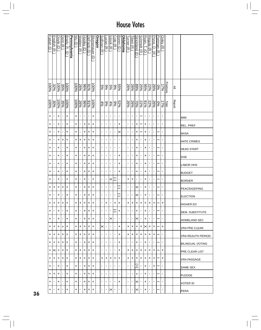| <b>Fattah</b><br>$\widehat{\mathsf{d}}$ | English (R     | Doyle (D  | Dent (R        | Brady, R.<br>U | <b>Pennsylvania</b> | $\frac{1}{\sqrt{u}}$ | Walden (R      | Hooley (D        | DeFazio<br>$\widehat{\Theta}$ | <b>Blumenauer</b><br>$\widehat{\mathbf{d}}$ | <u>Oregon</u> | Sullivan (R      | Lucas (R        | <b>Istook (R</b> | Cole (R        | Boren (D       | <b>Oklahoma</b> | Turner (R      | Tiberi (R )    | Strickland (D  | Schmidt (R     | Ryan.<br>⊢∣<br>Θ | Regula (R                | Pryce.<br>p<br>$\widehat{\pi}$ | <b>Portman</b><br>⊼ | Oxley (R          |                  |               |                         |
|-----------------------------------------|----------------|-----------|----------------|----------------|---------------------|----------------------|----------------|------------------|-------------------------------|---------------------------------------------|---------------|------------------|-----------------|------------------|----------------|----------------|-----------------|----------------|----------------|----------------|----------------|------------------|--------------------------|--------------------------------|---------------------|-------------------|------------------|---------------|-------------------------|
| 96001                                   | 32%            | 100%      | 35%            | $-00\%$        |                     | 100%                 | 26%            | $\frac{9696}{2}$ | $rac{6}{6}$                   | 96001                                       |               | $\frac{5\%}{\%}$ | ပ္တုပ္သ<br> ၁၂၀ |                  | $\frac{66}{6}$ | 55%            |                 | 26%            | 26%            | $\frac{25}{8}$ |                |                  | %  % <br> %  % <br> %  % |                                | $\frac{60}{60}$     | 9621              | <b>Positions</b> | $\geq$        |                         |
| 100%                                    | 30%            | 100%      | 35%            | 100%           |                     | $-00\%$              | 26%            | 9696             | $rac{9}{20}$                  | 100%                                        |               | $\frac{4\%}{\%}$ | 9%              | $\frac{4\%}{\%}$ | %              | 52%            |                 | 26%            | 26%            | 22%<br> 20%    |                | $rac{6}{6}$      | $\frac{26}{212}$         |                                | $\frac{60}{6}$      | $\frac{1796}{11}$ | Total            | <b>Report</b> |                         |
| +                                       | $\blacksquare$ | +         | $\mathbf{I}$   | +              |                     | +                    | ٠              | $\blacksquare$   | T,                            | +                                           |               | $\mathbf{I}$     | $\mathbf{r}$    | $\blacksquare$   | $\blacksquare$ | $\blacksquare$ |                 | ×.             | $\mathbf{r}$   | $\blacksquare$ |                | T,               | $\mathbf{r}$             | T,                             | $\blacksquare$      | $\blacksquare$    |                  |               | IMM                     |
| +                                       | ٠              | +         | ٠              | +              |                     | +                    | $\blacksquare$ | +                | +                             | +                                           |               | $\mathbf{r}$     | $\blacksquare$  | ٠                | $\blacksquare$ | +              |                 | ŧ,             | ٠              | +              |                | +                | $\blacksquare$           | $\blacksquare$                 | ×,                  | $\blacksquare$    |                  |               | REL. PREF               |
| +                                       | ٠              | $\ddot{}$ | $\mathbf{I}$   | +              |                     | +                    | $\blacksquare$ | +                | +                             | +                                           |               | $\blacksquare$   | $\blacksquare$  |                  | $\blacksquare$ | $\ltimes$      |                 | $\mathbf{I}$   | ٠              | +              |                | +                | $\mathbf{r}$             | $\blacksquare$                 |                     | $\blacksquare$    |                  |               | NASA                    |
| +                                       | $\blacksquare$ | +         | +              | +              |                     | +                    | +              | +                | +                             | +                                           |               | $\blacksquare$   | $\blacksquare$  | $\blacksquare$   | $\blacksquare$ | $\blacksquare$ |                 | ı.             | ٠              | +              | $\blacksquare$ | +                | $\blacksquare$           | $\blacksquare$                 |                     | $\blacksquare$    |                  |               | <b>HATE CRIMES</b>      |
| +                                       | ı              | +         | ٠              | +              |                     | +                    | ×              | +                | +                             | +                                           |               | $\blacksquare$   | $\blacksquare$  | $\blacksquare$   | $\blacksquare$ | $\blacksquare$ |                 | ٠              | $\blacksquare$ | +              | $\blacksquare$ | $\ddot{}$        | $\blacksquare$           | ٠                              |                     | $\blacksquare$    |                  |               | <b>HEAD START</b>       |
| +                                       | ٠              | +         | ٠              | +              |                     | +                    | ×              | +                | +                             | +                                           |               | $\blacksquare$   | $\blacksquare$  | ı                |                | +              |                 | ×.             | ٠              | +              | ٠              | +                | $\blacksquare$           | ٠                              |                     | $\blacksquare$    |                  |               | <b>GSE</b>              |
| +                                       | ٠              | $\ddot{}$ | ٠              | +              |                     | +                    | ٠              | +                | +                             | +                                           |               | $\blacksquare$   | $\blacksquare$  |                  | $\blacksquare$ | $\ddot{}$      |                 | ٠              | ٠              | +              | $\blacksquare$ | +                | $\mathbf{r}$             | ٠                              |                     | $\blacksquare$    |                  |               | <b>LABOR HHS</b>        |
| +                                       | $\blacksquare$ | +         | $\blacksquare$ | +              |                     | +                    | ٠              | +                | +                             | +                                           |               | $\blacksquare$   | $\blacksquare$  | $\blacksquare$   | $\blacksquare$ | $\ddot{}$      |                 | $\mathbf{I}$   | ٠              | +              | $\blacksquare$ | +                | $\mathbf{r}$             | ×,                             |                     | $\blacksquare$    |                  |               | <b>BUDGET</b>           |
| +                                       | ı              | +         | ٠              | +              |                     | +                    | ×              | +                | ٠                             | +                                           |               | $\blacksquare$   | $\blacksquare$  | ×                | C              | $\blacksquare$ |                 | +              | +              | 1              | ٠              | +                | $\blacksquare$           | $\blacksquare$                 |                     | $\blacksquare$    |                  |               | <b>BORDER</b>           |
| +                                       | +              | +         | +              | +              |                     | +                    | $\blacksquare$ | +                | +                             | +                                           |               | $\mathbf{I}$     | $\mathbf{I}$    |                  | $\blacksquare$ | C              |                 | $\mathbf{I}$   | $\blacksquare$ | ×              | $\blacksquare$ | +                | $\mathbf{r}$             | $\blacksquare$                 |                     | $\mathbf{I}$      |                  |               | PEACEKEEPING            |
| +                                       | ٠              | +         |                | +              |                     | +                    | ٠              | +                | +                             | +                                           |               | $\mathbf{I}$     | $\blacksquare$  |                  | $\blacksquare$ | C              |                 | $\blacksquare$ | $\blacksquare$ | ×              | $\blacksquare$ | +                | $\mathbf{r}$             | $\blacksquare$                 |                     | $\blacksquare$    |                  |               | <b>ELECTION</b>         |
| +                                       | +              | +         | $\ddot{}$      | +              |                     | +                    | +              | +                | $\ddot{}$                     | +                                           |               | $\blacksquare$   | $\ddot{}$       | J.               | +              | $\ddot{}$      |                 | +              | $\ddot{}$      | $+$            | +              | $\ddot{}$        | $\ddot{}$                | +                              |                     | +                 |                  |               | <b>HIGHER ED</b>        |
| +                                       | $\blacksquare$ | +         | $\blacksquare$ | +              |                     | +                    | $\blacksquare$ | +                | +                             | +                                           |               | $\blacksquare$   | $\blacksquare$  | $\blacksquare$   | о              | +              |                 | $\mathbf{L}$   | $\blacksquare$ | +              | $\mathbf{L}$   | +                | $\mathbf{L}$             |                                |                     | $\blacksquare$    |                  |               | IDEM. SUBSTITUTE        |
| +                                       | I.             | $\ddot{}$ | $\blacksquare$ | +              |                     | +                    | ٠              | +                | +                             | +                                           |               | $\mathbf{I}$     | $\mathbf{I}$    | ⋉                | $\blacksquare$ | $\blacksquare$ |                 | $\blacksquare$ | $\blacksquare$ | ×              | $\blacksquare$ | +                | $\mathbf{I}$             | ٠                              |                     | $\blacksquare$    |                  |               | HOMELAND SEC            |
| +                                       | ÷              | $\ddot{}$ | $\ddot{}$      | $\ddot{}$      |                     | +                    | +              | +                | +                             | +                                           |               | ×                | $\blacksquare$  | ٠                | $\blacksquare$ | $\ddot{}$      |                 | +              | $\ddot{}$      | +              | +              | $\times$         | +                        | +                              |                     | +                 |                  |               | VRA PRE CLEAR           |
| +                                       | +              | +         | +              | +              |                     | +                    | +              | +                | +                             | +                                           |               | $\blacksquare$   | $\blacksquare$  | $\blacksquare$   | $\blacksquare$ | +              |                 | +              | +              | +              | +              | +                | +                        | +                              |                     | $\blacksquare$    |                  |               | VRA REAUTH PERIOD       |
| +                                       | ÷              | $\ddot{}$ | ÷              | +              |                     | +                    | $\blacksquare$ | +                | +                             | +                                           |               | $\blacksquare$   | $\blacksquare$  | $\blacksquare$   | $\blacksquare$ | +              |                 | $\mathbf{L}$   | $\mathbf{I}$   | +              | $\mathbf{L}$   | +                | $\blacksquare$           | ٠                              |                     | $\blacksquare$    |                  |               | <b>BILINGUAL VOTING</b> |
| +                                       | Ι×             | $\ddot{}$ | ÷              | +              |                     | +                    | +              | +                | +                             | +                                           |               | $\blacksquare$   | $\blacksquare$  | $\blacksquare$   | $\blacksquare$ | +              |                 | +              | +              | +              | +              | +                | +                        | +                              |                     | +                 |                  |               | PRE CLEAR LIST          |
| +                                       | +              | $\ddot{}$ | +              | +              |                     | +                    | +              | +                | +                             | +                                           |               | +                | ÷               | +                | +              | +              |                 | +              | +              | +              | +              | +                | +                        | +                              |                     | +                 |                  |               | VRA PASSAGE             |
| +                                       | $\blacksquare$ | +         | л.             | +              |                     | +                    | ×,             | +                | +                             | +                                           |               | $\mathbf{I}$     | $\blacksquare$  | $\blacksquare$   | $\blacksquare$ | $\blacksquare$ |                 | r.             | $\blacksquare$ | E              | $\mathbf{I}$   | +                | $\blacksquare$           | +                              |                     | $\blacksquare$    |                  |               | SAME SEX                |
| +                                       | +              | $\ddot{}$ | $\mathbf{I}$   | +              |                     | +                    | $\blacksquare$ | +                | +                             | +                                           |               | $\blacksquare$   | $\mathbf{I}$    | $\blacksquare$   | $\blacksquare$ | $\blacksquare$ |                 | $\mathbf{r}$   | $\mathbf{I}$   | +              | $\blacksquare$ | +                | $\blacksquare$           | f,                             |                     | $\blacksquare$    |                  |               | PLEDGE                  |
| +                                       | $\blacksquare$ | +         |                | +              |                     | +                    | ٠              | +                | +                             | +                                           |               | $\blacksquare$   | $\blacksquare$  | п                | $\blacksquare$ | +              |                 | ٠.             | $\mathbf{I}$   | $\times$       | $\blacksquare$ | +                | $\blacksquare$           | ٠                              |                     | $\blacksquare$    |                  |               | VOTER ID                |
| +                                       |                | $\ddot{}$ |                | +              |                     | +                    | ٠              | +                | +                             | +                                           |               | $\blacksquare$   | $\blacksquare$  | ×                | $\blacksquare$ | $\blacksquare$ |                 | $\blacksquare$ | п.             | ×              | ٠              | +                | $\blacksquare$           | ٠                              |                     | $\blacksquare$    |                  |               | <b>PERA</b>             |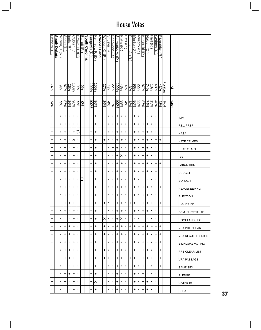| Herseth (D)              | <b>South Dakota</b> | Wilson, J.      | Spratt (D      | Inglis (R      | Clyburn (D | Brown.                | Barrett (R     | <b>South Carolina</b> |            | Kennedy, P. (D   | Rhode Island | Weldon, C.        | Shuster (R     | <b>Sherwood (R</b> | Schwartz, A.       | Platts (R          | Ditts (R       | Peterson, J.     | Murtha (D                        | Murphy (R)     | Kanjorski (D   | Holden (D        | Hart (R           | Gerlach (R)    | <b>Fitzpatrick (R</b> |           |               |                    |
|--------------------------|---------------------|-----------------|----------------|----------------|------------|-----------------------|----------------|-----------------------|------------|------------------|--------------|-------------------|----------------|--------------------|--------------------|--------------------|----------------|------------------|----------------------------------|----------------|----------------|------------------|-------------------|----------------|-----------------------|-----------|---------------|--------------------|
|                          |                     | $\widehat{\pi}$ |                |                |            | Ŧ.<br>$\widehat{\pi}$ |                |                       | angevin (D |                  |              |                   |                |                    |                    |                    |                |                  |                                  |                |                |                  |                   |                |                       |           |               |                    |
|                          |                     |                 |                |                |            |                       |                |                       |            |                  |              | $\widehat{\pi}$   |                |                    | ∂                  |                    |                | $\widehat{\pi}$  |                                  |                |                |                  |                   |                |                       |           |               |                    |
|                          |                     |                 |                |                |            |                       |                |                       |            |                  |              |                   |                |                    |                    |                    |                |                  |                                  |                |                |                  |                   |                |                       |           |               |                    |
|                          |                     |                 |                |                |            |                       |                |                       |            |                  |              |                   |                |                    |                    |                    |                |                  |                                  |                |                |                  |                   |                |                       |           |               |                    |
| $\frac{14\%}{2}$         |                     | %66             | 87%            | 26%            | 96001      | %6                    | $\sqrt{60}$    |                       | 100%       | $-4006$          |              | 27%               | 4%             | 22%                | 96001              | 43%                | 4%             | $\frac{13\%}{2}$ | 9686                             | 22%            | %28            | 74%              | $\frac{13\%}{\%}$ | $48\%$         | 43%                   | Positions | ≧             |                    |
| $\frac{14\%}{2}$         |                     | %66             | 87%            | 26%            | %96        | %6                    | 960            |                       | 100%       | $\frac{9696}{5}$ |              | $\frac{26\%}{26}$ | 4%             | 22%                | 100%               | 39%                | 4%             |                  | $\frac{22\%}{\frac{96\%}{13\%}}$ |                | 87%            | $\frac{14\%}{2}$ | 13%               | $48\%$         | 43%                   | Total     | <b>Report</b> |                    |
| $\blacksquare$           |                     |                 | +              | ×              | +          | $\blacksquare$        | $\blacksquare$ |                       | +          | +                |              | $\blacksquare$    | $\blacksquare$ | $\blacksquare$     | +                  | $\blacksquare$     | $\blacksquare$ | t,               | +                                | $\blacksquare$ | $\blacksquare$ | $\blacksquare$   | $\blacksquare$    | $\blacksquare$ | $\blacksquare$        |           |               | IMM                |
| $\blacksquare$           |                     | ٠               | +              | 1              | +          | ٠                     | J,             |                       | +          | +                |              | $\blacksquare$    | $\blacksquare$ | $\blacksquare$     | $\ddot{}$          | $\blacksquare$     | $\blacksquare$ | ٠                | +                                | $\blacksquare$ | +              | +                | $\blacksquare$    | $\blacksquare$ | $\blacksquare$        |           |               | REL. PREF          |
| $\left  + \right\rangle$ |                     | 1               | +              | ٠              | +          | J                     | ×,             |                       | +          | +                |              | $\blacksquare$    | $\blacksquare$ | $\blacksquare$     | $\ddot{}$          | $\blacksquare$     | $\blacksquare$ | $\blacksquare$   | +                                | $\blacksquare$ | +              | +                | $\blacksquare$    | $\blacksquare$ | $\blacksquare$        |           |               | NASA               |
| $\left  + \right\rangle$ |                     | ٠               | +              | ٠              | ×          | J.                    | $\blacksquare$ |                       | +          | +                |              | $\ddot{}$         | $\blacksquare$ | $\blacksquare$     | $\ddot{}$          | $\ddot{}$          | $\mathbf{I}$   | $\blacksquare$   | +                                | ٠              | +              | +                | ×                 | +              | +                     |           |               | <b>HATE CRIMES</b> |
| $+$                      |                     | ٠               | +              | 1              | +          | ٠                     | ×,             |                       | +          | +                |              | $\blacksquare$    | $\blacksquare$ | +                  | +                  | $\blacksquare$     | $\blacksquare$ | ٠                | +                                | ٠              | +              | +                | ٠                 | ٠              | $\blacksquare$        |           |               | <b>HEAD START</b>  |
| $\ddot{}$                |                     | ٠               | +              | ٠              | $\ddot{}$  | $\blacksquare$        | $\blacksquare$ |                       | +          | +                |              | $\blacksquare$    | $\blacksquare$ | $\blacksquare$     | $\ddot{}$          | ×                  | $\blacksquare$ | $\blacksquare$   | $\ddot{}$                        | $\blacksquare$ | +              | +                | ٠                 | J,             | $\blacksquare$        |           |               | GSE                |
| $\ddot{}$                |                     | ٠               | +              | ٠              | +          | ٠                     | ٠              |                       | +          | +                |              | $\blacksquare$    | $\blacksquare$ | $\blacksquare$     | +                  | +                  | $\blacksquare$ | $\blacksquare$   | +                                | +              | +              | +                | $\blacksquare$    | +              | +                     |           |               | LABOR HHS          |
| $\left  + \right\rangle$ |                     | 1               | +              | ×              | +          | $\blacksquare$        | $\blacksquare$ |                       | +          | +                |              | $\blacksquare$    | $\blacksquare$ | $\blacksquare$     | +                  | $\blacksquare$     | $\mathbf{I}$   | $\blacksquare$   | +                                | $\blacksquare$ | +              | +                | ٠                 | +              | $\blacksquare$        |           |               | <b>BUDGET</b>      |
| $\blacksquare$           |                     | ٠               | +              | ×              | +          | J.                    | J              |                       | +          | +                |              | $\blacksquare$    | $\blacksquare$ | $\blacksquare$     | +                  | $\blacksquare$     | $\blacksquare$ | ٠                | +                                | ×,             | ×,             | ×,               | ×,                | ×,             | $\blacksquare$        |           |               | <b>BORDER</b>      |
| $\ddot{}$                |                     | 1               | $\ddot{}$      | ٠              | $\ddot{}$  | $\blacksquare$        | ×,             |                       | +          | +                |              | $\blacksquare$    | $\blacksquare$ | $\blacksquare$     | $\ddot{}$          | $\ddot{}$          | $\mathbf{I}$   | $\blacksquare$   | $\ddot{}$                        | $\blacksquare$ | $\ddot{}$      | $\ddot{}$        | $\blacksquare$    | $\ddot{}$      | +                     |           |               | PEACEKEEPING       |
| $\left  + \right $       |                     | ٠               | +              | ٠              | +          | ٠                     | ×,             |                       | +          | +                |              | $\blacksquare$    | $\blacksquare$ | $\blacksquare$     | $\ddot{}$          | $\blacksquare$     | $\blacksquare$ | $\blacksquare$   | +                                | $\blacksquare$ | +              | +                | ٠                 | $\blacksquare$ | $\blacksquare$        |           |               | <b>ELECTION</b>    |
| $\ddot{}$                |                     | +               | $\ddot{}$      | $\ddot{}$      | $\ddot{}$  | +                     | ×,             |                       | +          | +                |              | +                 | $\blacksquare$ | $\left  + \right $ | $\left  + \right $ | $\left  + \right $ | $\blacksquare$ | $\ddot{}$        | $+$                              | $\pm$          | $\ddot{}$      | $\ddot{}$        | $\ddot{}$         | $\ddot{}$      | +                     |           |               | HIGHER ED          |
| $\ddot{}$                |                     | $\mathbf{I}$    | +              | $\blacksquare$ | +          | $\blacksquare$        | $\blacksquare$ |                       | +          | +                |              | $\blacksquare$    | $\blacksquare$ | $\blacksquare$     | ÷                  | +                  | $\mathbf{I}$   | $\mathbf{I}$     | ÷                                | $\blacksquare$ | +              | +                | ٠                 | $\blacksquare$ | $\blacksquare$        |           |               | DEM. SUBSTITUTE    |
| +                        |                     | $\blacksquare$  | $\blacksquare$ | $\blacksquare$ | +          | $\blacksquare$        | $\blacksquare$ |                       | +          | +                |              | ×                 | $\blacksquare$ | $\blacksquare$     | +                  | ×                  | $\blacksquare$ | $\blacksquare$   | л.                               | $\blacksquare$ | л.             | л.               | $\blacksquare$    | $\blacksquare$ | $\blacksquare$        |           |               | HOMELAND SEC       |
| $\ddot{}$                |                     | $\mathbf{I}$    | +              | +              | +          | $\blacksquare$        | $\blacksquare$ |                       | +          | +                |              | +                 | $\blacksquare$ | ÷                  | +                  | +                  | $\mathbf{I}$   | +                | +                                | +              | +              | +                | +                 | +              | +                     |           |               | VRA PRE CLEAR      |
| $\ddot{}$                |                     | $\mathbf{I}$    | +              | +              | +          |                       | $\blacksquare$ |                       | +          | +                |              | +                 | $\blacksquare$ | $\mathbf{I}$       | +                  | +                  | $\mathbf{I}$   | $\blacksquare$   | +                                | $\blacksquare$ | +              | +                | $\blacksquare$    | +              | +                     |           |               | VRA REAUTH PERIOD  |
| +                        |                     | $\blacksquare$  | +              | $\blacksquare$ | +          | $\blacksquare$        | $\blacksquare$ |                       | +          | +                |              | $\mathbf{I}$      | $\blacksquare$ | $\blacksquare$     | +                  | $\mathbf{I}$       | $\mathbf{I}$   | $\mathbf{I}$     | +                                | $\blacksquare$ | +              | $\blacksquare$   | $\blacksquare$    | +              | +                     |           |               | IBILINGUAL VOTING  |
| $\pm$                    |                     |                 | +              | +              | +          |                       | J.             |                       | +          | ٠                |              | +                 | $\blacksquare$ | ٠                  | +                  | +                  | $\blacksquare$ | п.               | +                                | +              | +              | +                | ٠                 | +              | +                     |           |               | IPRE CLEAR LIST    |
| +                        |                     | +               | +              | +              | +          | +                     | $\blacksquare$ |                       | +          | +                |              | +                 | +              | +                  | +                  | +                  | +              | +                | +                                | +              | +              | +                | +                 | +              | +                     |           |               | VRA PASSAGE        |
| $\blacksquare$           |                     | $\mathbf{I}$    | $\blacksquare$ |                | +          | ٠                     | $\blacksquare$ |                       | +          | +                |              | $\blacksquare$    | $\blacksquare$ | $\blacksquare$     | +                  | $\blacksquare$     | $\mathbf{I}$   | л.               | +                                | л.             | +              | ٠                | ٠                 | +              | +                     |           |               | SAME SEX           |
| $\blacksquare$           |                     | $\blacksquare$  | +              | +              | +          | $\blacksquare$        | $\blacksquare$ |                       | +          | +                |              | $\blacksquare$    | $\blacksquare$ | $\mathbf{I}$       | +                  | $\mathbf{I}$       | $\mathbf{I}$   | $\mathbf{I}$     | +                                | $\mathbf{L}$   | +              | $\blacksquare$   | $\blacksquare$    | $\blacksquare$ | $\blacksquare$        |           |               | PLEDGE             |
| +                        |                     | $\blacksquare$  | +              | $\blacksquare$ | +          | ×                     | J.             |                       | +          | $\times$         |              | $\blacksquare$    | $\blacksquare$ | $\blacksquare$     | +                  | $\blacksquare$     | $\blacksquare$ | $\blacksquare$   | +                                | $\blacksquare$ | +              | +                | ×,                | $\blacksquare$ | $\blacksquare$        |           |               | VOTER ID           |
| $\blacksquare$           |                     |                 | ٠              | ٠              | +          | ٠                     | ٠              |                       | +          | +                |              | $\blacksquare$    | $\blacksquare$ | $\blacksquare$     | +                  | ٠                  | л.             | л.               | +                                | ٠              | +              | +                | ٠                 | ٠              | $\blacksquare$        |           |               | PERA               |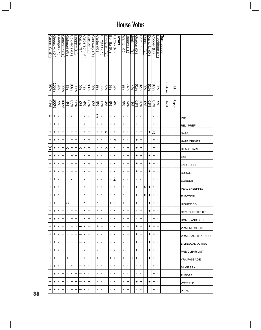|    | Green.<br>ρ.<br>U | Green, A.<br>∂ | <u>Granger (R</u> | Gonzalez (D | Gohmert (R           | Edwards<br>Θ | Doggett (D | <u>DeLay (R</u> | Culberson<br>$\widehat{\pi}$ | Cuellar (D     | Conaway (R     | Carter (R      | <u>Burgess (R</u> | Brady, K. (R   | <b>Bonilla</b><br>$\widehat{\pi}$ | <b>Barton</b><br>ন্নি | Texas | Wamp (R        | Tanner (D    | Jenkins (R     | Gordon (D         | Ford (D           | Duncan (R            | Davis.<br>ŗ<br>$\vec{\sigma}$ | Cooper (D                | <b>Blackburn</b><br>$\widehat{\pi}$ | <b>Tennessee</b> |                  |                                   |                         |
|----|-------------------|----------------|-------------------|-------------|----------------------|--------------|------------|-----------------|------------------------------|----------------|----------------|----------------|-------------------|----------------|-----------------------------------|-----------------------|-------|----------------|--------------|----------------|-------------------|-------------------|----------------------|-------------------------------|--------------------------|-------------------------------------|------------------|------------------|-----------------------------------|-------------------------|
|    | %96               | 100%           | %6                | 100%        | 5%                   | 83%          | 100%       | %               | 4%                           | 83%            | န္စ            | န့             | $\frac{5%}{17%$   |                | $9\%$                             | $\frac{5}{2}$         |       | %66            | 74%          | 4%             | $\frac{82%}{61%}$ |                   | $\sqrt{26}$          | 619                           | $\frac{878}{6}$          | 3%                                  |                  | <b>Positions</b> | $\mathop{\underline{\mathbb{M}}}$ |                         |
|    | $\frac{6}{20}$    | 100%           | $\frac{9}{66}$    | 96001       | 4%                   | 96%<br>83%   |            | $\sqrt{60}$     | $\frac{4\%}{\%}$             | 83%            | $\sqrt{60}$    | န့             | 17%               | $rac{4\%}{\%}$ | $\frac{6}{6}$                     | 4%                    |       | %66            | 74%          | 4%             | 619               | $\frac{28\%}{\%}$ | $\sqrt{60}$          | 9/9                           | $\frac{87%}{65}$         | န့                                  |                  | Total            | <b>Report</b>                     |                         |
|    | '× +              |                |                   | +           | ٠                    | $\mathbf{I}$ | +          | $\blacksquare$  | $\blacksquare$               | $\blacksquare$ | $\mathbf{r}$   | 厄              | $\blacksquare$    | $\blacksquare$ | $\blacksquare$                    | $\blacksquare$        |       | $\blacksquare$ | $\mathbf{r}$ | $\mathbf{r}$   | $\mathbf{r}$      | $\blacksquare$    | $\blacksquare$       | $\mathbf{r}$                  | $\blacksquare$           | $\blacksquare$                      |                  |                  |                                   | IMM                     |
|    | +                 | +              | 1                 | +           | ٠                    | +            | +          | ٠               | $\blacksquare$               | +              | $\blacksquare$ | ,              | $\blacksquare$    | $\blacksquare$ | J,                                | $\blacksquare$        |       | ٠              | +            |                | ٠                 | +                 | $\blacksquare$       | $\mathbf{r}$                  | +                        | $\blacksquare$                      |                  |                  |                                   | REL. PREF               |
|    | +                 | +              | 1                 | +           | ı,                   | +            | $\ddot{}$  | ٠               | $\blacksquare$               | +              | $\mathbf{r}$   | $\blacksquare$ | $\blacksquare$    | ⋉              | ,                                 | $\blacksquare$        |       | $\blacksquare$ | ı.           | ٠              | ٠                 | $\ddot{}$         | $\blacksquare$       | +                             | E                        | $\blacksquare$                      |                  |                  |                                   | NASA                    |
|    | +                 | +              | 1                 | +           |                      | +            | +          | ٠               | $\mathbf{I}$                 | +              | $\blacksquare$ | $\blacksquare$ | $\blacksquare$    | $\blacksquare$ | $\blacksquare$                    | ×                     |       | ٠              | ı.           | ٠              | $\ddot{}$         | $\ddot{}$         | $\blacksquare$       | $\mathbf{r}$                  | +                        | $\blacksquare$                      |                  |                  |                                   | <b>HATE CRIMES</b>      |
|    | Ŧ                 | +              |                   | $\ddot{}$   | $\times$             | +            | +          | $\times$        | $\mathbf{I}$                 | +              | $\mathbf{r}$   | $\blacksquare$ | $\blacksquare$    | ∣×             | $\blacksquare$                    | $\blacksquare$        |       | $\blacksquare$ | +            | ı.             | $\ddot{}$         | $\ddot{}$         | $\blacksquare$       | $\mathbf{r}$                  | +                        | $\blacksquare$                      |                  |                  |                                   | <b>HEAD START</b>       |
|    | +                 | +              | ٠                 | +           | ٠                    | +            | +          | ٠               | $\blacksquare$               | +              | $\blacksquare$ | ,              | $\blacksquare$    | $\blacksquare$ | ,                                 | $\blacksquare$        |       |                | +            | ٠              | +                 | +                 | $\blacksquare$       | +                             | +                        | $\blacksquare$                      |                  |                  |                                   | <b>GSE</b>              |
|    | +                 | +              | $\blacksquare$    | +           |                      | +            | +          | $\blacksquare$  | $\blacksquare$               | +              | $\blacksquare$ | $\blacksquare$ | $\blacksquare$    | $\blacksquare$ | $\blacksquare$                    | $\blacksquare$        |       | $\blacksquare$ | +            | ı.             | +                 | +                 | $\blacksquare$       | +                             | +                        | $\blacksquare$                      |                  |                  |                                   | <b>LABOR HHS</b>        |
|    | +                 | +              | 1                 | +           | ı,                   | +            | +          | $\blacksquare$  | $\blacksquare$               | $\ddot{}$      | $\blacksquare$ | $\blacksquare$ | $\blacksquare$    | $\mathbf{I}$   | $\blacksquare$                    | $\blacksquare$        |       | $\blacksquare$ | +            | ٠              | $\ddot{}$         | $\ddot{}$         | $\mathbf{r}$         | +                             | +                        | $\blacksquare$                      |                  |                  |                                   | <b>BUDGET</b>           |
|    | +                 | +              | ı                 | +           | ٠                    |              | +          | ٠               | $\blacksquare$               | +              | $\blacksquare$ | $\blacksquare$ | $\blacksquare$    | $\blacksquare$ | 1                                 | C                     |       | $\blacksquare$ | ı.           | $\mathbf{I}$   | T,                | $\blacksquare$    | $\blacksquare$       | $\mathbf{r}$                  | +                        | $\blacksquare$                      |                  |                  |                                   | <b>BORDER</b>           |
|    | +                 | +              |                   | +           | ٠                    | +            | +          | $\blacksquare$  | $\blacksquare$               | +              | $\mathbf{r}$   | $\blacksquare$ | $\blacksquare$    | $\mathbf{I}$   | $\blacksquare$                    | $\blacksquare$        |       | ٠              | +            | $\blacksquare$ | $\ddot{}$         | +                 | $\mathsf{ x }$ +     |                               | $\blacksquare$           | $\mathbf{I}$                        |                  |                  |                                   | PEACEKEEPING            |
|    | +                 | +              | ,                 | +           | ٠                    | +            | +          | ٠               | $\mathbf{I}$                 | +              | $\blacksquare$ | ,              | $\blacksquare$    | $\blacksquare$ | $\blacksquare$                    | $\blacksquare$        |       | $\blacksquare$ | +            | ٠              | +                 | +                 | $\vert \times \vert$ | +                             | +                        | $\blacksquare$                      |                  |                  |                                   | <b>ELECTION</b>         |
|    | +                 | +              | +                 | $\ddot{}$   | $\vert \times \vert$ | $+$          | $+$        | $\mathbf{r}$    | $\mathbf{r}$                 | $\ddot{}$      | $\blacksquare$ | $\blacksquare$ | $\ddot{}$         | $\mathbf{I}$   | +                                 | +                     |       | +              | +            | $\blacksquare$ | $\ddot{}$         | $+$               | $\blacksquare$       | +                             | $\left  + \right\rangle$ | $\blacksquare$                      |                  |                  |                                   | <b>HIGHER ED</b>        |
|    | +                 | +              | ٠                 | +           | $\blacksquare$       | +            | +          | $\mathbf{L}$    | $\mathbf{L}$                 | +              | $\blacksquare$ | $\blacksquare$ | $\blacksquare$    | $\blacksquare$ | $\blacksquare$                    | $\blacksquare$        |       | $\mathbf{I}$   | +            | $\blacksquare$ | $\mathbf{r}$      | +                 | $\mathbf{I}$         | +                             | $\ddot{}$                | $\blacksquare$                      |                  |                  |                                   | DEM. SUBSTITUTE         |
|    | +                 | +              |                   | +           | $\mathbf{I}$         | +            | +          | $\blacksquare$  | $\mathbf{I}$                 | +              | $\blacksquare$ | $\blacksquare$ | $\blacksquare$    | $\blacksquare$ | $\mathbf{I}$                      | $\blacksquare$        |       | $\blacksquare$ | +            | $\mathbf{I}$   | $\mathbf{r}$      | +                 | $\blacksquare$       | $\blacksquare$                | +                        | $\blacksquare$                      |                  |                  |                                   | HOMELAND SEC            |
|    | +                 | +              | ٠                 | +           | $\blacksquare$       | +            | $\times$   |                 | $\mathbf{L}$                 | +              | $\blacksquare$ | +              | +                 | $\blacksquare$ | $\blacksquare$                    | $\blacksquare$        |       | $\mathbf{I}$   | +            | ٠              | +                 | +                 | $\blacksquare$       | +                             | +                        | +                                   |                  |                  |                                   | <b>VRA PRE CLEAR</b>    |
|    | +                 | +              | $\blacksquare$    | +           | ٠                    | +            | +          |                 | $\blacksquare$               | +              | $\blacksquare$ | $\blacksquare$ |                   | $\blacksquare$ |                                   | $\blacksquare$        |       | $\blacksquare$ | +            | ٠              | +                 | +                 | $\blacksquare$       | +                             | +                        | $\blacksquare$                      |                  |                  |                                   | VRA REAUTH PERIOD       |
|    | +                 | +              | $\blacksquare$    | +           | $\blacksquare$       | +            | +          |                 | $\mathbf{L}$                 | +              | $\mathbf{I}$   | $\blacksquare$ | $\blacksquare$    | $\blacksquare$ | $\mathbf{I}$                      | $\blacksquare$        |       | $\blacksquare$ | +            | $\mathbf{I}$   | +                 | +                 | $\blacksquare$       | $\pm$                         | +                        | $\blacksquare$                      |                  |                  |                                   | <b>BILINGUAL VOTING</b> |
|    | +                 | +              | ٠                 | +           | $\mathbf{I}$         | +            | +          |                 | $\mathbf{L}$                 | +              | $\blacksquare$ | $\blacksquare$ | +                 | $\blacksquare$ | $\blacksquare$                    | $\blacksquare$        |       | $\mathbf{I}$   | +            | $\blacksquare$ | +                 | +                 | $\blacksquare$       | +                             | +                        | $\blacksquare$                      |                  |                  |                                   | PRE CLEAR LIST          |
|    | +                 | +              | +                 | +           | +                    | +            | +          |                 | +                            | +              | $\mathbf{I}$   | +              | +                 | +              | +                                 | $\blacksquare$        |       | +              | +            | +              | +                 | +                 | $\blacksquare$       | +                             | +                        | +                                   |                  |                  |                                   | VRA PASSAGE             |
|    | +                 | +              | $\blacksquare$    | +           | I.                   | $\mathbf{I}$ | +          |                 | $\blacksquare$               | ٠              | $\mathbf{I}$   | I.             | $\blacksquare$    | $\blacksquare$ | $\blacksquare$                    | $\blacksquare$        |       | $\blacksquare$ | ı.           |                | ٠                 | $\blacksquare$    | $\blacksquare$       | $\blacksquare$                |                          | $\blacksquare$                      |                  |                  |                                   | SAME SEX                |
|    | $\blacksquare$    | +              | $\blacksquare$    | +           | $\mathbf{I}$         | $\mathbf{I}$ | +          |                 | $\mathbf{L}$                 | ٠              | $\blacksquare$ | $\blacksquare$ | $\blacksquare$    | $\blacksquare$ | $\blacksquare$                    | $\blacksquare$        |       | $\blacksquare$ | $\mathbf{I}$ | $\blacksquare$ | T,                | $\blacksquare$    | $\blacksquare$       | $\blacksquare$                | +                        | $\blacksquare$                      |                  |                  |                                   | PLEDGE                  |
|    | +                 | +              | ٠                 | +           | ٠                    | +            | +          |                 | $\mathbf{I}$                 | +              | $\blacksquare$ | ٠              | $\blacksquare$    | $\blacksquare$ | ٠                                 | $\mathbf{I}$          |       | $\blacksquare$ | +            | $\mathbf{I}$   | +                 | +                 | $\blacksquare$       | +                             | +                        | $\blacksquare$                      |                  |                  |                                   | VOTER ID                |
| 38 | +                 | +              | $\blacksquare$    | +           | ٠                    | +            | +          |                 | $\blacksquare$               | ٠              | $\mathbf{L}$   | $\blacksquare$ | $\blacksquare$    | $\blacksquare$ | $\blacksquare$                    | $\blacksquare$        |       | $\blacksquare$ | +            | $\mathbf{I}$   | $\mathbf{L}$      | $\times$          | $\mathbf{I}$         | $\blacksquare$                | +                        | $\blacksquare$                      |                  |                  |                                   | PERA                    |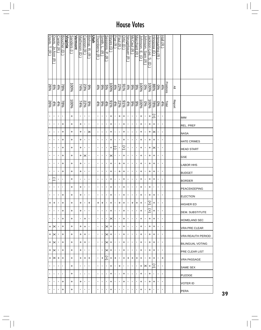| Davis, T. (R)      | Davis, Jo Ann  | Cantor (R      | <b>Boucher</b><br>$\widehat{\Theta}$ | <u>Virginia</u> | <b>Sanders</b> | <b>Vermont</b> | <u>Matheson</u><br>$\widehat{\mathbf{d}}$ | <b>Cannon</b><br>$\widehat{\pi}$ | Bishop.<br>∣ಸ        | <u>Utah</u> | <b><u>Thornberry</u></b> (R | Smith.<br>ŗ<br>$\widehat{\pi}$ | Sessions, P.    | Reyes (D              | <u>Poe (R</u>  | Paul (R)       | $Ortiz$ (D          | Neugebauer (R  | McCaul (R <sup>.)</sup> | Marchant (R    | ohnson.<br>ŗm      | lohnson.<br>Sam | ackson-Lee. | Hinojosa<br>U     | <u>Hensarling</u> | Hall (R                 |           |               |                     |
|--------------------|----------------|----------------|--------------------------------------|-----------------|----------------|----------------|-------------------------------------------|----------------------------------|----------------------|-------------|-----------------------------|--------------------------------|-----------------|-----------------------|----------------|----------------|---------------------|----------------|-------------------------|----------------|--------------------|-----------------|-------------|-------------------|-------------------|-------------------------|-----------|---------------|---------------------|
|                    | ञ              |                |                                      |                 |                |                |                                           |                                  | $\overline{\lambda}$ |             |                             |                                | $\widehat{\pi}$ |                       |                |                |                     |                |                         |                | $\Theta$           | $\widehat{\pi}$ | S<br>ヮ      |                   | $\widehat{\pi}$   |                         |           |               |                     |
| 26%                | $\frac{5}{6}$  | $rac{4\%}{\%}$ | %82                                  |                 | 96001          |                | 74%                                       | 23%                              | 9%                   |             | $rac{4\%}{\%}$              | %6                             | $\sqrt{2.5}$    | $-8001$               | 4%             |                | $\frac{91\%}{22\%}$ |                | $\frac{9\%}{4\%}$       | $\frac{9}{6}$  | $\frac{100\%}{\%}$ | 9%0             |             | $\frac{86\%}{86}$ | န္စ               | $\frac{4\%}{\%}$        | Positions | ≧             |                     |
| 26%                | 4%             | 4%             | $-88\%$                              |                 | 100%           |                | 74%                                       | 22%                              | န့                   |             | $\frac{4\%}{2}$             | နွ                             | $rac{4\%}{\%}$  | 9/96                  | 4%             | 22%            | 9/96                | 4%             | $\frac{6}{6}$           | 9%             | $\frac{100\%}{\%}$ | $\frac{6}{6}$   | $-6001$     | $\frac{1}{28}$    | %                 | $\frac{\log x}{\log x}$ |           | <b>Report</b> |                     |
| $\blacksquare$     | $\blacksquare$ | $\blacksquare$ | $\blacksquare$                       |                 | +              |                | $\blacksquare$                            | ٠                                | ٠                    |             | ٠                           | ٠                              | $\blacksquare$  | +                     | $\blacksquare$ | +              | +                   | 1              | ı,                      | ı,             | +                  | ٠               | $\ddot{}$   | Ŧ                 | ٠                 | $\blacksquare$          |           |               | IMM                 |
| $\mathbf{I}$       | п              | ×              | +                                    |                 | +              |                | +                                         | ٠                                | ٠                    |             | f,                          | ٠                              | $\blacksquare$  | $\ddot{}$             | $\blacksquare$ | $\blacksquare$ | +                   | ×              | ٠                       | ٠              | +                  | J,              | +           | +                 | ٠                 | $\blacksquare$          |           |               | REL. PREF           |
| $\blacksquare$     | $\blacksquare$ | $\blacksquare$ | +                                    |                 | +              |                | +                                         | ٠                                | ×                    |             | $\blacksquare$              | ×,                             | $\blacksquare$  | +                     | $\blacksquare$ | $\blacksquare$ | +                   | $\blacksquare$ | ı.                      | ı.             | +                  | ٠               | +           | $\times$          | $\blacksquare$    | $\blacksquare$          |           |               | NASA                |
| $\blacksquare$     |                | $\mathbf{I}$   | +                                    |                 | +              |                | +                                         | ٠                                | ٠                    |             | ٠                           | ٠                              | $\blacksquare$  | +                     | $\blacksquare$ | $\blacksquare$ | +                   | $\blacksquare$ | I.                      | ٠              | +                  | п               | +           | +                 | ٠                 | $\blacksquare$          |           |               | <b>HATE CRIMES</b>  |
| $\blacksquare$     | $\blacksquare$ | $\blacksquare$ | +                                    |                 | +              |                | +                                         | ٠                                | $\blacksquare$       |             | ٠                           | ٠                              | $\blacksquare$  | $\ddot{}$             | J              | ı              | Ŧ                   | $\blacksquare$ | ı,                      | 1              | +                  | $\blacksquare$  | +           | ×                 | $\blacksquare$    | $\blacksquare$          |           |               | <b>HEAD START</b>   |
| $\blacksquare$     | $\blacksquare$ | 1              | +                                    |                 | +              |                | $\ddot{}$                                 | ×                                | p                    |             | ٠                           | J.                             | $\blacksquare$  | $\boldsymbol{\times}$ | $\blacksquare$ | $\blacksquare$ | $\ddot{}$           | ×              | 1                       | ı              | +                  | J,              | +           | +                 | J,                | $\blacksquare$          |           |               | <b>GSE</b>          |
| $\blacksquare$     | I.             | $\blacksquare$ | +                                    |                 | +              |                | +                                         | ٠                                | f,                   |             | $\blacksquare$              | $\blacksquare$                 | $\blacksquare$  | $\ddot{}$             | $\blacksquare$ | $\ddot{}$      | +                   | $\blacksquare$ | ٠                       | ٠              | +                  | ٠               | +           | +                 | ٠                 | $\blacksquare$          |           |               | <b>LABOR HHS</b>    |
| $\blacksquare$     | $\blacksquare$ | $\blacksquare$ | +                                    |                 | $\ddot{}$      |                | $\ddot{}$                                 | ٠                                | ٠                    |             | f,                          | $\blacksquare$                 | $\blacksquare$  | +                     | $\blacksquare$ | +              | +                   | 1              | ı,                      | ٠              | +                  | J.              | +           | +                 | $\blacksquare$    | $\blacksquare$          |           |               | <b>BUDGET</b>       |
| $\blacksquare$     | Ξ              | $\blacksquare$ | 1                                    |                 | +              |                | 1                                         | ٠                                | ٠                    |             | ٠                           | ı                              | $\blacksquare$  | +                     | $\blacksquare$ | ı              | $\ddot{}$           | ٠              | ٠                       | ٠              | +                  | ٠               | +           | +                 | ı                 | $\blacksquare$          |           |               | <b>BORDER</b>       |
| $\blacksquare$     | $\blacksquare$ | $\blacksquare$ | $\blacksquare$                       |                 | $\ddot{}$      |                | $\ddot{}$                                 | ٠                                | ٠                    |             | $\blacksquare$              | ×,                             | $\blacksquare$  | +                     | $\blacksquare$ | $\blacksquare$ | $\ddot{}$           | $\blacksquare$ | $\blacksquare$          | ı,             | +                  | $\blacksquare$  | $\ddot{}$   | ٠                 | $\blacksquare$    | $\blacksquare$          |           |               | <b>PEACEKEEPING</b> |
| $\blacksquare$     | $\blacksquare$ | $\blacksquare$ | +                                    |                 | +              |                | +                                         | ٠                                | $\blacksquare$       |             | $\blacksquare$              | ٠                              | $\blacksquare$  | +                     | $\blacksquare$ | $\blacksquare$ | +                   | 1              | ٠                       | ٠              | +                  | ٠               | +           | +                 | ٠                 | $\blacksquare$          |           |               | <b>ELECTION</b>     |
| $\left  + \right $ | $\ddot{}$      | $\blacksquare$ | +                                    |                 | +              |                | +                                         | ٠                                | +                    |             | $\ddot{}$                   | +                              | $\blacksquare$  | +                     | $\blacksquare$ | $\ddot{}$      | l+                  | $\blacksquare$ | $\ddot{}$               | $\ddot{}$      | $\ddot{}$          | J.              | Ŧ           | +                 | ı                 | $\blacksquare$          |           |               | HIGHER ED           |
| $\blacksquare$     | $\blacksquare$ | $\blacksquare$ | +                                    |                 | +              |                | +                                         | ٠                                | ٠                    |             | $\blacksquare$              | $\blacksquare$                 | $\blacksquare$  | +                     | $\blacksquare$ | $\blacksquare$ | +                   | $\blacksquare$ | $\blacksquare$          | I.             | +                  | $\blacksquare$  | $\ddot{}$   | +                 | $\blacksquare$    | $\blacksquare$          |           |               | IDEM. SUBSTITUTE    |
| $\blacksquare$     | $\blacksquare$ | $\blacksquare$ | +                                    |                 | $\ddot{}$      |                | $\blacksquare$                            | +                                | ٠                    |             | $\blacksquare$              | ×,                             | $\blacksquare$  | $\times$              | $\blacksquare$ | $\mathbf{I}$   | +                   | $\blacksquare$ | $\blacksquare$          | $\blacksquare$ | +                  | $\blacksquare$  | +           | +                 | $\blacksquare$    | $\blacksquare$          |           |               | HOMELAND SEC        |
| $^{\rm +}$         | ×              | ٠              | +                                    |                 | +              |                | +                                         | +                                | ٠                    |             | ٠                           | ٠                              | $\times$        | +                     | $\blacksquare$ | $\blacksquare$ | +                   | ٠              | ٠                       | ٠              | +                  | $\blacksquare$  | +           | +                 | $\blacksquare$    | $\blacksquare$          |           |               | IVRA PRE CLEAR      |
| $\ddot{}$          | ×              | ٠              | +                                    |                 | +              |                | +                                         | +                                | ٠                    |             | $\blacksquare$              | ٠                              | $\times$        | +                     | $\blacksquare$ | $\blacksquare$ | +                   | ٠              | п.                      | $\mathbf{I}$   | +                  | $\blacksquare$  | +           | +                 | ٠                 | $\blacksquare$          |           |               | IVRA REAUTH PERIOD  |
| +                  | ⋉              | $\mathbf{I}$   | +                                    |                 | +              |                | +                                         | +                                | ٠                    |             | ٠                           | ٠                              | $\times$        | +                     | $\blacksquare$ | $\blacksquare$ | +                   | $\blacksquare$ | $\mathbf{I}$            | $\mathbf{I}$   | +                  | $\mathbf{I}$    | +           | +                 | $\blacksquare$    | $\blacksquare$          |           |               | IBILINGUAL VOTING   |
| +                  | ×              | $\blacksquare$ | +                                    |                 | +              |                | +                                         | ٠                                | ٠                    |             | ٠                           | ٠                              | ×               | +                     | $\blacksquare$ | $\blacksquare$ | +                   | ٠              | ı.                      | ٠              | +                  | $\blacksquare$  | +           | +                 | ٠                 | $\blacksquare$          |           |               | PRE CLEAR LIST      |
| +                  | × +            |                | +                                    |                 | +              |                | +                                         | +                                | +                    |             | ٠                           | +                              | E               | +                     | +              | $\blacksquare$ | +                   | +              | +                       | +              | +                  | ٠               | +           | +                 | ×,                | $\ddot{}$               |           |               | VRA PASSAGE         |
| $\blacksquare$     | $\blacksquare$ | $\blacksquare$ | $\blacksquare$                       |                 | +              |                | $\mathbf{I}$                              | ٠                                | $\blacksquare$       |             | $\blacksquare$              | ٠                              | $\blacksquare$  | +                     | $\blacksquare$ | +              | $\blacksquare$      | $\blacksquare$ | ٠                       | ٠              | +                  | ×               | +           | $^+$              | ٠                 | $\blacksquare$          |           |               | SAME SEX            |
| $\blacksquare$     | $\blacksquare$ | $\blacksquare$ | $\blacksquare$                       |                 | +              |                | $\blacksquare$                            | $\blacksquare$                   | $\blacksquare$       |             | $\blacksquare$              | $\blacksquare$                 | $\blacksquare$  | +                     | $\blacksquare$ | $\blacksquare$ | +                   | $\blacksquare$ | $\blacksquare$          | $\blacksquare$ | +                  | $\blacksquare$  | +           | $\blacksquare$    | $\blacksquare$    | $\blacksquare$          |           |               | PLEDGE              |
| $\blacksquare$     | $\blacksquare$ | $\mathbf{I}$   | +                                    |                 | +              |                | +                                         | ٠                                | ٠                    |             | ٠                           | ٠                              | $\blacksquare$  | +                     | $\blacksquare$ | $\blacksquare$ | +                   | 1              | I.                      | I.             | +                  | J.              | +           | +                 | J.                | $\blacksquare$          |           |               | VOTER ID            |
| 0                  | $\blacksquare$ |                | +                                    |                 | +              |                | ٠                                         | ٠                                | ٠                    |             | ٠                           | ı                              | $\blacksquare$  | +                     | 1              | 1              | $\blacksquare$      | 1              | ٠                       | ٠              | +                  | п               | +           | J.                | ٠                 | ٠                       |           |               | PERA                |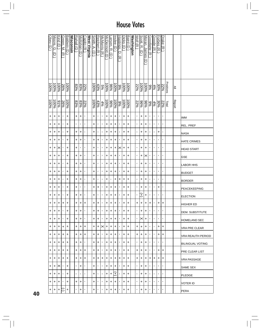|    | Obey (<br>U | Moore,<br>ω<br>σ | <u>Kind (D</u>      | Green, M.<br>$\widehat{\pi}$ | Baldwin (D          | <b>Wisconsin</b> | Rahall (D        | Mollohan (D    | Capito (R      | West Virginia | $S$ mith, A.<br>$\widehat{\mathsf{C}}$ | Reichert<br>$\widehat{\pi}$ | <u>McMorris (R</u> | McDermott (D | arsen, R.<br>$\bigcirc$ | nslee (D            | <u>Hastings,</u><br>ヮ<br>त्रि | <u>Dicks (D</u>     | Baird (D | <b>Washington</b> | ≫olt (R        | <u>Scott, R.</u><br>ヮ | Moran, James<br>$\widehat{\Theta}$ | <b>Goodlatte</b><br>$\widehat{\pi}$ | Goode (R       | Forbes (R      | Drake (R       |           |               |                         |
|----|-------------|------------------|---------------------|------------------------------|---------------------|------------------|------------------|----------------|----------------|---------------|----------------------------------------|-----------------------------|--------------------|--------------|-------------------------|---------------------|-------------------------------|---------------------|----------|-------------------|----------------|-----------------------|------------------------------------|-------------------------------------|----------------|----------------|----------------|-----------|---------------|-------------------------|
|    | 96001       | 100%             | $\frac{100\%}{200}$ | 26%                          | $\frac{100\%}{200}$ |                  | $\frac{83}{6}$   | $\frac{83}{6}$ | 22%            |               | 100%                                   | 43%                         | $5\%$              | $-00\%$      | %96                     | $\frac{100\%}{200}$ | <b>100%</b>                   |                     | 96001    |                   | 22%            | $\frac{1000}{6}$      | $\frac{100\%}{200}$                | %6                                  | $4\%$          | 30%            | 22%            | Positions | ≧             |                         |
|    | 100%        | 100%             | $rac{6}{6}$         | 26%                          | $\frac{100\%}{200}$ |                  | $\frac{83\%}{2}$ | 83%            | 22%            |               | 100%                                   | 43%                         | 4%                 | 100%         | 96%                     | $-6001$             | $\frac{90}{6}$                | $\frac{100\%}{200}$ | 100%     |                   | 22%            | %96                   | $\frac{96}{6}$                     | 9%                                  | 4%             | 30%            | 22%            | Total     | <b>Report</b> |                         |
|    | +           | +                | +                   | $\mathbf{r}$                 | +                   |                  | +                | +              | $\blacksquare$ |               | +                                      | ٠                           | $\blacksquare$     | +            | +                       | +                   | $\mathbf{I}$                  | +                   | +        |                   | ٠              | +                     | +                                  | $\blacksquare$                      | $\blacksquare$ | T.             | $\blacksquare$ |           |               | <b>IMM</b>              |
|    | +           | +                | +                   | $\blacksquare$               | +                   |                  | T,               | $\blacksquare$ | $\blacksquare$ |               | +                                      | ٠                           | J.                 | $\ddot{}$    | +                       | +                   | $\blacksquare$                | +                   | +        |                   | ٠              | +                     | +                                  | $\blacksquare$                      | $\blacksquare$ | ı.             | $\blacksquare$ |           |               | <b>REL. PREF</b>        |
|    | +           | +                | +                   | $\blacksquare$               | +                   |                  | +                | +              | $\blacksquare$ |               | +                                      | ٠                           | $\blacksquare$     | +            | +                       | +                   | $\blacksquare$                | +                   | +        |                   | ٠              | +                     | +                                  | $\blacksquare$                      | $\blacksquare$ | +              | $\blacksquare$ |           |               | <b>NASA</b>             |
|    | +           | +                | +                   | $\mathbf{r}$                 | +                   |                  | +                | +              | $\blacksquare$ |               | +                                      | +                           | ٠                  | +            | +                       | +                   | $\blacksquare$                | +                   | +        |                   | ٠              | +                     | +                                  | $\blacksquare$                      | $\blacksquare$ | 1              | $\blacksquare$ |           |               | <b>HATE CRIMES</b>      |
|    | +           | +                | ×                   | $\mathbf{I}$                 | +                   |                  | +                | ı              | $\blacksquare$ |               | +                                      | ٠                           | 1                  | +            | +                       | +                   | $\times$                      | $\ddot{}$           | +        |                   | ٠              | +                     | $\left  + \right $                 | $\blacksquare$                      | $\blacksquare$ | ı.             | $\blacksquare$ |           |               | <b>HEAD START</b>       |
|    | +           | +                | +                   | $\blacksquare$               | +                   |                  | +                | +              |                |               | +                                      |                             | ٠                  | +            | +                       | +                   | ٠                             | +                   | +        |                   | ٠              | +                     | ×                                  | 1                                   | $\blacksquare$ | 1              | $\blacksquare$ |           |               | <b>GSE</b>              |
|    | +           | +                | +                   | $\mathbf{r}$                 | +                   |                  | +                | +              | $\blacksquare$ |               | +                                      | ٠                           | J.                 | +            | +                       | +                   | $\blacksquare$                | +                   | +        |                   | ٠              | $\ddot{}$             | $\left  + \right\rangle$           | $\blacksquare$                      | $\mathbf{I}$   | ٠              | ٠              |           |               | <b>LABOR HHS</b>        |
|    | +           | +                | +                   | $\mathbf{r}$                 | +                   |                  | +                | +              | $\blacksquare$ |               | +                                      | ٠                           | J.                 | +            | +                       | +                   | $\blacksquare$                | +                   | +        |                   | ٠              | +                     | $\ddot{}$                          | $\blacksquare$                      | $\blacksquare$ | ı.             | $\blacksquare$ |           |               | <b>BUDGET</b>           |
|    | +           | +                | +                   | $\mathbf{r}$                 | +                   |                  | +                | +              | $\blacksquare$ |               | +                                      | 1                           | 1                  | +            | $\mathbf I$             | +                   | +                             | +                   | +        |                   | ٠              | +                     | +                                  | $\blacksquare$                      | $\blacksquare$ | $\blacksquare$ | 1              |           |               | <b>BORDER</b>           |
|    | +           | +                | +                   | $\mathbf{r}$                 | +                   |                  | +                | ٠              | $\blacksquare$ |               | +                                      | +                           | ٠                  | +            | +                       | +                   | $\blacksquare$                | +                   | +        |                   | ٠              | +                     | $\left  + \right $                 | $\blacksquare$                      | $\mathbf{I}$   | $\ddot{}$      | $\blacksquare$ |           |               | PEACEKEEPING            |
|    | +           | +                | +                   | $\mathbf{r}$                 | +                   |                  | +                | +              | $\blacksquare$ |               | +                                      |                             | $\blacksquare$     | +            | +                       | +                   | $\blacksquare$                | +                   | +        |                   | ٠              | Ŧ                     | +                                  | $\blacksquare$                      | $\blacksquare$ | ı.             | $\blacksquare$ |           |               | <b>ELECTION</b>         |
|    | +           | +                | $\ddot{}$           | +                            | +                   |                  | +                | +              | +              |               | $\ddot{}$                              | +                           | ×                  | $\ddot{}$    | $\ddot{}$               | $\ddot{}$           | $\mathbf{r}$                  | +                   | +        |                   | +              | +                     | $\left  + \right $                 | $\ddot{}$                           | $\blacksquare$ | $\ddot{}$      | +              |           |               | <b>HIGHER ED</b>        |
|    | +           | +                | +                   | $\mathbf{L}$                 | $\ddot{}$           |                  | +                | +              | $\blacksquare$ |               | $\ddot{}$                              | +                           | $\blacksquare$     | $\ddot{}$    | +                       | +                   | $\blacksquare$                | +                   | +        |                   |                | $\ddot{}$             | +                                  | $\blacksquare$                      | f.             |                | $\blacksquare$ |           |               | <b>DEM. SUBSTITUTE</b>  |
|    | +           | +                | +                   | $\mathbf{I}$                 | $\ddot{}$           |                  | +                | +              | $\blacksquare$ |               | +                                      | +                           | $\mathbf{I}$       | +            | +                       | +                   | $\mathbf{I}$                  | +                   | +        |                   | $\mathbf{L}$   | ×l+                   |                                    | $\blacksquare$                      | $\blacksquare$ | ٠              | $\blacksquare$ |           |               | <b>HOMELAND SEC</b>     |
|    | +           | +                | +                   | +                            | $\ddot{}$           |                  | +                | +              | +              |               | +                                      | +                           | ×                  | $\ddot{}$    | +                       | +                   | $\blacksquare$                | +                   | +        |                   | +              | +                     | $\ddot{}$                          | $\blacksquare$                      |                | +              | +              |           |               | <b>VRA PRE CLEAR</b>    |
|    | +           | +                | +                   | +                            | +                   |                  | +                | +              | +              |               | +                                      | +                           | $\mathbf{I}$       | +            | +                       | +                   | $\blacksquare$                | +                   | +        |                   | +              | +                     | $\ddot{}$                          | $\blacksquare$                      | $\mathbf{I}$   | +              | +              |           |               | VRA REAUTH PERIOD       |
|    | +           | $+$              | +                   | +                            | +                   |                  | +                | +              | $\blacksquare$ |               | +                                      | +                           | $\mathbf{I}$       | +            | +                       | +                   | $\mathbf{L}$                  | +                   | +        |                   | $\mathbf{r}$   | +                     | $\ddot{}$                          | $\blacksquare$                      | $\blacksquare$ | $\mathbf{I}$   | $\mathbf{I}$   |           |               | <b>BILINGUAL VOTING</b> |
|    | +           | +                | +                   | +                            | +                   |                  | +                | +              | $\ddot{}$      |               | +                                      | +                           | ٠                  | +            | +                       | +                   | $\blacksquare$                | +                   | +        |                   | +              | +                     | +                                  | $\blacksquare$                      |                | +              | +              |           |               | PRE CLEAR LIST          |
|    | +           | +                | +                   | +                            | +                   |                  | +                | +              | $\ddot{}$      |               | +                                      | +                           | +                  | +            | +                       | +                   | +                             | +                   | +        |                   | +              | +                     | $\ddot{}$                          | +                                   | +              | +              | +              |           |               | <b>VRA PASSAGE</b>      |
|    | +           | +                | ×                   | $\mathbf{I}$                 | +                   |                  | $\mathbf{L}$     | +              | $\blacksquare$ |               | $\ddot{}$                              | $\blacksquare$              | $\blacksquare$     | +            | +                       | +                   | $\mathbf{I}$                  | +                   | +        |                   | $\blacksquare$ | +                     | +                                  | $\blacksquare$                      | $\mathbf{I}$   | п.             | $\mathbf{I}$   |           |               | SAME SEX                |
|    | +           | +                | +                   | $\blacksquare$               | +                   |                  | $\mathbf{I}$     | $\blacksquare$ | $\blacksquare$ |               | $\ddot{}$                              |                             | $\mathbf{I}$       | +            | +                       | $^{(+)}$            | $\mathbf{L}$                  | +                   | +        |                   | $\mathbf{r}$   | +                     | $\pm$                              | $\blacksquare$                      | $\blacksquare$ | ٠              | $\blacksquare$ |           |               | <b>PLEDGE</b>           |
|    | +           | +                | +                   | $\blacksquare$               | +                   |                  | +                | +              | $\blacksquare$ |               | +                                      | $\blacksquare$              |                    | +            | +                       | +                   | $\blacksquare$                | +                   | +        |                   | ٠              | +                     | +                                  |                                     | $\blacksquare$ |                | $\blacksquare$ |           |               | <b>VOTER ID</b>         |
| 40 | +           | +                | +                   | Ξ                            | +                   |                  | $\mathbf{r}$     | +              | $\blacksquare$ |               | +                                      | 1                           | ٠                  | +            | +                       | +                   | $\blacksquare$                | +                   | +        |                   | ٠              | +                     | ∣+                                 | $\blacksquare$                      | $\blacksquare$ | $\mathbf{I}$   |                |           |               | PERA                    |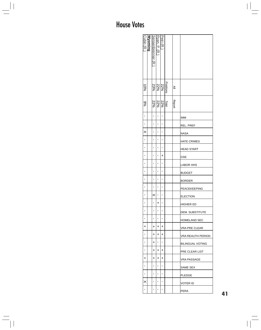| Cubin (R ) | <u>Wyoming</u> | Sensenbrenner (R | Petri (R )<br>Ryan, P. (R ) |                                                                              |        |                         |
|------------|----------------|------------------|-----------------------------|------------------------------------------------------------------------------|--------|-------------------------|
| $-6%$      |                |                  |                             | $\frac{\frac{\text{Position}}{22\%}}{\frac{22\%}{23\%}}$                     | ≧      |                         |
| %6         |                |                  |                             | $\frac{\log \left  \mathcal{X} \right }{\mathcal{X} \mathcal{X}} \approx 0.$ | Report |                         |
| ٠          |                | ٠                | ı                           | I.                                                                           |        | IMM                     |
| ٠          |                | ı                | ı                           | п                                                                            |        | REL. PREF               |
| ×          |                | ı                | ı                           | ı                                                                            |        | NASA                    |
| ٠          |                | ı                | ı                           | ı                                                                            |        | <b>HATE CRIMES</b>      |
| ٠          |                | ٠                | п                           | ٠                                                                            |        | HEAD START              |
| ٠          |                | ı                | ı                           | +                                                                            |        | <b>GSE</b>              |
| ٠          |                | ı                | ı                           | ı                                                                            |        | <b>LABOR HHS</b>        |
| ٠          |                | ı                | ı                           | ı                                                                            |        | <b>BUDGET</b>           |
| ٠          |                |                  |                             | ٠                                                                            |        | <b>BORDER</b>           |
| ı          |                | ı                | ı                           | ı                                                                            |        | PEACEKEEPING            |
| ı          |                | ×                | ı                           | ı                                                                            |        | ELECTION                |
| ı          |                | $\blacksquare$   | ∣+                          | п                                                                            |        | HIGHER ED               |
| ٠          |                | $\blacksquare$   | $\blacksquare$              | $\blacksquare$                                                               |        | DEM. SUBSTITUTE         |
| ٠          |                | $\blacksquare$   | I.                          | $\blacksquare$                                                               |        | HOMELAND SEC            |
| +          |                | +                | +                           | +                                                                            |        | VRA PRE CLEAR           |
| ı          |                | +                | +                           | +                                                                            |        | IVRA REAUTH PERIOD      |
| ٠          |                | +                | ٠                           | ٠                                                                            |        | <b>BILINGUAL VOTING</b> |
| t,         |                | +                | +                           | +                                                                            |        | IPRE CLEAR LIST         |
| +          |                | +                | $\ddot{}$                   | +                                                                            |        | VRA PASSAGE             |
| ٠          |                |                  | ı                           |                                                                              |        | SAME SEX                |
| ٠          |                | ٠                | ٠                           | I.                                                                           |        | <b>PLEDGE</b>           |
| ×          |                | I.               | ٠                           | $\blacksquare$                                                               |        | VOTER ID                |
| ı          |                | ı                | ī                           | ı                                                                            |        | <b>PERA</b>             |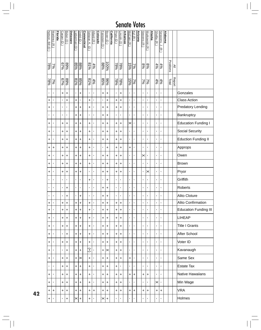| Nelson, Bill (D)         | Martinez (R    | <b>Florida</b> | Carper (D) | Biden (D.) | Delaware | ieberman (D)   | $0$ odd (D)           | Connecticut | Salazar, K. (D | Allard (R)       | <b>Colorado</b> | Feinstein (D   | Boxer (D)           | California | Pryor (D)         | incoln (D)     | <b>Arkansas</b> | McCain (R      | Kyl (R )       | <u>Arizona</u> | Stevens (R)                               | Murkowski (R)  | <u>Alaska</u> | Shelby (R)     | Sessions, J.<br><u>त्र</u> | <b>Alabama</b> |           |               |                              |
|--------------------------|----------------|----------------|------------|------------|----------|----------------|-----------------------|-------------|----------------|------------------|-----------------|----------------|---------------------|------------|-------------------|----------------|-----------------|----------------|----------------|----------------|-------------------------------------------|----------------|---------------|----------------|----------------------------|----------------|-----------|---------------|------------------------------|
| $\sqrt{882}$             | $2\%$          |                | $67\%$     | 89%        |          | $\frac{88}{8}$ |                       |             | 81%            | $\frac{4\%}{\%}$ |                 | $88\%$         | $\frac{100\%}{200}$ |            | <b>285</b><br>285 |                |                 | 9651           | $\frac{2}{3}$  |                | $ \overset{\otimes}{\mathscr{E}} _\infty$ |                |               |                | $\frac{4\%}{4\%}$          |                | Positions | $\geq$        |                              |
| $\frac{78\%}{2}$         | $\frac{2}{3}$  |                | 67%        | 9668       |          | 81%            | $85\%$                |             | 81%            | 4%               |                 | 85%            | $\frac{60}{6}$      |            | $\frac{18\%}{2}$  | $\sqrt{88/5}$  |                 | 15%            | $\sqrt{26}$    |                | $\frac{3}{2}$                             | $\sqrt{62}$    |               |                | $\frac{4\%}{4\%}$          |                | Total     | <b>Report</b> |                              |
| $\blacksquare$           | $\blacksquare$ |                | $\ddot{}$  | $\ddot{}$  |          | $\blacksquare$ | $\ddot{}$             |             | $\blacksquare$ | $\blacksquare$   |                 | $\ddot{}$      | $\ddot{}$           |            | T,                | +              |                 | $\blacksquare$ | $\blacksquare$ |                | $\blacksquare$                            | $\blacksquare$ |               | $\mathbf{I}$   | $\blacksquare$             |                |           |               | Gonzales                     |
| +                        | $\blacksquare$ |                | ×,         | $\ddot{}$  |          | $\ddot{}$      | J.                    |             | $\ddot{}$      | J.               |                 | $\mathbf{I}$   | $\ddot{}$           |            | +                 | +              |                 | $\blacksquare$ | $\blacksquare$ |                | $\blacksquare$                            | $\blacksquare$ |               | $\blacksquare$ | $\blacksquare$             |                |           |               | <b>Class Action</b>          |
| +                        | I.             |                | J.         | ٠          |          | +              | $\ddot{}$             |             | +              | J,               |                 | +              | +                   |            | ÷                 | +              |                 | $\blacksquare$ | $\blacksquare$ |                | $\blacksquare$                            | $\blacksquare$ |               | $\blacksquare$ | $\blacksquare$             |                |           |               | <b>Predatory Lending</b>     |
| ٠                        | $\blacksquare$ |                | ٠          | ×,         |          | +              | +                     |             | $\blacksquare$ | T,               |                 | +              | +                   |            | T,                | $\blacksquare$ |                 | $\blacksquare$ | ٠              |                | $\blacksquare$                            | $\blacksquare$ |               | $\blacksquare$ | $\blacksquare$             |                |           |               | Bankruptcy                   |
| $\ddot{}$                | $\blacksquare$ |                | +          | $\ddot{}$  |          | +              | +                     |             | +              | J,               |                 | +              | +                   |            | ÷                 | +              |                 | ×              | $\blacksquare$ |                | $\blacksquare$                            | J.             |               | $\blacksquare$ | $\blacksquare$             |                |           |               | <b>Education Funding I</b>   |
| $\ddot{}$                | ı              |                | +          | +          |          | +              | +                     |             | +              | J.               |                 | +              | +                   |            | +                 | +              |                 | $\blacksquare$ | $\blacksquare$ |                | $\blacksquare$                            | ٠              |               | $\blacksquare$ | $\blacksquare$             |                |           |               | Social Security              |
| $\ddot{}$                | ı              |                | +          | $\ddot{}$  |          | +              | +                     |             | +              | J,               |                 | +              | +                   |            | +                 | +              |                 | ,              | ٠              |                | $\blacksquare$                            | J.             |               | $\blacksquare$ | $\blacksquare$             |                |           |               | <b>Eduction Funding II</b>   |
| $\ddot{}$                | +              |                | +          | +          |          | +              | +                     |             | +              | J,               |                 | ı              | $\ddot{}$           |            | +                 | +              |                 | $\ddot{}$      | $\blacksquare$ |                | $\blacksquare$                            | J.             |               | $\blacksquare$ | $\blacksquare$             |                |           |               | Approps                      |
| $\ddot{}$                | J.             |                | +          | $\ddot{}$  |          | +              | $\ddot{}$             |             | +              | J,               |                 | +              | $\ddot{}$           |            | +                 | +              |                 | $\blacksquare$ | ٠              |                | ×                                         |                |               | $\blacksquare$ | $\blacksquare$             |                |           |               | Owen                         |
| $\ddot{}$                | $\blacksquare$ |                | +          | $\ddot{}$  |          | +              | +                     |             | +              | J.               |                 | +              | +                   |            | +                 | +              |                 | $\blacksquare$ | $\blacksquare$ |                | $\blacksquare$                            | $\blacksquare$ |               | $\blacksquare$ | $\blacksquare$             |                |           |               | Brown                        |
| $\ddot{}$                | $\blacksquare$ |                | +          | +          |          | +              | +                     |             | J.             | ı                |                 | +              | $\ddot{}$           |            | +                 | +              |                 | ,              | $\blacksquare$ |                | $\blacksquare$                            | ×              |               | $\blacksquare$ | $\blacksquare$             |                |           |               | Pryor                        |
| $\blacksquare$           | $\blacksquare$ |                | ٠          | T,         |          | $\mathbf{r}$   | J.                    |             | +              | J,               |                 | $\blacksquare$ | $\ddot{}$           |            | $\blacksquare$    | $\blacksquare$ |                 | ,              | $\blacksquare$ |                | $\blacksquare$                            | $\blacksquare$ |               | $\blacksquare$ | $\blacksquare$             |                |           |               | Griffith                     |
| ٠                        | $\blacksquare$ |                | f,         | +          |          | $\blacksquare$ | $\blacksquare$        |             | J.             | J.               |                 | +              | +                   |            | ٠                 | J.             |                 | I.             | $\blacksquare$ |                | $\blacksquare$                            | J.             |               | $\blacksquare$ | $\blacksquare$             |                |           |               | Roberts                      |
| $\mathbf{I}$             | $\blacksquare$ |                | ٠          | +          |          | $\mathbf{I}$   | +                     |             | $\blacksquare$ | J.               |                 | +              | +                   |            | $\blacksquare$    | ı              |                 | ,              | $\blacksquare$ |                | $\blacksquare$                            | $\blacksquare$ |               | $\blacksquare$ | $\blacksquare$             |                |           |               | Alito Cloture                |
| +                        | $\blacksquare$ |                | $\ddot{}$  | $\ddot{}$  |          | $\ddot{}$      | $\ddot{}$             |             | +              | J,               |                 | $\ddot{}$      | +                   |            | $\ddot{}$         | +              |                 | ı              | $\blacksquare$ |                | $\blacksquare$                            | $\blacksquare$ |               | $\blacksquare$ | $\mathbf{I}$               |                |           |               | <b>Alito Confirmation</b>    |
| +                        | $\blacksquare$ |                | +          | $\ddot{}$  |          | $\ddot{}$      | +                     |             | +              | $\blacksquare$   |                 | +              | +                   |            | +                 | +              |                 | $\blacksquare$ | $\blacksquare$ |                | $\blacksquare$                            | $\blacksquare$ |               | $\blacksquare$ | $\blacksquare$             |                |           |               | <b>Education Funding III</b> |
| +                        | 1              |                | $\ddot{}$  | +          |          | +              | +                     |             | +              | J.               |                 | +              | +                   |            | +                 | +              |                 | $\blacksquare$ | $\blacksquare$ |                | $\blacksquare$                            | $\blacksquare$ |               | $\blacksquare$ | $\blacksquare$             |                |           |               | <b>LIHEAP</b>                |
| $\ddot{}$                | $\blacksquare$ |                | +          | $\ddot{}$  |          | $\ddot{}$      | $\ddot{}$             |             | $\ddot{}$      | J.               |                 | +              | +                   |            | +                 | +              |                 | $\blacksquare$ | $\blacksquare$ |                | $\blacksquare$                            | $\blacksquare$ |               | $\mathbf{I}$   | $\blacksquare$             |                |           |               | <b>Title I Grants</b>        |
| +                        | $\blacksquare$ |                | ٠          | +          |          | +              | +                     |             | +              | T,               |                 | +              | +                   |            | +                 | +              |                 | $\blacksquare$ | $\blacksquare$ |                | $\blacksquare$                            | $\blacksquare$ |               | $\blacksquare$ | $\blacksquare$             |                |           |               | After School                 |
| $\ddot{}$                | $\blacksquare$ |                | $\ddot{}$  | $\ddot{}$  |          | $\ddot{}$      | $\ddot{}$             |             | $\ddot{}$      | T,               |                 | $\ddot{}$      | $\ddot{}$           |            | +                 | +              |                 | $\blacksquare$ | $\blacksquare$ |                | $\blacksquare$                            | $\blacksquare$ |               | $\mathbf{I}$   | $\blacksquare$             |                |           |               | Voter ID                     |
| +                        | $\blacksquare$ |                | ٠          | $\ddot{}$  |          | +              | +                     |             | Ŧ              | T,               |                 | +              | ×                   |            | +                 | +              |                 | $\blacksquare$ | $\blacksquare$ |                | $\blacksquare$                            | $\blacksquare$ |               | $\blacksquare$ | $\blacksquare$             |                |           |               | Kavanaugh                    |
| $\ddot{}$                | $\blacksquare$ |                | $\ddot{}$  | $\ddot{}$  |          | $\ddot{}$      | $\boldsymbol{\times}$ |             | $\ddot{}$      | T,               |                 | +              | $\ddot{}$           |            | +                 | +              |                 | $\ddot{}$      | $\blacksquare$ |                | $\blacksquare$                            | $\blacksquare$ |               | $\mathbf{I}$   | $\blacksquare$             |                |           |               | Same Sex                     |
| $\mathbf{I}$             | $\blacksquare$ |                | +          | +          |          | +              | +                     |             | +              | T,               |                 | +              | +                   |            | +                 | $\blacksquare$ |                 | $\blacksquare$ | $\blacksquare$ |                | $\blacksquare$                            | $\blacksquare$ |               | $\blacksquare$ | $\blacksquare$             |                |           |               | <b>Estate Tax</b>            |
| $\ddot{}$                | $\blacksquare$ |                | +          | $\ddot{}$  |          | $\pm$          | $\ddot{}$             |             | +              | J,               |                 | +              | $\ddot{}$           |            | ÷.                | +              |                 | $\ddot{}$      | $\ddot{}$      |                | $\ddot{}$                                 | $\ddot{}$      |               | $\mathbf{I}$   | $\blacksquare$             |                |           |               | <b>Native Hawaiians</b>      |
| $\ddot{}$                | $\blacksquare$ |                | +          | +          |          | +              | +                     |             | +              | J.               |                 | +              | +                   |            | +                 | +              |                 | $\blacksquare$ | f.             |                | $\blacksquare$                            | ٠              |               | $\times$       | $\blacksquare$             |                |           |               | Min Wage                     |
| $\ddot{}$                | $\ddot{}$      |                | +          | $\ddot{}$  |          | +              | $\ddot{}$             |             | +              | +                |                 | +              | $\ddot{}$           |            | +                 | +              |                 | $\ddot{}$      | $\ddot{}$      |                | +                                         | $\ddot{}$      |               | +              | $\ddot{}$                  |                |           |               | <b>VRA</b>                   |
| $\left  + \right\rangle$ | $\blacksquare$ |                | ٠          | +          |          | $\times$       | $\ddot{}$             |             | +              | л                |                 | ×              | +                   |            | ٠                 | л              |                 | ٠              | п              |                | $\blacksquare$                            |                |               | ,              | $\blacksquare$             |                |           |               | Holmes                       |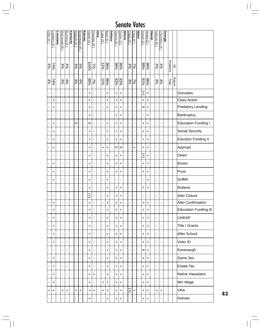| Vitter (R)     | <u>Landrieu (D</u> | Louisiana | McConnell (R      | Bunning (R)      | <b>Kentucky</b> | Roberts (R        | <b>Brownback (R</b> | <b>Kansas</b> | Harkin (D)          | Grassley (R    | <b>Dwa</b> | Lugar $(R)$      | Bayh (D)  | <u>Indiana</u> | Obama (D)      | Durbin (D    | lllinois | Crapo (R)      | Craig (R)      | $\frac{1}{\sin \theta}$ | nouye (D)      | Akaka $(D)$      | <b>Hawaii</b> | Isakson (R)    | <b>Chambliss</b><br>ন্তি | <u>Georgia</u> |           |               |                              |
|----------------|--------------------|-----------|-------------------|------------------|-----------------|-------------------|---------------------|---------------|---------------------|----------------|------------|------------------|-----------|----------------|----------------|--------------|----------|----------------|----------------|-------------------------|----------------|------------------|---------------|----------------|--------------------------|----------------|-----------|---------------|------------------------------|
| 4%             | $\frac{7496}{2}$   |           | $\frac{4\%}{4\%}$ |                  |                 | $\frac{4\%}{4\%}$ |                     |               | $\frac{7\%}{100\%}$ |                |            | $\frac{118}{15}$ |           |                | 88%            |              |          | 4%             | 7%             |                         | 96%<br>88%     |                  |               |                | $rac{4%}{4%}$            |                | Positions | $\geq$        |                              |
| 4%             | 74%                |           | 4%                | $\frac{4\%}{\%}$ |                 | $\frac{4\%}{4\%}$ |                     |               | $\frac{9696}{2}$    | $\sqrt{20}$    |            | 11%              | 86%       |                | 93%            | 93%          |          | 4%             | $\frac{2}{3}$  |                         | 81%            | $\frac{9696}{5}$ |               | 4%             | 4%                       |                | Total     | <b>Report</b> |                              |
| $\blacksquare$ | $\blacksquare$     |           | $\blacksquare$    | $\blacksquare$   |                 | $\blacksquare$    | $\blacksquare$      |               | $\ddot{}$           | $\blacksquare$ |            | $\blacksquare$   | $\ddot{}$ |                | $\ddot{}$      | $\ddot{}$    |          | $\blacksquare$ | Ţ              |                         | Ŧ              | $\ddot{}$        |               | $\blacksquare$ | $\blacksquare$           |                |           |               | Gonzales                     |
| $\mathbf{I}$   | $\ddot{}$          |           | ï                 | $\blacksquare$   |                 | $\blacksquare$    | ï                   |               | $\ddot{}$           | $\blacksquare$ |            | $\mathbf{I}$     | $\ddot{}$ |                | $\ddot{}$      | $\ddot{}$    |          | $\blacksquare$ | $\blacksquare$ |                         | $\ddot{}$      | $\ddot{}$        |               | $\blacksquare$ | $\blacksquare$           |                |           |               | <b>Class Action</b>          |
| $\blacksquare$ | +                  |           | $\blacksquare$    | ï                |                 | $\blacksquare$    | $\blacksquare$      |               | ÷                   | $\blacksquare$ |            | $\blacksquare$   | $\ddot{}$ |                | +              | +            |          | $\blacksquare$ | $\blacksquare$ |                         | ×              | ÷                |               | $\mathbf{r}$   | $\blacksquare$           |                |           |               | <b>Predatory Lending</b>     |
| $\blacksquare$ | $\blacksquare$     |           | $\blacksquare$    | $\blacksquare$   |                 | $\blacksquare$    | $\blacksquare$      |               | +                   | $\blacksquare$ |            | $\blacksquare$   | ×,        |                | +              | +            |          | $\blacksquare$ | $\blacksquare$ |                         | $\blacksquare$ | +                |               | $\blacksquare$ | $\blacksquare$           |                |           |               | Bankruptcy                   |
| $\blacksquare$ | +                  |           | $\blacksquare$    | $\blacksquare$   |                 | ×                 | ×,                  |               | $\times$            | $\blacksquare$ |            | $\blacksquare$   | $\ddot{}$ |                | $\ddot{}$      | +            |          | $\blacksquare$ | $\blacksquare$ |                         | +              | +                |               | $\blacksquare$ | $\blacksquare$           |                |           |               | <b>Education Funding I</b>   |
| $\blacksquare$ | $\pmb{+}$          |           | $\blacksquare$    | $\blacksquare$   |                 | $\blacksquare$    | $\blacksquare$      |               | ÷                   | $\blacksquare$ |            | $\blacksquare$   | +         |                | +              | +            |          | $\blacksquare$ | $\blacksquare$ |                         | +              | +                |               | $\blacksquare$ | $\blacksquare$           |                |           |               | Social Security              |
| $\blacksquare$ | +                  |           | $\blacksquare$    | $\blacksquare$   |                 | $\blacksquare$    | $\blacksquare$      |               | $\ddot{}$           | $\blacksquare$ |            | $\blacksquare$   | $\ddot{}$ |                | $\ddot{}$      | $\ddot{}$    |          | $\blacksquare$ | $\blacksquare$ |                         | +              | +                |               | $\blacksquare$ | $\blacksquare$           |                |           |               | Eduction Funding II          |
| $\blacksquare$ | $\pmb{+}$          |           | $\blacksquare$    | $\blacksquare$   |                 | $\blacksquare$    | $\blacksquare$      |               | +                   | J.             |            | +                | +         |                | ×              | ×            |          | $\blacksquare$ | +              |                         | +              | +                |               | $\blacksquare$ | $\blacksquare$           |                |           |               | Approps                      |
| $\blacksquare$ | ı                  |           | $\blacksquare$    | $\blacksquare$   |                 | $\blacksquare$    | $\blacksquare$      |               | $\ddot{}$           | ï              |            | $\blacksquare$   | $\ddot{}$ |                | $\ddot{}$      | $\ddot{}$    |          | $\blacksquare$ | Ţ              |                         | Ŧ              | +                |               | $\blacksquare$ | $\blacksquare$           |                |           |               | Owen                         |
| ٠              | +                  |           | $\blacksquare$    | $\blacksquare$   |                 | $\blacksquare$    | ×,                  |               | $\ddot{}$           | $\blacksquare$ |            | $\blacksquare$   | $\ddot{}$ |                | $\ddot{}$      | +            |          | $\blacksquare$ | Ţ              |                         | +              | +                |               | $\blacksquare$ | $\blacksquare$           |                |           |               | Brown                        |
| ï              | +                  |           | $\blacksquare$    | $\blacksquare$   |                 | $\blacksquare$    | ï                   |               | $\ddot{}$           | ï              |            | $\blacksquare$   | $\ddot{}$ |                | $\ddot{}$      | $\ddot{}$    |          | $\blacksquare$ | Ţ              |                         | $\pmb{+}$      | +                |               | $\blacksquare$ | $\blacksquare$           |                |           |               | Pryor                        |
| ×,             | +                  |           | $\blacksquare$    | $\blacksquare$   |                 | Ţ                 | ï                   |               | $\ddot{}$           | $\blacksquare$ |            | $\blacksquare$   | +         |                | $\blacksquare$ | $\mathbf{I}$ |          | $\blacksquare$ | $\blacksquare$ |                         | ,              | +                |               | $\blacksquare$ | $\blacksquare$           |                |           |               | Griffith                     |
| ٠              | J.                 |           | ٠                 | f,               |                 | $\blacksquare$    | ×                   |               | +                   | ×              |            | $\blacksquare$   | $\ddot{}$ |                | +              | $\ddot{}$    |          | $\blacksquare$ | $\blacksquare$ |                         | +              | +                |               | $\blacksquare$ | $\blacksquare$           |                |           |               | Roberts                      |
| ٠              | 1                  |           | $\blacksquare$    | ٠                |                 | $\blacksquare$    | ı                   |               | Ŧ                   | J.             |            | $\blacksquare$   | +         |                | +              | +            |          | $\blacksquare$ | $\blacksquare$ |                         | ,              | $\blacksquare$   |               | $\blacksquare$ | $\blacksquare$           |                |           |               | Alito Cloture                |
| $\mathbf{I}$   | $\ddot{}$          |           | $\blacksquare$    | $\blacksquare$   |                 | $\blacksquare$    | $\blacksquare$      |               | $\ddot{}$           | $\blacksquare$ |            | $\blacksquare$   | $\ddot{}$ |                | $\ddot{}$      | $\ddot{}$    |          | $\blacksquare$ | $\blacksquare$ |                         | +              | $\ddot{}$        |               | $\blacksquare$ | $\mathbf{I}$             |                |           |               | <b>Alito Confirmation</b>    |
| ٠              | +                  |           | ï                 | $\blacksquare$   |                 | $\blacksquare$    | ï                   |               | $\ddot{}$           | $\blacksquare$ |            | $\blacksquare$   | +         |                | $\ddot{}$      | +            |          | $\blacksquare$ | $\blacksquare$ |                         | $\pmb{+}$      | $\ddot{}$        |               | $\blacksquare$ | $\blacksquare$           |                |           |               | <b>Education Funding III</b> |
| ٠              | +                  |           | $\blacksquare$    | ٠                |                 | $\blacksquare$    | J.                  |               | $\ddot{}$           | ×              |            | $\blacksquare$   | Ŧ         |                | $\ddot{}$      | $\ddot{}$    |          | $\blacksquare$ | $\blacksquare$ |                         | $\pmb{+}$      | $\ddot{}$        |               | $\blacksquare$ | $\blacksquare$           |                |           |               | <b>LIHEAP</b>                |
| ٠              | +                  |           | $\blacksquare$    | $\blacksquare$   |                 | $\blacksquare$    | ï                   |               | $\ddot{}$           | J.             |            | $\blacksquare$   | $\ddot{}$ |                | $\ddot{}$      | $\ddot{}$    |          | $\blacksquare$ | $\blacksquare$ |                         | $\pmb{+}$      | $\ddot{}$        |               | $\blacksquare$ | T,                       |                |           |               | <b>Title I Grants</b>        |
| T,             | +                  |           | $\blacksquare$    | ٠                |                 | $\mathbf{r}$      | ×,                  |               | $\ddot{}$           | J.             |            | $\mathbf{r}$     | $\ddot{}$ |                | $\ddot{}$      | $\ddot{}$    |          | $\blacksquare$ | $\blacksquare$ |                         | $\ddot{}$      | $\ddot{}$        |               | $\blacksquare$ | T,                       |                |           |               | After School                 |
| ٠              | +                  |           | ï                 | $\blacksquare$   |                 | $\mathbf{I}$      | ï                   |               | $\ddot{}$           | $\blacksquare$ |            | $\blacksquare$   | $\ddot{}$ |                | $\ddot{}$      | $\ddot{}$    |          | $\blacksquare$ | $\blacksquare$ |                         | $\pmb{+}$      | $\ddot{}$        |               | $\blacksquare$ | $\mathbf{I}$             |                |           |               | Voter ID                     |
| ٠              | ,                  |           | ×,                | ٠                |                 | $\mathbf{r}$      | ٠                   |               | $\ddot{}$           | J.             |            | $\blacksquare$   | $\ddot{}$ |                | $\ddot{}$      | $\ddot{}$    |          | $\blacksquare$ | $\blacksquare$ |                         | $\times$  +    |                  |               | $\blacksquare$ | T,                       |                |           |               | Kavanaugh                    |
| T,             | +                  |           | ï                 | $\blacksquare$   |                 | $\mathbf{I}$      | ×,                  |               | $\ddot{}$           | $\mathbf{I}$   |            | $\blacksquare$   | $\ddot{}$ |                | $\ddot{}$      | $\ddot{}$    |          | $\blacksquare$ | $\blacksquare$ |                         | $\pmb{+}$      | $\ddot{}$        |               | $\blacksquare$ | T,                       |                |           |               | Same Sex                     |
| $\blacksquare$ | +                  |           | $\blacksquare$    | $\blacksquare$   |                 | $\blacksquare$    | ï                   |               | $\ddot{}$           | $\blacksquare$ |            | $\mathbf{r}$     | $\ddot{}$ |                | $\ddot{}$      | +            |          | $\blacksquare$ | $\blacksquare$ |                         | $\pmb{+}$      | ÷                |               | $\blacksquare$ | $\blacksquare$           |                |           |               | <b>Estate Tax</b>            |
| ×,             | +                  |           | f,                | $\blacksquare$   |                 | $\mathbf{I}$      | ï                   |               | $\ddot{}$           | $\ddot{}$      |            | $\mathbf{r}$     | $\ddot{}$ |                | $\ddot{}$      | $\ddot{}$    |          | $\blacksquare$ | $\blacksquare$ |                         | $\pmb{+}$      | $\ddot{}$        |               | $\blacksquare$ | $\mathbf{I}$             |                |           |               | Native Hawaiians             |
| $\blacksquare$ | +                  |           | $\blacksquare$    | ٠                |                 | $\blacksquare$    | ï                   |               | +                   | $\blacksquare$ |            | $\ddot{}$        | +         |                | $\ddot{}$      | +            |          | $\blacksquare$ | $\blacksquare$ |                         | $\pmb{+}$      | +                |               | $\blacksquare$ | $\blacksquare$           |                |           |               | Min Wage                     |
| +              | +                  |           | Ŧ                 | $\ddot{}$        |                 | $\ddot{}$         | $\ddot{}$           |               | +                   | +              |            | $\ddot{}$        | +         |                | $\ddot{}$      | $\ddot{}$    |          | Ŧ              | $\ddot{}$      |                         | $\pmb{+}$      | $\ddot{}$        |               | +              | +                        |                |           |               | <b>VRA</b>                   |
| ٠              | $\blacksquare$     |           | ×,                | ×,               |                 | $\mathbf{I}$      | $\mathbf{I}$        |               | +                   | $\blacksquare$ |            | ×,               | +         |                | +              | +            |          | $\blacksquare$ | $\blacksquare$ |                         | $\pmb{+}$      | $\ddot{}$        |               | ٠              | $\blacksquare$           |                |           |               | Holmes                       |

**43**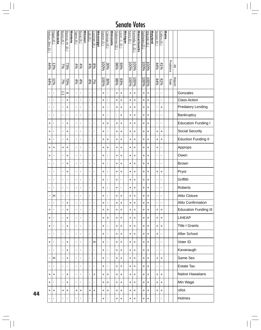| Nelson, Ben (D) | Hagel (R)      | <u>Nebraska</u> | Burns (R)      | Baucus, M.<br>Ĝ) | <b>Montana</b> | <b>Talent (R)</b> | Bond (R)       | <b>Missouri</b> | $-$ ott (R)    | Cochran (R)    | <u>Mississippi</u> | Dayton (D) | Coleman <sub>(R)</sub> | Minnesota | Stabenow (D | evin, C.<br>$\widehat{\mathbf{d}}$ | Michigan | Kerry (D) | Kennedy, E.<br>$\widehat{\Theta}$ | Massachusetts | Sarbanes $(D)$ | Mikulski (D)        | Maryland | Snowe (R)      | Collins (R          | <b>Maine</b> |           |               |                              |
|-----------------|----------------|-----------------|----------------|------------------|----------------|-------------------|----------------|-----------------|----------------|----------------|--------------------|------------|------------------------|-----------|-------------|------------------------------------|----------|-----------|-----------------------------------|---------------|----------------|---------------------|----------|----------------|---------------------|--------------|-----------|---------------|------------------------------|
| 44%             | 12%            |                 | $2\%$          | 73%              |                | 4%                | 4%             |                 | 4%             | 8%             |                    | 100%       | 30%                    |           | 93%<br>96%  |                                    |          | 100%      | $\frac{1000}{6}$                  |               | 9600L          | $\frac{100\%}{200}$ |          |                | $\frac{41\%}{44\%}$ |              | Positions | $\geq$        |                              |
| 44%             | 11%            |                 | $\frac{2}{3}$  | 70%              |                | 4%                | 4%             |                 | 4%             | $\frac{3}{2}$  |                    | 100%       | 30%                    |           | %96         | 93%                                |          | 100%      | $\frac{100\%}{200}$               |               | 100%           | $\frac{100\%}{200}$ |          | 44%            | $\frac{41\%}{2}$    |              | Total     | <b>Report</b> |                              |
| $\blacksquare$  | Ţ              |                 | C              | ×                |                | $\blacksquare$    | $\blacksquare$ |                 | $\blacksquare$ | $\blacksquare$ |                    | +          | $\blacksquare$         |           | +           | +                                  |          | +         | +                                 |               | $\ddot{}$      | $\ddot{}$           |          | $\mathbf{I}$   | ٠                   |              |           |               | Gonzales                     |
| $\blacksquare$  | $\blacksquare$ |                 | ı              | $\ddot{}$        |                | $\blacksquare$    | $\blacksquare$ |                 | T,             | 1              |                    | +          | $\blacksquare$         |           | +           | +                                  |          | +         | +                                 |               | +              | $\ddot{}$           |          | $\blacksquare$ | ٠                   |              |           |               | <b>Class Action</b>          |
| $\blacksquare$  | J,             |                 | $\blacksquare$ | $\ddot{}$        |                | T,                | $\blacksquare$ |                 | ٠              | $\blacksquare$ |                    | +          | 1                      |           | +           | +                                  |          | +         | +                                 |               | +              | +                   |          | $\mathbf{r}$   | +                   |              |           |               | Predatory Lending            |
| ,               | J,             |                 | ,              | $\blacksquare$   |                | T,                | $\blacksquare$ |                 | J.             | $\blacksquare$ |                    | +          | $\blacksquare$         |           | ٠           | +                                  |          | $\ddot{}$ | +                                 |               | +              | $\ddot{}$           |          | $\blacksquare$ | ٠                   |              |           |               | Bankruptcy                   |
| $\ddot{}$       | J,             |                 | $\blacksquare$ | +                |                | T,                | $\blacksquare$ |                 | ٠              | $\blacksquare$ |                    | +          | +                      |           | +           | +                                  |          | +         | +                                 |               | +              | $\ddot{}$           |          | $\blacksquare$ | ٠                   |              |           |               | <b>Education Funding I</b>   |
| $\ddot{}$       | ı              |                 | ,              | $\ddot{}$        |                | $\blacksquare$    | $\blacksquare$ |                 | ٠              | $\blacksquare$ |                    | +          | $\blacksquare$         |           | +           | +                                  |          | ÷         | +                                 |               | +              | $\ddot{}$           |          | +              | +                   |              |           |               | Social Security              |
| $\ddot{}$       | ı              |                 | ,              | +                |                | T,                | $\blacksquare$ |                 | ٠              | $\blacksquare$ |                    | +          | +                      |           | +           | +                                  |          | +         | +                                 |               | +              | $\ddot{}$           |          | +              | +                   |              |           |               | <b>Eduction Funding II</b>   |
| $\ddot{}$       | +              |                 | +              | +                |                | $\blacksquare$    | $\blacksquare$ |                 | J.             | $\blacksquare$ |                    | +          | +                      |           | +           | +                                  |          | +         | +                                 |               | +              | +                   |          | +              | $\blacksquare$      |              |           |               | Approps                      |
| $\ddot{}$       | $\blacksquare$ |                 | $\blacksquare$ | +                |                | T,                | $\blacksquare$ |                 | $\blacksquare$ | $\blacksquare$ |                    | +          | $\blacksquare$         |           | +           | +                                  |          | +         | +                                 |               | +              | $\ddot{}$           |          | $\blacksquare$ | ٠                   |              |           |               | Owen                         |
| $\blacksquare$  | $\blacksquare$ |                 | $\blacksquare$ | +                |                | $\blacksquare$    | $\blacksquare$ |                 | ٠              | $\blacksquare$ |                    | +          | $\blacksquare$         |           | +           | +                                  |          | +         | +                                 |               | +              | +                   |          | $\blacksquare$ | ٠                   |              |           |               | <b>Brown</b>                 |
| $\blacksquare$  | $\blacksquare$ |                 | $\blacksquare$ | +                |                | T,                | $\blacksquare$ |                 | $\blacksquare$ | $\blacksquare$ |                    | +          | $\blacksquare$         |           | +           | +                                  |          | +         | +                                 |               | +              | +                   |          | +              | +                   |              |           |               | Pryor                        |
| $\blacksquare$  | $\blacksquare$ |                 | $\blacksquare$ | $\blacksquare$   |                | $\mathbf{I}$      | $\blacksquare$ |                 | T,             | $\blacksquare$ |                    | +          | $\blacksquare$         |           | +           | f,                                 |          | +         | +                                 |               | +              | +                   |          | $\mathbf{I}$   | $\blacksquare$      |              |           |               | Griffith                     |
| $\blacksquare$  | $\blacksquare$ |                 | $\blacksquare$ | $\blacksquare$   |                | $\blacksquare$    | $\blacksquare$ |                 | ٠              | $\blacksquare$ |                    | +          | ٠                      |           | +           | f,                                 |          | +         | +                                 |               | +              | +                   |          | $\blacksquare$ | ٠                   |              |           |               | Roberts                      |
| $\blacksquare$  | $\times$       |                 | $\blacksquare$ | $\blacksquare$   |                | $\mathbf{r}$      | $\blacksquare$ |                 | $\blacksquare$ | $\blacksquare$ |                    | +          |                        |           | +           | +                                  |          | +         | +                                 |               | +              | +                   |          | $\mathbf{I}$   | $\blacksquare$      |              |           |               | Alito Cloture                |
| $\blacksquare$  | $\blacksquare$ |                 | $\blacksquare$ | $\ddot{}$        |                | $\blacksquare$    | $\blacksquare$ |                 | f,             | ı              |                    | $\ddot{}$  | ,                      |           | $\ddot{}$   | $\ddot{}$                          |          | $\ddot{}$ | $\ddot{}$                         |               | $\ddot{}$      | $\ddot{}$           |          | $\blacksquare$ | $\blacksquare$      |              |           |               | <b>Alito Confirmation</b>    |
| $\ddot{}$       | $\blacksquare$ |                 | $\mathbf{r}$   | $\ddot{}$        |                | $\mathbf{r}$      | $\blacksquare$ |                 | $\mathbf{r}$   | $\blacksquare$ |                    | $\ddot{}$  | $\ddot{}$              |           | $\ddot{}$   | Ŧ                                  |          | $\ddot{}$ | $\ddot{}$                         |               | $\ddot{}$      | $\ddot{}$           |          | $\ddot{}$      | $\ddot{}$           |              |           |               | <b>Education Funding III</b> |
| $\ddot{}$       | $\blacksquare$ |                 | $\blacksquare$ | $\ddot{}$        |                | Ť.                | $\blacksquare$ |                 | ×,             | $\blacksquare$ |                    | +          | +                      |           | +           | +                                  |          | $\ddot{}$ | +                                 |               | +              | $\ddot{}$           |          | +              | $\ddot{}$           |              |           |               | <b>LIHEAP</b>                |
| $\ddot{}$       | $\blacksquare$ |                 | $\mathbf{I}$   | $\ddot{}$        |                | $\mathbf{r}$      | $\blacksquare$ |                 | $\mathbf{I}$   | $\blacksquare$ |                    | $\ddot{}$  | $\blacksquare$         |           | $\ddot{}$   | +                                  |          | $\ddot{}$ | +                                 |               | $\ddot{}$      | $\ddot{}$           |          | $\ddot{}$      | $\ddot{}$           |              |           |               | <b>Title I Grants</b>        |
| $\blacksquare$  | $\blacksquare$ |                 | $\blacksquare$ | $\blacksquare$   |                | f,                | $\blacksquare$ |                 | $\mathbf{r}$   | $\blacksquare$ |                    | +          | $\blacksquare$         |           | +           | +                                  |          | $\ddot{}$ | +                                 |               | +              | $\ddot{}$           |          | +              | ×,                  |              |           |               | After School                 |
| +               | $\blacksquare$ |                 | $\blacksquare$ | $\ddot{}$        |                | $\mathbf{r}$      | $\blacksquare$ |                 | $\mathbf{r}$   | $\times$       |                    | $\ddot{}$  | $\blacksquare$         |           | +           | $\ddot{}$                          |          | $\ddot{}$ | +                                 |               | $\ddot{}$      | $\ddot{}$           |          | $\mathbf{I}$   | ٠                   |              |           |               | Voter ID                     |
| ı.              | $\blacksquare$ |                 | $\blacksquare$ | +                |                | T,                | $\blacksquare$ |                 | $\mathbf{r}$   | ,              |                    | +          | $\blacksquare$         |           | +           | +                                  |          | +         | +                                 |               | +              | $\ddot{}$           |          | $\mathbf{I}$   | $\blacksquare$      |              |           |               | Kavanaugh                    |
| $\mathbf I$     | ⋉              |                 | $\blacksquare$ | $\ddot{}$        |                | $\mathbf{r}$      | $\blacksquare$ |                 | $\mathbf{I}$   | ,              |                    | +          | $\blacksquare$         |           | +           | +                                  |          | +         | +                                 |               | +              | $\ddot{}$           |          | $\ddot{}$      | $\ddot{}$           |              |           |               | Same Sex                     |
| $\blacksquare$  | $\mathbf{I}$   |                 | $\blacksquare$ | $\blacksquare$   |                | $\mathbf{r}$      | $\blacksquare$ |                 | T,             | $\blacksquare$ |                    | +          | $\blacksquare$         |           | +           | +                                  |          | +         | +                                 |               | +              | $\ddot{}$           |          | $\mathbf{I}$   | ×,                  |              |           |               | <b>Estate Tax</b>            |
| +               | $\ddot{}$      |                 | $\blacksquare$ | $\ddot{}$        |                | $\mathbf{r}$      | $\blacksquare$ |                 | $\mathbf{I}$   | +              |                    | +          | $\ddot{}$              |           | $\ddot{}$   | +                                  |          | $\ddot{}$ | +                                 |               | $\ddot{}$      | $\ddot{}$           |          | $\ddot{}$      | $\ddot{}$           |              |           |               | Native Hawaiians             |
| $\ddot{}$       | $\blacksquare$ |                 | $\blacksquare$ | $\ddot{}$        |                | $\mathbf{r}$      | $\blacksquare$ |                 | ×,             | $\blacksquare$ |                    | +          | +                      |           | +           | +                                  |          | $\ddot{}$ | +                                 |               | $\ddot{}$      | $\ddot{}$           |          | +              | $\ddot{}$           |              |           |               | Min Wage                     |
| $\ddot{}$       | +              |                 | $\ddot{}$      | $\ddot{}$        |                | $\ddot{}$         | $\ddot{}$      |                 | $\ddot{}$      | +              |                    | +          | +                      |           | +           | +                                  |          | $\ddot{}$ | +                                 |               | $\ddot{}$      | $\ddot{}$           |          | $\ddot{}$      | $\ddot{}$           |              |           |               | <b>VRA</b>                   |
| $\mathbf I$     | $\blacksquare$ |                 | ,              | ,                |                | ٠                 | $\blacksquare$ |                 | f,             | ı              |                    | $\ddot{}$  | J.                     |           | $\ddot{}$   | +                                  |          | +         | +                                 |               | $\ddot{}$      | +                   |          | $\mathbf{I}$   | ٠                   |              |           |               | Holmes                       |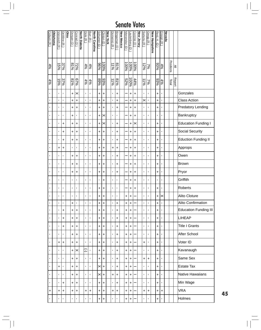| Coburn (R)     | <b>Oklahoma</b> | Voinovich (R)  | DeWine (R)     | Ohio | Dorgan (D)     | Conrad (D)     | <b>North Dakota</b> | Dole (R)       | Burr (R )       | <b>North Carolina</b> | Schumer (D)  | Clinton <sub>(D)</sub> | <b>New York</b> | Domenici (R)   | Bingaman (D    | <b>New Mexico</b> | Menendez (D | autenberg (D)       | Corzine (D)  | New Jersey | Sununu (R)       | Gregg (R)      | New Hampshire | Reid, H. (D)   | Ensign (R      | <b>Nevada</b> |           |               |                              |
|----------------|-----------------|----------------|----------------|------|----------------|----------------|---------------------|----------------|-----------------|-----------------------|--------------|------------------------|-----------------|----------------|----------------|-------------------|-------------|---------------------|--------------|------------|------------------|----------------|---------------|----------------|----------------|---------------|-----------|---------------|------------------------------|
| 4%             |                 | 15%            | 37%            |      | 22%<br>81%     |                |                     |                | $\frac{4%}{4%}$ |                       | %96          | 100%                   |                 | $\frac{1}{20}$ | $81\%$         |                   | <b>100%</b> | $\frac{100\%}{200}$ | $-6001$      |            | $\frac{25}{128}$ |                |               | 93%            | $rac{4}{6}$    |               | Positions | $\geq$        |                              |
| 4%             |                 | $5\%$          | 37%            |      | 81%            | $67\%$         |                     | 4%             | 4%              |                       | 93%<br> 198  |                        |                 | $41\%$         | %18            |                   | 52%         | $\frac{100\%}{\%}$  | 44%          |            | $41\%$           | 7%             |               | 93%            | 4%             |               | Total     | <b>Report</b> |                              |
| $\blacksquare$ |                 | ,              | ı              |      | +              | ×              |                     | $\mathbf{I}$   | ı               |                       | Ŧ            | +                      |                 | $\mathbf{I}$   | <sup>+</sup>   |                   |             | $\ddot{}$           | $\ddot{}$    |            | $\mathbf{I}$     | $\blacksquare$ |               | $\ddot{}$      | $\blacksquare$ |               |           |               | Gonzales                     |
| $\blacksquare$ |                 | $\blacksquare$ | $\blacksquare$ |      | +              | +              |                     | $\blacksquare$ | $\blacksquare$  |                       | $\ddot{}$    | +                      |                 | $\blacksquare$ | $\ddot{}$      |                   |             | $\ddot{}$           | +            |            | $\times$         | $\blacksquare$ |               | $\ddot{}$      | $\blacksquare$ |               |           |               | <b>Class Action</b>          |
| $\blacksquare$ |                 | ı              | ı              |      | +              | $\ddot{}$      |                     | ٠              | $\blacksquare$  |                       | +            | +                      |                 | T,             | +              |                   |             | +                   | +            |            | ٠                | $\blacksquare$ |               | $\ddot{}$      | $\blacksquare$ |               |           |               | <b>Predatory Lending</b>     |
| $\blacksquare$ |                 | ı              | ı              |      | +              | $\blacksquare$ |                     | ×              | ı               |                       | $\ddot{}$    | ×                      |                 | $\blacksquare$ | $\blacksquare$ |                   |             | +                   | +            |            | $\blacksquare$   | $\blacksquare$ |               | ٠              | $\blacksquare$ |               |           |               | Bankruptcy                   |
| $\blacksquare$ |                 | ,              | +              |      | +              | +              |                     | $\blacksquare$ | $\blacksquare$  |                       | +            | ×                      |                 | $\blacksquare$ | +              |                   |             | +                   | ×            |            | T,               | $\blacksquare$ |               | $\ddot{}$      | $\blacksquare$ |               |           |               | <b>Education Funding I</b>   |
| $\blacksquare$ |                 | $\blacksquare$ | $\ddot{}$      |      | +              | $\ddot{}$      |                     | $\blacksquare$ | $\blacksquare$  |                       | $\ddot{}$    | +                      |                 | $\blacksquare$ | $\ddot{}$      |                   |             | +                   | $\ddot{}$    |            | ٠                | $\blacksquare$ |               | +              | $\blacksquare$ |               |           |               | Social Security              |
| $\blacksquare$ |                 | $\blacksquare$ | +              |      | +              | +              |                     | J.             | ,               |                       | +            | +                      |                 | T,             | +              |                   |             | +                   | $\ddot{}$    |            | $\blacksquare$   | ,              |               | +              | $\blacksquare$ |               |           |               | <b>Eduction Funding II</b>   |
| $\blacksquare$ |                 | +              | $\ddot{}$      |      | $\blacksquare$ | $\blacksquare$ |                     | ×              | $\blacksquare$  |                       | $\ddot{}$    | +                      |                 | $\ddot{}$      | $\ddot{}$      |                   |             | +                   | <sup>+</sup> |            | ×,               | $\blacksquare$ |               | $\ddot{}$      | ı              |               |           |               | Approps                      |
| $\blacksquare$ |                 | $\blacksquare$ | $\blacksquare$ |      | +              | +              |                     | $\mathbf{I}$   | ı               |                       | +            | +                      |                 | $\blacksquare$ | +              |                   |             | +                   | +            |            | ٠                | $\blacksquare$ |               | +              | $\blacksquare$ |               |           |               | Owen                         |
| $\blacksquare$ |                 | $\blacksquare$ | $\blacksquare$ |      | +              | +              |                     | $\mathbf{I}$   | $\blacksquare$  |                       | +            | +                      |                 | $\mathbf{I}$   | +              |                   |             | +                   | +            |            | $\mathbf{I}$     | $\blacksquare$ |               | +              | $\blacksquare$ |               |           |               | <b>Brown</b>                 |
| $\blacksquare$ |                 | $\blacksquare$ | $\blacksquare$ |      | +              | +              |                     | $\mathbf{I}$   | ı               |                       | +            | +                      |                 | $\blacksquare$ | +              |                   |             | +                   | +            |            | ٠                | $\blacksquare$ |               | +              | $\blacksquare$ |               |           |               | Pryor                        |
| $\blacksquare$ |                 | ,              | $\blacksquare$ |      | $\blacksquare$ | $\blacksquare$ |                     | $\mathbf{I}$   | $\blacksquare$  |                       | $\mathbf{I}$ | +                      |                 | $\mathbf{I}$   | $\blacksquare$ |                   |             | +                   | +            |            | $\blacksquare$   | $\blacksquare$ |               | $\blacksquare$ | $\blacksquare$ |               |           |               | Griffith                     |
| $\blacksquare$ |                 | $\blacksquare$ | $\blacksquare$ |      | T,             | $\blacksquare$ |                     | $\blacksquare$ | $\blacksquare$  |                       | +            | +                      |                 | $\blacksquare$ | $\blacksquare$ |                   |             | +                   | +            |            | T,               | ı              |               | +              | $\blacksquare$ |               |           |               | Roberts                      |
| $\blacksquare$ |                 | $\blacksquare$ | $\blacksquare$ |      | $\blacksquare$ | $\blacksquare$ |                     | $\blacksquare$ | $\blacksquare$  |                       | +            | +                      |                 | $\mathbf{I}$   | $\blacksquare$ |                   | +           | +                   |              |            | $\blacksquare$   | $\blacksquare$ |               | +              | ×              |               |           |               | Alito Cloture                |
| $\blacksquare$ |                 | ı              | $\blacksquare$ |      | $\ddot{}$      | $\blacksquare$ |                     | $\blacksquare$ | ı               |                       | $\ddot{}$    | $\ddot{}$              |                 | ×,             | $\ddot{}$      |                   | +           | $\ddot{}$           |              |            | f,               | $\blacksquare$ |               | $\ddot{}$      | $\blacksquare$ |               |           |               | <b>Alito Confirmation</b>    |
| ٠              |                 | $\blacksquare$ | $\ddot{}$      |      | $\ddot{}$      | $\ddot{}$      |                     | $\mathbf{r}$   | $\blacksquare$  |                       | $\ddot{}$    | $\ddot{}$              |                 | $\mathbf{r}$   | $\ddot{}$      |                   | $\ddot{}$   | $\ddot{}$           |              |            | $\mathbf{r}$     | $\blacksquare$ |               | $\ddot{}$      | $\blacksquare$ |               |           |               | <b>Education Funding III</b> |
| ٠              |                 | $\blacksquare$ | $\ddot{}$      |      | $\ddot{}$      | $\ddot{}$      |                     | $\blacksquare$ | $\blacksquare$  |                       | +            | $\ddot{}$              |                 | f,             | $\ddot{}$      |                   | $\ddot{}$   | $\ddot{}$           |              |            | ×,               | $\blacksquare$ |               | $\ddot{}$      | $\blacksquare$ |               |           |               | <b>LIHEAP</b>                |
| T,             |                 | ,              | $\ddot{}$      |      | +              | $\ddot{}$      |                     | $\mathbf{I}$   | $\blacksquare$  |                       | $\ddot{}$    | +                      |                 | $\mathbf{r}$   | $\ddot{}$      |                   | $\ddot{}$   | $\ddot{}$           |              |            | T,               | $\blacksquare$ |               | $\ddot{}$      | $\blacksquare$ |               |           |               | <b>Title I Grants</b>        |
| ٠              |                 | ï              | f,             |      | $\ddot{}$      | +              |                     | $\blacksquare$ | $\blacksquare$  |                       | +            | $\ddot{}$              |                 | $\mathbf{r}$   | $\ddot{}$      |                   | $\ddot{}$   | $\ddot{}$           |              |            | $\mathbf{r}$     | $\blacksquare$ |               | $\ddot{}$      | $\blacksquare$ |               |           |               | After School                 |
| $\blacksquare$ |                 | +              | $\ddot{}$      |      | +              | $\ddot{}$      |                     | $\mathbf{I}$   | $\blacksquare$  |                       | $\ddot{}$    | $\ddot{}$              |                 | $\mathbf{r}$   | $\ddot{}$      |                   | $\ddot{}$   | $\ddot{}$           |              |            | $\ddot{}$        | $\blacksquare$ |               | $\ddot{}$      | $\blacksquare$ |               |           |               | Voter ID                     |
| $\blacksquare$ |                 | ï              | f,             |      | $\ddot{}$      | ×              |                     | J              | $\blacksquare$  |                       | $\ddot{}$    | $\ddot{}$              |                 | ×,             | $\ddot{}$      |                   | $\ddot{}$   | +                   |              |            | $\blacksquare$   | $\blacksquare$ |               | $\ddot{}$      | $\blacksquare$ |               |           |               | Kavanaugh                    |
| ٠              |                 | ,              | ı              |      | +              | $\ddot{}$      |                     | $\blacksquare$ | ,               |                       | $\ddot{}$    | +                      |                 | $\mathbf{I}$   | $\ddot{}$      |                   | $\ddot{}$   | +                   |              |            | $\ddot{}$        | $\ddot{}$      |               | Ŧ              | $\blacksquare$ |               |           |               | Same Sex                     |
| ı.             |                 | +              | f,             |      | +              | $\ddot{}$      |                     | $\mathbf{I}$   | $\blacksquare$  |                       | $\times$     | $\ddot{}$              |                 | $\mathbf{r}$   | $\ddot{}$      |                   | $\ddot{}$   | +                   |              |            | $\mathbf{r}$     | $\blacksquare$ |               | +              | $\blacksquare$ |               |           |               | <b>Estate Tax</b>            |
| ٠              |                 | $\blacksquare$ | $\blacksquare$ |      | +              | $\ddot{}$      |                     | $\mathbf{r}$   | $\blacksquare$  |                       | $\times$ l+  |                        |                 | $\ddot{}$      | +              |                   | $\ddot{}$   | $\ddot{}$           |              |            | $\mathbf{r}$     | $\blacksquare$ |               | Ŧ              | $\blacksquare$ |               |           |               | <b>Native Hawaiians</b>      |
| $\blacksquare$ |                 | $\blacksquare$ | +              |      | +              | $\ddot{}$      |                     | $\blacksquare$ | $\blacksquare$  |                       | +            | +                      |                 | $\mathbf{r}$   | $\ddot{}$      |                   | $\ddot{}$   | +                   |              |            | $\mathbf{r}$     | $\blacksquare$ |               | +              | $\blacksquare$ |               |           |               | Min Wage                     |
| +              |                 | $\ddot{}$      | $\ddot{}$      |      | +              | $\ddot{}$      |                     | $\ddot{}$      | +               |                       | +            | +                      |                 | $\ddot{}$      | +              |                   | $\ddot{}$   | +                   |              |            | $\ddot{}$        | $\ddot{}$      |               | +              | $\ddot{}$      |               |           |               | <b>VRA</b>                   |
| ×              |                 | I.             | ٠              |      | ı              | $\blacksquare$ |                     | ٠              | ,               |                       | $\ddot{}$    | +                      |                 | ×,             | $\blacksquare$ |                   | +           | $\ddot{}$           |              |            | ٠                | ,              |               | $\ddot{}$      | ,              |               |           |               | Holmes                       |

**45**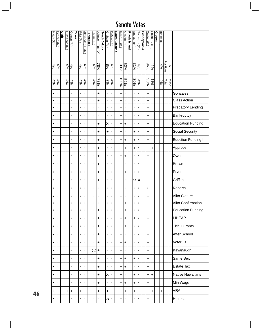| Hatch (R)      | Bennett (R)       | <u>Utah</u> | Hutchison (R)  | Cornyn (R)     | <b>Texas</b> | Frist $(R)$       | Alexander,<br>г<br>$\widehat{\mathcal{F}}$ | <b>Tennessee</b> | Thune (R)    | Johnson, Tim (D    | <b>South Dakota</b> | Graham (R)        | DeMint (R)     | <b>South Carolina</b> | Reed, J. (D)  | Chafee (R)           | <b>Rhode Island</b> | Specter (R)        | Santorum (R)          | Pennsylvania | Wyden (D)    | Smith, G.<br>$\widehat{\pi}$ | Oregon | <u>Inhofe (R)</u> |           |               |                              |
|----------------|-------------------|-------------|----------------|----------------|--------------|-------------------|--------------------------------------------|------------------|--------------|--------------------|---------------------|-------------------|----------------|-----------------------|---------------|----------------------|---------------------|--------------------|-----------------------|--------------|--------------|------------------------------|--------|-------------------|-----------|---------------|------------------------------|
|                | $\frac{4\%}{4\%}$ |             | 4%             | $rac{4}{6}$    |              | $\frac{4\%}{4\%}$ |                                            |                  |              | $\frac{78\%}{4\%}$ |                     | $\frac{4\%}{8\%}$ |                |                       |               | $\frac{52\%}{100\%}$ |                     | $\frac{4\%}{31\%}$ |                       |              | %96          | $\frac{1}{2}$                |        | 4%                | Positions | $\geq$        |                              |
| 4%             | 496               |             | 4%             | 4%             |              | 4%                | 4%                                         |                  | 4%           | 78%                |                     | $\frac{1}{2}$     | 4%             |                       | $\frac{1}{2}$ | 52%                  |                     | 30%                | 4%                    |              | %96          | 1196                         |        | 4%                | Total     | <b>Report</b> |                              |
| $\blacksquare$ | $\blacksquare$    |             | $\mathbf{I}$   | $\blacksquare$ |              | $\mathbf{r}$      | $\blacksquare$                             |                  | $\mathbf{r}$ | $\ddot{}$          |                     | $\mathbf{r}$      | $\blacksquare$ |                       | $\ddot{}$     | $\blacksquare$       |                     | $\mathbf{r}$       | $\mathbf{I}$          |              | +            | $\blacksquare$               |        | $\mathbf{I}$      |           |               | Gonzales                     |
| $\blacksquare$ | $\blacksquare$    |             | $\mathbf i$    | $\blacksquare$ |              | î,                | $\blacksquare$                             |                  | $\mathbf{r}$ | $\ddot{}$          |                     | ï                 | $\mathbf{I}$   |                       | $\ddot{}$     | $\blacksquare$       |                     | $\mathbf{r}$       | $\mathbf{r}$          |              | $\ddot{}$    | $\mathbf{I}$                 |        | $\blacksquare$    |           |               | <b>Class Action</b>          |
| $\blacksquare$ | ı                 |             | $\blacksquare$ | ï              |              | $\mathbf{r}$      | $\blacksquare$                             |                  | $\mathbf{I}$ | $\mathbf{I}$       |                     | $\blacksquare$    | ı              |                       | $\ddot{}$     | $\blacksquare$       |                     | $\mathbf{r}$       | $\mathbf{I}$          |              | <sup>+</sup> | $\blacksquare$               |        | $\mathbf{I}$      |           |               | <b>Predatory Lending</b>     |
| $\blacksquare$ | ı                 |             | $\blacksquare$ | $\blacksquare$ |              | ×,                | $\blacksquare$                             |                  | $\mathbf{r}$ | ï                  |                     | $\blacksquare$    | $\blacksquare$ |                       | +             | $\blacksquare$       |                     | $\mathbf{r}$       | $\blacksquare$        |              | +            | $\blacksquare$               |        | $\blacksquare$    |           |               | Bankruptcy                   |
| $\blacksquare$ | $\blacksquare$    |             | $\blacksquare$ | $\blacksquare$ |              | T,                | $\blacksquare$                             |                  | Ť.           | $\ddot{}$          |                     | ×                 | ,              |                       | $\ddot{}$     | +                    |                     | $\mathbf{I}$       | $\blacksquare$        |              | +            | $\blacksquare$               |        | $\blacksquare$    |           |               | <b>Education Funding I</b>   |
| $\blacksquare$ | ı                 |             | $\blacksquare$ | ï              |              | ×,                | $\blacksquare$                             |                  | T,           | $\ddot{}$          |                     | $\ddot{}$         | $\blacksquare$ |                       | +             | $\blacksquare$       |                     | $\pmb{+}$          | $\blacksquare$        |              | +            | $\blacksquare$               |        | $\blacksquare$    |           |               | <b>Social Security</b>       |
| $\blacksquare$ | ï                 |             | $\blacksquare$ | $\blacksquare$ |              | $\mathbf{r}$      | $\blacksquare$                             |                  | T,           | $\ddot{}$          |                     | $\blacksquare$    | $\blacksquare$ |                       | +             | +                    |                     | $\ddot{}$          | $\mathbf{r}$          |              | <sup>+</sup> | f,                           |        | $\blacksquare$    |           |               | <b>Eduction Funding II</b>   |
| $\blacksquare$ | ï                 |             | $\blacksquare$ | $\blacksquare$ |              | $\blacksquare$    | $\blacksquare$                             |                  | T,           | $\ddot{}$          |                     | f,                | $\blacksquare$ |                       | +             | +                    |                     | +                  | $\blacksquare$        |              | +            | +                            |        | $\mathbf{r}$      |           |               | Approps                      |
|                | $\blacksquare$    |             | $\blacksquare$ | $\blacksquare$ |              | $\mathbf{r}$      | $\blacksquare$                             |                  | T,           | $\ddot{}$          |                     | $\blacksquare$    | $\blacksquare$ |                       | +             | +                    |                     | $\mathbf{I}$       | $\mathbf{I}$          |              | +            | f,                           |        | $\blacksquare$    |           |               | Owen                         |
| $\blacksquare$ | $\blacksquare$    |             | $\blacksquare$ | $\blacksquare$ |              | $\mathbf{r}$      | $\blacksquare$                             |                  | T,           | $\ddot{}$          |                     | $\blacksquare$    | $\blacksquare$ |                       | +             | $\blacksquare$       |                     | $\mathbf{I}$       | $\blacksquare$        |              | +            | ï                            |        | $\mathbf{r}$      |           |               | Brown                        |
|                | $\blacksquare$    |             | $\blacksquare$ | $\blacksquare$ |              | $\mathbf{r}$      | $\blacksquare$                             |                  | $\mathbf{I}$ | $\ddot{}$          |                     | ٠                 | $\blacksquare$ |                       | +             | +                    |                     | $\mathbf{I}$       | $\blacksquare$        |              | +            | $\blacksquare$               |        | $\mathbf{I}$      |           |               | Pryor                        |
| $\blacksquare$ | $\blacksquare$    |             | $\blacksquare$ | ï              |              | $\blacksquare$    | $\blacksquare$                             |                  | T,           | +                  |                     | $\blacksquare$    | $\blacksquare$ |                       | +             | $\blacksquare$       |                     | $\times$           | $\boldsymbol{\times}$ |              | ÷            | $\blacksquare$               |        | $\mathbf{I}$      |           |               | Griffith                     |
| ٠              | $\blacksquare$    |             | J.             | ٠              |              | ٠                 | $\blacksquare$                             |                  | T,           | $\blacksquare$     |                     | ٠                 | I.             |                       | +             | ı                    |                     | $\blacksquare$     | $\blacksquare$        |              | J.           | J.                           |        | $\blacksquare$    |           |               | <b>Roberts</b>               |
| $\blacksquare$ | $\blacksquare$    |             | ı              | ٠              |              | ٠                 | $\blacksquare$                             |                  | T,           | $\blacksquare$     |                     | ×,                | ,              |                       | +             | $\blacksquare$       |                     | $\blacksquare$     | $\blacksquare$        |              | +            | ٠                            |        | $\blacksquare$    |           |               | <b>Alito Cloture</b>         |
| $\blacksquare$ | $\blacksquare$    |             | $\blacksquare$ | $\blacksquare$ |              | ×,                | $\blacksquare$                             |                  | Ť.           | $\blacksquare$     |                     | ï                 | $\blacksquare$ |                       | $\ddot{}$     | $\ddot{}$            |                     | $\mathbf{r}$       | $\blacksquare$        |              | +            | $\blacksquare$               |        | $\blacksquare$    |           |               | <b>Alito Confirmation</b>    |
| $\blacksquare$ | $\blacksquare$    |             | $\blacksquare$ | $\blacksquare$ |              | Ť.                | $\blacksquare$                             |                  | ĭ.           | $\ddot{}$          |                     | $\mathbf{r}$      | $\blacksquare$ |                       | $\ddot{}$     | $\ddot{}$            |                     | $\mathbf{r}$       | $\blacksquare$        |              | $\ddot{}$    | $\blacksquare$               |        | $\mathbf{I}$      |           |               | <b>Education Funding III</b> |
| $\blacksquare$ | $\blacksquare$    |             | $\blacksquare$ | $\blacksquare$ |              | T,                | $\blacksquare$                             |                  | Ť.           | $\ddot{}$          |                     | $\blacksquare$    | $\blacksquare$ |                       | +             | +                    |                     | $\ddot{}$          | $\mathbf{I}$          |              | $\ddot{}$    | ٠                            |        | $\mathbf{I}$      |           |               | <b>LIHEAP</b>                |
| $\blacksquare$ | $\blacksquare$    |             | $\blacksquare$ | ï              |              | f,                | $\blacksquare$                             |                  | Ť.           | $\ddot{}$          |                     | $\blacksquare$    | $\blacksquare$ |                       | Ŧ             | $\ddot{}$            |                     | $\mathbf{r}$       | $\blacksquare$        |              | +            | $\blacksquare$               |        | $\mathbf{I}$      |           |               | <b>Title I Grants</b>        |
| $\blacksquare$ | $\blacksquare$    |             | $\blacksquare$ | $\blacksquare$ |              | f,                | $\blacksquare$                             |                  | Ť.           | $\ddot{}$          |                     | $\blacksquare$    | $\blacksquare$ |                       | +             | $\blacksquare$       |                     | $\mathbf{r}$       | $\blacksquare$        |              | $\ddot{}$    | ٠                            |        | $\mathbf{I}$      |           |               | After School                 |
| $\blacksquare$ | $\blacksquare$    |             | $\blacksquare$ | $\blacksquare$ |              | r.                | $\blacksquare$                             |                  | $\mathbf{r}$ | $\ddot{}$          |                     | $\blacksquare$    | $\blacksquare$ |                       | $\ddot{}$     | ÷.                   |                     | $\mathbf{r}$       | $\blacksquare$        |              | $\ddot{}$    | $\blacksquare$               |        | $\mathbf{r}$      |           |               | Voter ID                     |
| $\blacksquare$ | $\mathbf{I}$      |             | $\blacksquare$ | $\blacksquare$ |              | f,                | $\blacksquare$                             |                  | Ξ            | $\ddot{}$          |                     | $\blacksquare$    | $\blacksquare$ |                       | +             | $\blacksquare$       |                     | $\mathbf{r}$       | $\mathbf{I}$          |              | +            | $\blacksquare$               |        | $\blacksquare$    |           |               | Kavanaugh                    |
| $\blacksquare$ | $\blacksquare$    |             | $\blacksquare$ | $\blacksquare$ |              | r.                | $\blacksquare$                             |                  | $\mathbf{r}$ | $\ddot{}$          |                     | $\mathbf{I}$      | $\blacksquare$ |                       | $\ddot{}$     | +                    |                     | +                  | $\blacksquare$        |              | +            | $\blacksquare$               |        | $\mathbf{I}$      |           |               | Same Sex                     |
| $\blacksquare$ | $\blacksquare$    |             | $\mathbf{I}$   | $\blacksquare$ |              | $\mathbf{r}$      | $\blacksquare$                             |                  | r.           | $\ddot{}$          |                     | $\mathbf{r}$      | $\blacksquare$ |                       | +             | +                    |                     | $\mathbf{r}$       | $\mathbf{I}$          |              | +            | $\blacksquare$               |        | $\mathbf{I}$      |           |               | <b>Estate Tax</b>            |
| $\blacksquare$ | $\blacksquare$    |             | $\blacksquare$ | ï              |              | r.                | $\blacksquare$                             |                  | $\mathbf{r}$ | $\ddot{}$          |                     | $\times$          | $\blacksquare$ |                       | Ŧ             | $\blacksquare$       |                     | $\ddot{}$          | $\mathbf{I}$          |              | $\ddot{}$    | $\ddot{}$                    |        | $\mathbf{I}$      |           |               | Native Hawaiians             |
|                | ı                 |             | $\blacksquare$ | $\blacksquare$ |              | f,                | $\blacksquare$                             |                  | Ť.           | $\ddot{}$          |                     | $\blacksquare$    | $\blacksquare$ |                       | +             | +                    |                     | $\ddot{}$          | $\mathbf{r}$          |              | $\ddot{}$    | $\blacksquare$               |        | $\mathbf{r}$      |           |               | Min Wage                     |
| +              | $\ddot{}$         |             | $\ddot{}$      | $\ddot{}$      |              | $\ddot{}$         | $\ddot{}$                                  |                  | $\ddot{}$    | $+$                |                     | $\ddot{}$         | $\ddot{}$      |                       | $\ddot{}$     | $\ddot{}$            |                     | $\ddot{}$          | $\ddot{}$             |              | $\ddot{}$    | $\ddot{}$                    |        | $\ddot{}$         |           |               | <b>VRA</b>                   |
| $\blacksquare$ | $\blacksquare$    |             | $\blacksquare$ | $\blacksquare$ |              | ٠                 | $\blacksquare$                             |                  | Ť.           | $\blacksquare$     |                     | $\times$          | $\blacksquare$ |                       | $\ddot{}$     | $\blacksquare$       |                     | r,                 | $\blacksquare$        |              | $\ddot{}$    | ٠                            |        | $\mathbf{I}$      |           |               | Holmes                       |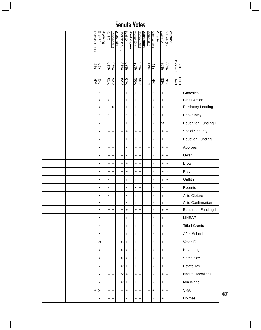|  |  | Thomas, C.<br>$\widehat{\mathbb{E}}$ | Enzi (R)              | <b>Wyoming</b> | Kohl (D )      | Feingold (D     | <b>Wisconsin</b> | Rockefeller (D | Byrd (D)                 | West Virginia | Murray (D)    | Cantwell (D)                     | <b>Washington</b> | Warner (R      | Allen, G.<br>$\widehat{\mathcal{L}}$ | Virginia | Leahy (D)        | Jeffords (I)       | <b>Vermont</b> |           |               |                              |
|--|--|--------------------------------------|-----------------------|----------------|----------------|-----------------|------------------|----------------|--------------------------|---------------|---------------|----------------------------------|-------------------|----------------|--------------------------------------|----------|------------------|--------------------|----------------|-----------|---------------|------------------------------|
|  |  | $\frac{0\%}{4\%}$                    |                       |                | 81%            | $\frac{686}{5}$ |                  | $rac{1}{8}$    | $67\%$                   |               | $\frac{8}{8}$ |                                  |                   | 4196           | $rac{496}{6}$                        |          | $\frac{9696}{5}$ | 88%                |                | Positions | $\geq$        |                              |
|  |  | 4%                                   | $\frac{5}{6}$         |                | %18            | 93%             |                  | 63%            | $\frac{679}{65}$         |               |               | 96%<br>96%                       |                   | 41%            | 4%                                   |          | 93%              | $78\%$             |                | Total     | <b>Report</b> |                              |
|  |  | Ť.                                   | f,                    |                | $\ddot{}$      | $\ddot{}$       |                  | $\ddot{}$      | $\ddot{}$                |               | $\ddot{}$     | $\ddot{}$                        |                   | $\mathbf{I}$   | $\mathbf{r}$                         |          | $\ddot{}$        | $\ddot{}$          |                |           |               | Gonzales                     |
|  |  | r.                                   | f,                    |                | $\blacksquare$ | $\ddot{}$       |                  | $\ddot{}$      | $\ddot{}$                |               | $\ddot{}$     | $\ddot{}$                        |                   | $\mathbf{I}$   | $\mathbf{I}$                         |          | $\ddot{}$        | $\ddot{}$          |                |           |               | <b>Class Action</b>          |
|  |  | Ť.                                   |                       |                | $\ddot{}$      | ×               |                  | $\ddot{}$      | $\ddot{}$                |               | +             | $\ddot{}$                        |                   | $\blacksquare$ | $\blacksquare$                       |          | $\ddot{}$        | $\ddot{}$          |                |           |               | Predatory Lending            |
|  |  | f,                                   |                       |                | $\blacksquare$ | $\ddot{}$       |                  | $\ddot{}$      | $\blacksquare$           |               | $\ddot{}$     | +                                |                   | $\blacksquare$ | $\mathbf{I}$                         |          | $\ddot{}$        | $\blacksquare$     |                |           |               | <b>Bankruptcy</b>            |
|  |  | Ť.                                   |                       |                | +              | $\ddot{}$       |                  | $\ddot{}$      | $\ddot{}$                |               | +             | +                                |                   | $\blacksquare$ | $\blacksquare$                       |          | $\times$         | $\left  + \right $ |                |           |               | Education Funding I          |
|  |  | r.                                   |                       |                | $\ddot{}$      | $\ddot{}$       |                  | $\ddot{}$      | $\ddot{}$                |               | $\ddot{}$     | $\ddot{}$                        |                   | $\blacksquare$ | $\mathbf{r}$                         |          | $\ddot{}$        | $\ddot{}$          |                |           |               | Social Security              |
|  |  | r.                                   |                       |                | +              | $\ddot{}$       |                  | $\ddot{}$      | $\ddot{}$                |               | +             | $\ddot{}$                        |                   | $\blacksquare$ | $\mathbf{I}$                         |          | $\ddot{}$        | $\ddot{}$          |                |           |               | <b>Eduction Funding II</b>   |
|  |  | r.                                   |                       |                | +              | $\ddot{}$       |                  | $\blacksquare$ | $\blacksquare$           |               | $\ddot{}$     | +                                |                   | $\ddot{}$      | $\mathbf{I}$                         |          | $\ddot{}$        | $\ddot{}$          |                |           |               | Approps                      |
|  |  | Ť.                                   |                       |                | +              | $\ddot{}$       |                  | $\ddot{}$      | $\blacksquare$           |               | $\ddot{}$     | +                                |                   | $\blacksquare$ | $\mathbf{I}$                         |          | $\ddot{}$        | $\ddot{}$          |                |           |               | Owen                         |
|  |  | Ť.                                   | f,                    |                | +              | $\ddot{}$       |                  | $\ddot{}$      | $\ddot{}$                |               | +             | +                                |                   | $\blacksquare$ | $\mathbf{I}$                         |          | $\ddot{}$        | ×                  |                |           |               | Brown                        |
|  |  | Ť.                                   |                       |                | +              | $\ddot{}$       |                  | $\ddot{}$      | $\ddot{}$                |               | +             | +                                |                   | $\blacksquare$ | $\mathbf{I}$                         |          | $\ddot{}$        | $\times$           |                |           |               | Pryor                        |
|  |  | r.                                   | f,                    |                | $\mathbf{I}$   | $\ddot{}$       |                  | $\ddot{}$      | $\ddot{}$                |               | $\ddot{}$     | $\pmb{+}$                        |                   | $\mathbf{I}$   | $\mathbf{r}$                         |          | $\ddot{}$        | $\times$           |                |           |               | Griffith                     |
|  |  | Ť.                                   | f,                    |                | $\blacksquare$ | r.              |                  | $\mathbf{I}$   | $\blacksquare$           |               | r.            | +                                |                   | $\blacksquare$ | $\mathbf{r}$                         |          | $\blacksquare$   | $\blacksquare$     |                |           |               | Roberts                      |
|  |  | Ť.                                   | ×,                    |                | $\blacksquare$ | $\ddot{}$       |                  | $\mathbf{I}$   | $\blacksquare$           |               | +             | $\blacksquare$                   |                   | $\blacksquare$ | $\mathbf{I}$                         |          | +                | +                  |                |           |               | Alito Cloture                |
|  |  | r.                                   | $\blacksquare$        |                | +              | $\ddot{}$       |                  | $\ddot{}$      | $\blacksquare$           |               | $\ddot{}$     | $\begin{array}{c} + \end{array}$ |                   | $\mathbf{I}$   | $\blacksquare$                       |          | $\ddot{}$        | $\ddot{}$          |                |           |               | Alito Confirmation           |
|  |  | ĭ.                                   | f,                    |                | $\ddot{}$      | $\ddot{}$       |                  | $\ddot{}$      | $\left  + \right\rangle$ |               | +             | $\ddot{}$                        |                   | $\blacksquare$ | $\mathbf{r}$                         |          | $\ddot{}$        | $\left  + \right $ |                |           |               | <b>Education Funding III</b> |
|  |  | ĭ.                                   | ٠                     |                | +              | $\ddot{}$       |                  | $\ddot{}$      | $\pm$                    |               | $\ddot{}$     | +                                |                   | $\blacksquare$ | $\mathbf{r}$                         |          | $\ddot{}$        | $+$                |                |           |               | LIHEAP                       |
|  |  | ĭ.                                   | $\blacksquare$        |                | $\ddot{}$      | $\ddot{}$       |                  | $\ddot{}$      | $\left  + \right\rangle$ |               | $+$           | +                                |                   | $\mathbf{I}$   | $\mathbf{r}$                         |          | $\ddot{}$        | $\left  + \right $ |                |           |               | <b>Title I Grants</b>        |
|  |  | Ť.                                   | ×,                    |                | $\ddot{}$      | $\ddot{}$       |                  | $\ddot{}$      | $\pm$                    |               | $\ddot{}$     | +                                |                   | $\blacksquare$ | $\mathbf{r}$                         |          | $\ddot{}$        | $\ddot{}$          |                |           |               | After School                 |
|  |  | ĭ.                                   | $\times$              |                | $\ddot{}$      | $\ddot{}$       |                  | $\times$       | $\pm$                    |               | $+$           | $\ddot{}$                        |                   | $\mathbf{I}$   | $\mathbf{r}$                         |          | $\ddot{}$        | $\left  + \right $ |                |           |               | Voter ID                     |
|  |  | r.                                   | $\blacksquare$        |                | $\ddot{}$      | $\ddot{}$       |                  | $\times$       | $\mathbf{I}$             |               | $\ddot{}$     | +                                |                   | $\blacksquare$ | $\mathbf{I}$                         |          | $\ddot{}$        | $\ddot{}$          |                |           |               | Kavanaugh                    |
|  |  | Ť.                                   | f,                    |                | $\ddot{}$      | $\ddot{}$       |                  | $\times$       | $\blacksquare$           |               | $\ddot{}$     | $\ddot{}$                        |                   | $\mathbf{I}$   | $\mathbf{r}$                         |          | $\ddot{}$        | $\left  + \right $ |                |           |               | Same Sex                     |
|  |  | r.                                   | ×,                    |                | +              | $\ddot{}$       |                  | ×              | $\left  + \right $       |               | $\ddot{}$     | $\begin{array}{c} + \end{array}$ |                   | $\mathbf{I}$   | r.                                   |          | $\ddot{}$        | $\left  + \right $ |                |           |               | <b>Estate Tax</b>            |
|  |  | r.                                   | f,                    |                | $\ddot{}$      | $\ddot{}$       |                  | $\times$       | $\left  + \right $       |               | $\ddot{}$     | $\ddot{}$                        |                   | $\mathbf{I}$   | $\mathbf{r}$                         |          | +                | $\ddot{}$          |                |           |               | Native Hawaiians             |
|  |  | Ť.                                   | $\mathbf{r}$          |                | +              | $\ddot{}$       |                  | $\times$       | $\pm$                    |               | $\ddot{}$     | $\ddot{}$                        |                   | $\ddot{}$      | $\mathbf{r}$                         |          | $\ddot{}$        | $+$                |                |           |               | Min Wage                     |
|  |  | $\ddot{}$                            | $\boldsymbol{\times}$ |                | +              | $\ddot{}$       |                  | $\ddot{}$      | $\ddot{}$                |               | +             | $\ddot{}$                        |                   | $\ddot{}$      | $\ddot{}$                            |          | $\ddot{}$        | $\left  + \right $ |                |           |               | <b>VRA</b>                   |
|  |  | Ť.                                   | f,                    |                | +              | $\ddot{}$       |                  | $\blacksquare$ | $\blacksquare$           |               | $\ddot{}$     | +                                |                   | $\blacksquare$ | $\mathbf{r}$                         |          | $\ddot{}$        | $\blacksquare$     |                |           |               | Holmes                       |